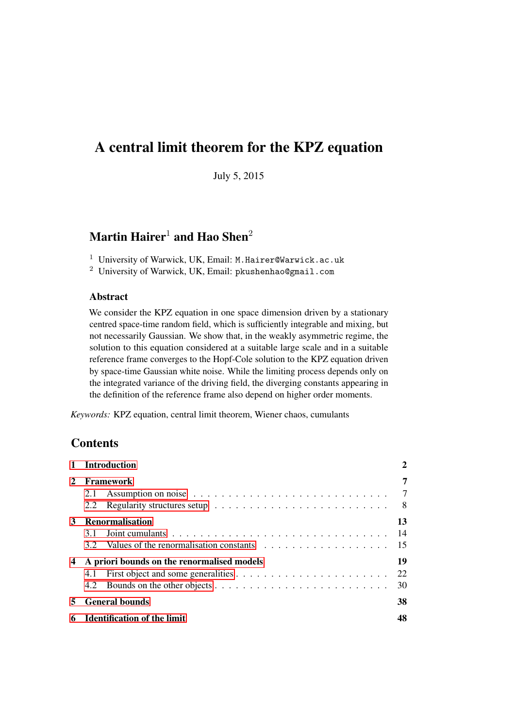# A central limit theorem for the KPZ equation

July 5, 2015

# Martin Hairer<sup>1</sup> and Hao Shen<sup>2</sup>

<sup>1</sup> University of Warwick, UK, Email: M.Hairer@Warwick.ac.uk

<sup>2</sup> University of Warwick, UK, Email: pkushenhao@gmail.com

## Abstract

We consider the KPZ equation in one space dimension driven by a stationary centred space-time random field, which is sufficiently integrable and mixing, but not necessarily Gaussian. We show that, in the weakly asymmetric regime, the solution to this equation considered at a suitable large scale and in a suitable reference frame converges to the Hopf-Cole solution to the KPZ equation driven by space-time Gaussian white noise. While the limiting process depends only on the integrated variance of the driving field, the diverging constants appearing in the definition of the reference frame also depend on higher order moments.

*Keywords:* KPZ equation, central limit theorem, Wiener chaos, cumulants

# **Contents**

|               | <b>Introduction</b>                               | 2              |
|---------------|---------------------------------------------------|----------------|
| $\mathcal{L}$ | <b>Framework</b><br>2.1<br>2.2                    | 7<br>-7<br>- 8 |
| 3             | <b>Renormalisation</b><br>3.1                     | 13<br>14       |
| 4             | A priori bounds on the renormalised models<br>4.1 | 19<br>22<br>30 |
| 5.            | <b>General bounds</b>                             | 38             |
| 6             | <b>Identification of the limit</b>                | 48             |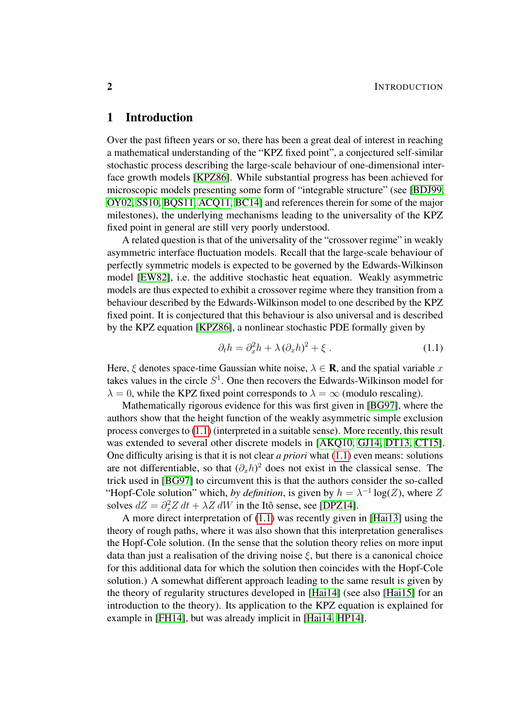# <span id="page-1-0"></span>1 Introduction

Over the past fifteen years or so, there has been a great deal of interest in reaching a mathematical understanding of the "KPZ fixed point", a conjectured self-similar stochastic process describing the large-scale behaviour of one-dimensional interface growth models [\[KPZ86\]](#page-54-0). While substantial progress has been achieved for microscopic models presenting some form of "integrable structure" (see [\[BDJ99,](#page-53-0) [OY02,](#page-54-1) [SS10,](#page-55-0) [BQS11,](#page-53-1) [ACQ11,](#page-52-0) [BC14\]](#page-53-2) and references therein for some of the major milestones), the underlying mechanisms leading to the universality of the KPZ fixed point in general are still very poorly understood.

A related question is that of the universality of the "crossover regime" in weakly asymmetric interface fluctuation models. Recall that the large-scale behaviour of perfectly symmetric models is expected to be governed by the Edwards-Wilkinson model [\[EW82\]](#page-53-3), i.e. the additive stochastic heat equation. Weakly asymmetric models are thus expected to exhibit a crossover regime where they transition from a behaviour described by the Edwards-Wilkinson model to one described by the KPZ fixed point. It is conjectured that this behaviour is also universal and is described by the KPZ equation [\[KPZ86\]](#page-54-0), a nonlinear stochastic PDE formally given by

<span id="page-1-1"></span>
$$
\partial_t h = \partial_x^2 h + \lambda (\partial_x h)^2 + \xi \,. \tag{1.1}
$$

Here,  $\xi$  denotes space-time Gaussian white noise,  $\lambda \in \mathbf{R}$ , and the spatial variable x takes values in the circle  $S<sup>1</sup>$ . One then recovers the Edwards-Wilkinson model for  $\lambda = 0$ , while the KPZ fixed point corresponds to  $\lambda = \infty$  (modulo rescaling).

Mathematically rigorous evidence for this was first given in [\[BG97\]](#page-53-4), where the authors show that the height function of the weakly asymmetric simple exclusion process converges to [\(1.1\)](#page-1-1) (interpreted in a suitable sense). More recently, this result was extended to several other discrete models in [\[AKQ10,](#page-52-1) [GJ14,](#page-54-2) [DT13,](#page-53-5) [CT15\]](#page-53-6). One difficulty arising is that it is not clear *a priori* what [\(1.1\)](#page-1-1) even means: solutions are not differentiable, so that  $(\partial_x h)^2$  does not exist in the classical sense. The trick used in [\[BG97\]](#page-53-4) to circumvent this is that the authors consider the so-called "Hopf-Cole solution" which, *by definition*, is given by  $h = \lambda^{-1} \log(Z)$ , where Z solves  $dZ = \partial_x^2 Z dt + \lambda Z dW$  in the Itô sense, see [\[DPZ14\]](#page-53-7).

A more direct interpretation of [\(1.1\)](#page-1-1) was recently given in [\[Hai13\]](#page-54-3) using the theory of rough paths, where it was also shown that this interpretation generalises the Hopf-Cole solution. (In the sense that the solution theory relies on more input data than just a realisation of the driving noise  $\xi$ , but there is a canonical choice for this additional data for which the solution then coincides with the Hopf-Cole solution.) A somewhat different approach leading to the same result is given by the theory of regularity structures developed in [\[Hai14\]](#page-54-4) (see also [\[Hai15\]](#page-54-5) for an introduction to the theory). Its application to the KPZ equation is explained for example in [\[FH14\]](#page-54-6), but was already implicit in [\[Hai14,](#page-54-4) [HP14\]](#page-54-7).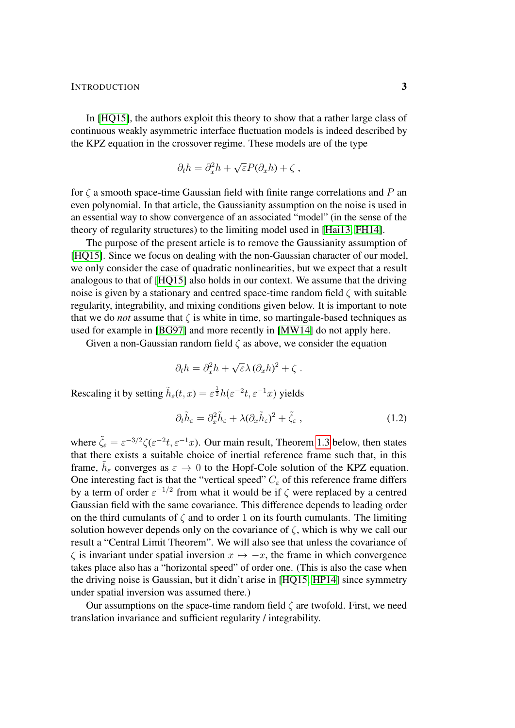#### INTRODUCTION 3

In [\[HQ15\]](#page-54-8), the authors exploit this theory to show that a rather large class of continuous weakly asymmetric interface fluctuation models is indeed described by the KPZ equation in the crossover regime. These models are of the type

$$
\partial_t h = \partial_x^2 h + \sqrt{\varepsilon} P(\partial_x h) + \zeta ,
$$

for  $\zeta$  a smooth space-time Gaussian field with finite range correlations and P an even polynomial. In that article, the Gaussianity assumption on the noise is used in an essential way to show convergence of an associated "model" (in the sense of the theory of regularity structures) to the limiting model used in [\[Hai13,](#page-54-3) [FH14\]](#page-54-6).

The purpose of the present article is to remove the Gaussianity assumption of [\[HQ15\]](#page-54-8). Since we focus on dealing with the non-Gaussian character of our model, we only consider the case of quadratic nonlinearities, but we expect that a result analogous to that of [\[HQ15\]](#page-54-8) also holds in our context. We assume that the driving noise is given by a stationary and centred space-time random field  $\zeta$  with suitable regularity, integrability, and mixing conditions given below. It is important to note that we do *not* assume that  $\zeta$  is white in time, so martingale-based techniques as used for example in [\[BG97\]](#page-53-4) and more recently in [\[MW14\]](#page-54-9) do not apply here.

Given a non-Gaussian random field  $\zeta$  as above, we consider the equation

$$
\partial_t h = \partial_x^2 h + \sqrt{\varepsilon} \lambda \left(\partial_x h\right)^2 + \zeta.
$$

Rescaling it by setting  $\tilde{h}_{\varepsilon}(t,x) = \varepsilon^{\frac{1}{2}} h(\varepsilon^{-2}t, \varepsilon^{-1}x)$  yields

<span id="page-2-1"></span>
$$
\partial_t \tilde{h}_{\varepsilon} = \partial_x^2 \tilde{h}_{\varepsilon} + \lambda (\partial_x \tilde{h}_{\varepsilon})^2 + \tilde{\zeta}_{\varepsilon} , \qquad (1.2)
$$

where  $\tilde{\zeta}_{\varepsilon} = \varepsilon^{-3/2} \zeta (\varepsilon^{-2} t, \varepsilon^{-1} x)$ . Our main result, Theorem [1.3](#page-3-0) below, then states that there exists a suitable choice of inertial reference frame such that, in this frame,  $\tilde{h}_{\varepsilon}$  converges as  $\varepsilon \to 0$  to the Hopf-Cole solution of the KPZ equation. One interesting fact is that the "vertical speed"  $C_{\varepsilon}$  of this reference frame differs by a term of order  $\varepsilon^{-1/2}$  from what it would be if  $\zeta$  were replaced by a centred Gaussian field with the same covariance. This difference depends to leading order on the third cumulants of  $\zeta$  and to order 1 on its fourth cumulants. The limiting solution however depends only on the covariance of  $\zeta$ , which is why we call our result a "Central Limit Theorem". We will also see that unless the covariance of  $\zeta$  is invariant under spatial inversion  $x \mapsto -x$ , the frame in which convergence takes place also has a "horizontal speed" of order one. (This is also the case when the driving noise is Gaussian, but it didn't arise in [\[HQ15,](#page-54-8) [HP14\]](#page-54-7) since symmetry under spatial inversion was assumed there.)

<span id="page-2-0"></span>Our assumptions on the space-time random field  $\zeta$  are twofold. First, we need translation invariance and sufficient regularity / integrability.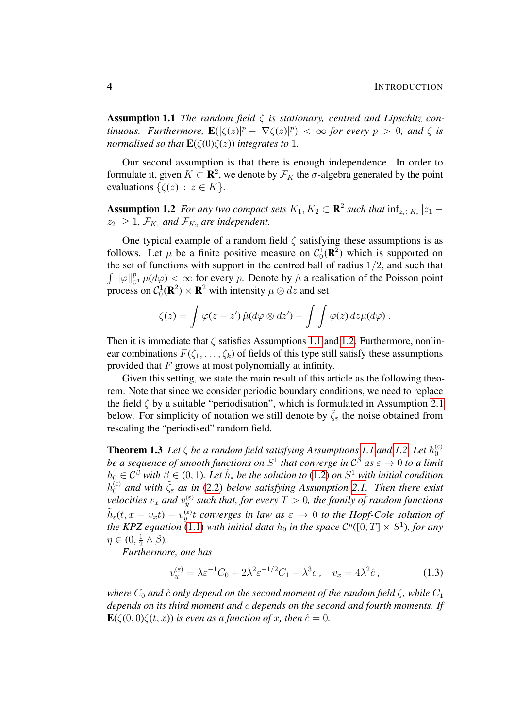Assumption 1.1 *The random field* ζ *is stationary, centred and Lipschitz continuous.* Furthermore,  $\mathbf{E}(|\zeta(z)|^p + |\nabla \zeta(z)|^p) < \infty$  for every  $p > 0$ , and  $\zeta$  is *normalised so that*  $\mathbf{E}(\zeta(0)\zeta(z))$  *integrates to* 1*.* 

Our second assumption is that there is enough independence. In order to formulate it, given  $K \subset \mathbf{R}^2$ , we denote by  $\mathcal{F}_K$  the  $\sigma$ -algebra generated by the point evaluations  $\{\zeta(z) : z \in K\}.$ 

<span id="page-3-1"></span>**Assumption 1.2** For any two compact sets  $K_1, K_2 \subset \mathbf{R}^2$  such that  $\inf_{z_i \in K_i} |z_1 - z_2|$  $|z_2| \geq 1$ ,  $\mathcal{F}_{K_1}$  and  $\mathcal{F}_{K_2}$  are independent.

One typical example of a random field  $\zeta$  satisfying these assumptions is as follows. Let  $\mu$  be a finite positive measure on  $C_0^1(\mathbf{R}^2)$  which is supported on the set of functions with support in the centred ball of radius  $1/2$ , and such that  $\int ||\varphi||_c^p$  $_{\mathcal{C}^1}^p \mu(d\varphi) < \infty$  for every p. Denote by  $\hat{\mu}$  a realisation of the Poisson point process on  $C_0^1(\mathbf{R}^2) \times \mathbf{R}^2$  with intensity  $\mu \otimes dz$  and set

$$
\zeta(z) = \int \varphi(z-z') \, \hat{\mu}(d\varphi \otimes dz') - \int \int \varphi(z) \, dz \mu(d\varphi) \, .
$$

Then it is immediate that  $\zeta$  satisfies Assumptions [1.1](#page-2-0) and [1.2.](#page-3-1) Furthermore, nonlinear combinations  $F(\zeta_1, \ldots, \zeta_k)$  of fields of this type still satisfy these assumptions provided that  $F$  grows at most polynomially at infinity.

Given this setting, we state the main result of this article as the following theorem. Note that since we consider periodic boundary conditions, we need to replace the field  $\zeta$  by a suitable "periodisation", which is formulated in Assumption [2.1](#page-6-2) below. For simplicity of notation we still denote by  $\tilde{\zeta}_{\varepsilon}$  the noise obtained from rescaling the "periodised" random field.

<span id="page-3-0"></span>**Theorem 1.3** Let  $\zeta$  be a random field satisfying Assumptions [1.1](#page-2-0) and [1.2.](#page-3-1) Let  $h_0^{(\varepsilon)}$ 0 be a sequence of smooth functions on  $S^1$  that converge in  $\mathcal{C}^{\beta}$  as  $\varepsilon \to 0$  to a limit  $h_0 \in C^{\tilde{\beta}}$  with  $\beta \in (0,1)$ . Let  $\tilde{h}_{\varepsilon}$  be the solution to  $(1.2)$  on  $S^1$  with initial condition  $h_0^{(\varepsilon)}$  and with  $\tilde{\zeta}_{\varepsilon}$  as in [\(2.2\)](#page-6-3) below satisfying Assumption [2.1.](#page-6-2) Then there exist  $\mathit{velocities}\ v_x$  and  $v_y^{(\varepsilon)}$  such that, for every  $T>0,$  the family of random functions  $\tilde{h}_{\varepsilon}(t, x - v_x t) - v_y^{(\varepsilon)}t$  converges in law as  $\varepsilon \to 0$  to the Hopf-Cole solution of *the KPZ equation* [\(1.1\)](#page-1-1) *with initial data*  $h_0$  *in the space*  $C^{\eta}([0, T] \times S^1)$ *, for any*  $\eta \in (0, \frac{1}{2})$  $\frac{1}{2} \wedge \beta$ ).

*Furthermore, one has*

<span id="page-3-2"></span>
$$
v_y^{(\varepsilon)} = \lambda \varepsilon^{-1} C_0 + 2\lambda^2 \varepsilon^{-1/2} C_1 + \lambda^3 c \,, \quad v_x = 4\lambda^2 \hat{c} \,, \tag{1.3}
$$

*where*  $C_0$  *and*  $\hat{c}$  *only depend on the second moment of the random field*  $\zeta$ *, while*  $C_1$ *depends on its third moment and* c *depends on the second and fourth moments. If*  $\mathbf{E}(\zeta(0,0)\zeta(t,x))$  *is even as a function of x, then*  $\hat{c} = 0$ *.*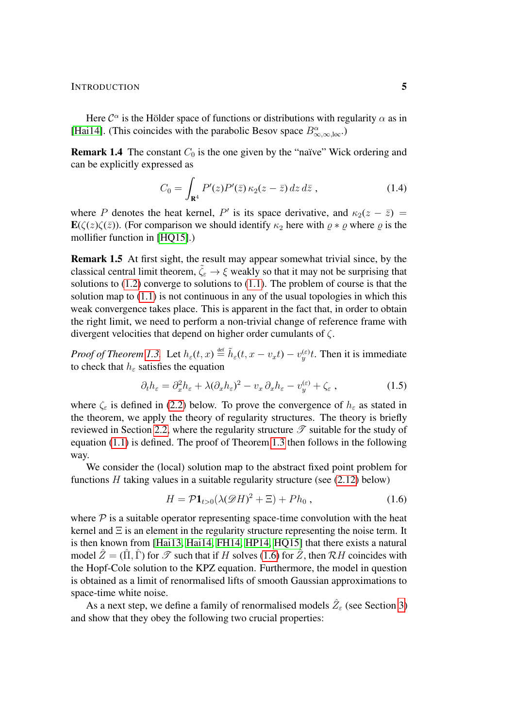INTRODUCTION 5

Here  $\mathcal{C}^{\alpha}$  is the Hölder space of functions or distributions with regularity  $\alpha$  as in [\[Hai14\]](#page-54-4). (This coincides with the parabolic Besov space  $B^{\alpha}_{\infty,\infty,\text{loc}}$ .)

**Remark 1.4** The constant  $C_0$  is the one given by the "naïve" Wick ordering and can be explicitly expressed as

$$
C_0 = \int_{\mathbf{R}^4} P'(z) P'(\bar{z}) \kappa_2(z - \bar{z}) dz d\bar{z} , \qquad (1.4)
$$

where P denotes the heat kernel, P' is its space derivative, and  $\kappa_2(z - \bar{z}) =$  $\mathbf{E}(\zeta(z)\zeta(\bar{z}))$ . (For comparison we should identify  $\kappa_2$  here with  $\rho * \rho$  where  $\rho$  is the mollifier function in [\[HQ15\]](#page-54-8).)

Remark 1.5 At first sight, the result may appear somewhat trivial since, by the classical central limit theorem,  $\tilde{\zeta}_{\varepsilon} \to \xi$  weakly so that it may not be surprising that solutions to [\(1.2\)](#page-2-1) converge to solutions to [\(1.1\)](#page-1-1). The problem of course is that the solution map to  $(1.1)$  is not continuous in any of the usual topologies in which this weak convergence takes place. This is apparent in the fact that, in order to obtain the right limit, we need to perform a non-trivial change of reference frame with divergent velocities that depend on higher order cumulants of  $\zeta$ .

*Proof of Theorem [1.3.](#page-3-0)* Let  $h_{\varepsilon}(t, x) \stackrel{\text{def}}{=} \tilde{h}_{\varepsilon}(t, x - v_x t) - v_y^{(\varepsilon)}t$ . Then it is immediate to check that  $h_{\varepsilon}$  satisfies the equation

<span id="page-4-1"></span>
$$
\partial_t h_{\varepsilon} = \partial_x^2 h_{\varepsilon} + \lambda (\partial_x h_{\varepsilon})^2 - v_x \partial_x h_{\varepsilon} - v_y^{(\varepsilon)} + \zeta_{\varepsilon} , \qquad (1.5)
$$

where  $\zeta_{\varepsilon}$  is defined in [\(2.2\)](#page-6-3) below. To prove the convergence of  $h_{\varepsilon}$  as stated in the theorem, we apply the theory of regularity structures. The theory is briefly reviewed in Section [2.2,](#page-7-0) where the regularity structure  $\mathscr T$  suitable for the study of equation [\(1.1\)](#page-1-1) is defined. The proof of Theorem [1.3](#page-3-0) then follows in the following way.

We consider the (local) solution map to the abstract fixed point problem for functions  $H$  taking values in a suitable regularity structure (see  $(2.12)$  below)

<span id="page-4-0"></span>
$$
H = \mathcal{P} \mathbf{1}_{t>0} (\lambda(\mathcal{D}H)^2 + \Xi) + Ph_0 , \qquad (1.6)
$$

where  $P$  is a suitable operator representing space-time convolution with the heat kernel and  $\Xi$  is an element in the regularity structure representing the noise term. It is then known from [\[Hai13,](#page-54-3) [Hai14,](#page-54-4) [FH14,](#page-54-6) [HP14,](#page-54-7) [HQ15\]](#page-54-8) that there exists a natural model  $\hat{Z} = (\hat{\Pi}, \hat{\Gamma})$  for  $\hat{\mathcal{I}}$  such that if H solves [\(1.6\)](#page-4-0) for  $\hat{Z}$ , then  $\hat{\mathcal{R}}$ H coincides with the Hopf-Cole solution to the KPZ equation. Furthermore, the model in question is obtained as a limit of renormalised lifts of smooth Gaussian approximations to space-time white noise.

As a next step, we define a family of renormalised models  $\hat{Z}_\varepsilon$  (see Section [3\)](#page-12-0) and show that they obey the following two crucial properties: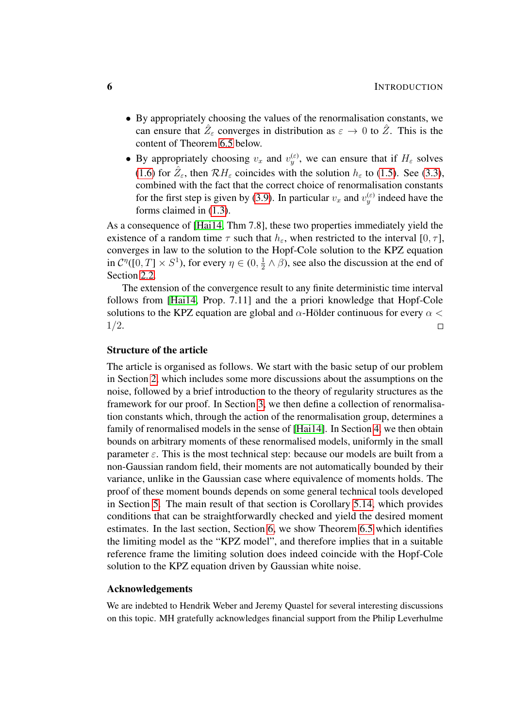- By appropriately choosing the values of the renormalisation constants, we can ensure that  $\hat{Z}_{\varepsilon}$  converges in distribution as  $\varepsilon \to 0$  to  $\hat{Z}$ . This is the content of Theorem [6.5](#page-50-0) below.
- By appropriately choosing  $v_x$  and  $v_y^{(\varepsilon)}$ , we can ensure that if  $H_{\varepsilon}$  solves [\(1.6\)](#page-4-0) for  $\hat{Z}_{\varepsilon}$ , then  $\mathcal{R}H_{\varepsilon}$  coincides with the solution  $h_{\varepsilon}$  to [\(1.5\)](#page-4-1). See [\(3.3\)](#page-13-1), combined with the fact that the correct choice of renormalisation constants for the first step is given by [\(3.9\)](#page-17-0). In particular  $v_x$  and  $v_y^{(\varepsilon)}$  indeed have the forms claimed in [\(1.3\)](#page-3-2).

As a consequence of [\[Hai14,](#page-54-4) Thm 7.8], these two properties immediately yield the existence of a random time  $\tau$  such that  $h_{\varepsilon}$ , when restricted to the interval [0,  $\tau$ ], converges in law to the solution to the Hopf-Cole solution to the KPZ equation in  $\mathcal{C}^{\eta}([0,T] \times S^1)$ , for every  $\eta \in (0, \frac{1}{2})$  $\frac{1}{2} \wedge \beta$ , see also the discussion at the end of Section [2.2.](#page-7-0)

The extension of the convergence result to any finite deterministic time interval follows from [\[Hai14,](#page-54-4) Prop. 7.11] and the a priori knowledge that Hopf-Cole solutions to the KPZ equation are global and  $\alpha$ -Hölder continuous for every  $\alpha$  < 1/2.  $\Box$ 

## Structure of the article

The article is organised as follows. We start with the basic setup of our problem in Section [2,](#page-6-0) which includes some more discussions about the assumptions on the noise, followed by a brief introduction to the theory of regularity structures as the framework for our proof. In Section [3,](#page-12-0) we then define a collection of renormalisation constants which, through the action of the renormalisation group, determines a family of renormalised models in the sense of [\[Hai14\]](#page-54-4). In Section [4,](#page-18-0) we then obtain bounds on arbitrary moments of these renormalised models, uniformly in the small parameter  $\varepsilon$ . This is the most technical step: because our models are built from a non-Gaussian random field, their moments are not automatically bounded by their variance, unlike in the Gaussian case where equivalence of moments holds. The proof of these moment bounds depends on some general technical tools developed in Section [5.](#page-37-0) The main result of that section is Corollary [5.14,](#page-46-0) which provides conditions that can be straightforwardly checked and yield the desired moment estimates. In the last section, Section [6,](#page-47-0) we show Theorem [6.5](#page-50-0) which identifies the limiting model as the "KPZ model", and therefore implies that in a suitable reference frame the limiting solution does indeed coincide with the Hopf-Cole solution to the KPZ equation driven by Gaussian white noise.

#### Acknowledgements

We are indebted to Hendrik Weber and Jeremy Quastel for several interesting discussions on this topic. MH gratefully acknowledges financial support from the Philip Leverhulme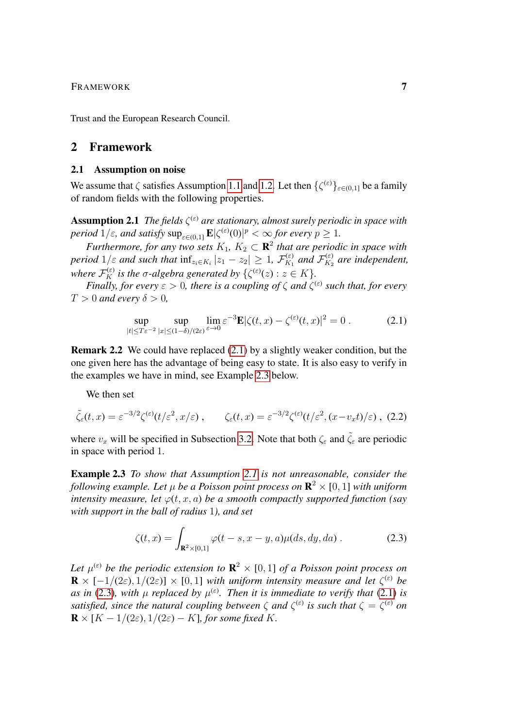## FRAMEWORK 7

Trust and the European Research Council.

## <span id="page-6-0"></span>2 Framework

#### <span id="page-6-1"></span>2.1 Assumption on noise

We assume that  $\zeta$  satisfies Assumption [1.1](#page-2-0) and [1.2.](#page-3-1) Let then  $\{\zeta^{(\varepsilon)}\}_{\varepsilon \in (0,1]}$  be a family of random fields with the following properties.

<span id="page-6-2"></span>**Assumption 2.1** The fields  $\zeta^{(\varepsilon)}$  are stationary, almost surely periodic in space with *period*  $1/\varepsilon$ *, and satisfy*  $\sup_{\varepsilon \in (0,1]} \mathbf{E} |\zeta^{(\varepsilon)}(0)|^p < \infty$  for every  $p \ge 1$ .

*Furthermore, for any two sets*  $K_1$ ,  $K_2 \subset \mathbf{R}^2$  that are periodic in space with *period*  $1/\varepsilon$  *and such that*  $\inf_{z_i \in K_i} |z_1 - z_2| \geq 1$ ,  $\mathcal{F}_{K_1}^{(\varepsilon)}$  $f_{K_1}^{(\varepsilon)}$  and  $\mathcal{F}_{K_2}^{(\varepsilon)}$  $K_{K_2}^{(\varepsilon)}$  are independent, *where*  $\mathcal{F}_K^{(\varepsilon)}$  *is the*  $\sigma$ -algebra generated by  $\{\zeta^{(\varepsilon)}(z) : z \in K\}$ .

*Finally, for every*  $\varepsilon > 0$ , there is a coupling of  $\zeta$  and  $\zeta^{(\varepsilon)}$  such that, for every  $T > 0$  *and every*  $\delta > 0$ ,

<span id="page-6-4"></span><span id="page-6-3"></span>
$$
\sup_{|t| \le T\varepsilon^{-2}} \sup_{|x| \le (1-\delta)/(2\varepsilon)} \lim_{\varepsilon \to 0} \varepsilon^{-3} \mathbf{E} |\zeta(t,x) - \zeta^{(\varepsilon)}(t,x)|^2 = 0.
$$
 (2.1)

Remark 2.2 We could have replaced [\(2.1\)](#page-6-4) by a slightly weaker condition, but the one given here has the advantage of being easy to state. It is also easy to verify in the examples we have in mind, see Example [2.3](#page-6-5) below.

We then set

$$
\tilde{\zeta}_{\varepsilon}(t,x) = \varepsilon^{-3/2} \zeta^{(\varepsilon)}(t/\varepsilon^2, x/\varepsilon) , \qquad \zeta_{\varepsilon}(t,x) = \varepsilon^{-3/2} \zeta^{(\varepsilon)}(t/\varepsilon^2, (x-v_x t)/\varepsilon) , \tag{2.2}
$$

where  $v_x$  will be specified in Subsection [3.2.](#page-14-0) Note that both  $\zeta_\varepsilon$  and  $\tilde{\zeta}_\varepsilon$  are periodic in space with period 1.

<span id="page-6-5"></span>Example 2.3 *To show that Assumption [2.1](#page-6-2) is not unreasonable, consider the* following example. Let  $\mu$  be a Poisson point process on  ${\bf R}^2 \times [0,1]$  with uniform *intensity measure, let*  $\varphi(t, x, a)$  *be a smooth compactly supported function (say with support in the ball of radius* 1*), and set*

<span id="page-6-6"></span>
$$
\zeta(t,x) = \int_{\mathbf{R}^2 \times [0,1]} \varphi(t-s,x-y,a)\mu(ds,dy,da) . \tag{2.3}
$$

Let  $\mu^{(\varepsilon)}$  be the periodic extension to  $\mathbf{R}^2\times[0,1]$  of a Poisson point process on  $\mathbf{R} \times [-1/(2\varepsilon), 1/(2\varepsilon)] \times [0,1]$  *with uniform intensity measure and let*  $\zeta^{(\varepsilon)}$  *be as in* [\(2.3\)](#page-6-6), with  $\mu$  *replaced by*  $\mu^{(\varepsilon)}$ . Then it is immediate to verify that [\(2.1\)](#page-6-4) is *satisfied, since the natural coupling between*  $\zeta$  *and*  $\zeta^{(\varepsilon)}$  *is such that*  $\zeta = \zeta^{(\varepsilon)}$  *on*  $\mathbf{R} \times [K - 1/(2\varepsilon), 1/(2\varepsilon) - K]$ *, for some fixed* K.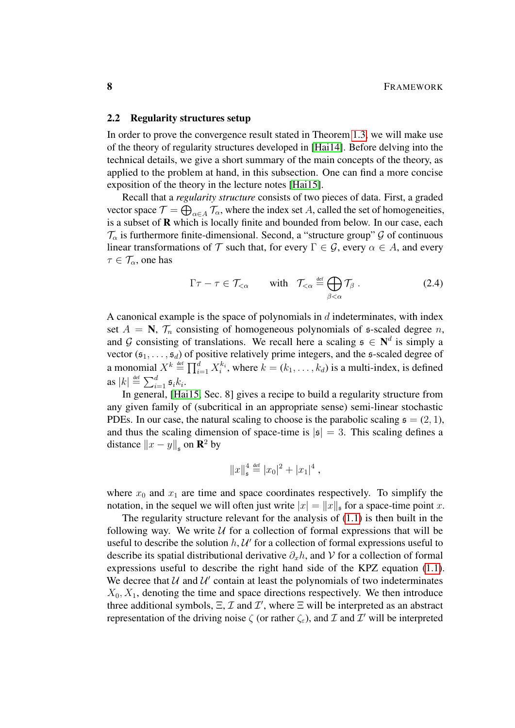## <span id="page-7-0"></span>2.2 Regularity structures setup

In order to prove the convergence result stated in Theorem [1.3,](#page-3-0) we will make use of the theory of regularity structures developed in [\[Hai14\]](#page-54-4). Before delving into the technical details, we give a short summary of the main concepts of the theory, as applied to the problem at hand, in this subsection. One can find a more concise exposition of the theory in the lecture notes [\[Hai15\]](#page-54-5).

Recall that a *regularity structure* consists of two pieces of data. First, a graded vector space  $\mathcal{T}=\bigoplus_{\alpha\in A}\mathcal{T}_\alpha$ , where the index set A, called the set of homogeneities, is a subset of R which is locally finite and bounded from below. In our case, each  $\mathcal{T}_{\alpha}$  is furthermore finite-dimensional. Second, a "structure group"  $\mathcal{G}$  of continuous linear transformations of T such that, for every  $\Gamma \in \mathcal{G}$ , every  $\alpha \in A$ , and every  $\tau \in \mathcal{T}_{\alpha}$ , one has

$$
\Gamma \tau - \tau \in \mathcal{T}_{<\alpha} \quad \text{with} \quad \mathcal{T}_{<\alpha} \stackrel{\text{def}}{=} \bigoplus_{\beta < \alpha} \mathcal{T}_{\beta} \,. \tag{2.4}
$$

A canonical example is the space of polynomials in  $d$  indeterminates, with index set  $A = \mathbf{N}$ ,  $\mathcal{T}_n$  consisting of homogeneous polynomials of  $\mathfrak{s}$ -scaled degree n, and G consisting of translations. We recall here a scaling  $\mathfrak{s} \in \mathbb{N}^d$  is simply a vector  $(\mathfrak{s}_1, \ldots, \mathfrak{s}_d)$  of positive relatively prime integers, and the s-scaled degree of a monomial  $X^k \stackrel{\text{def}}{=} \prod_{i=1}^d X_i^{k_i}$ , where  $k = (k_1, \ldots, k_d)$  is a multi-index, is defined as  $|k| \stackrel{\text{def}}{=} \sum_{i=1}^d \mathfrak{s}_i k_i$ .

In general, [\[Hai15,](#page-54-5) Sec. 8] gives a recipe to build a regularity structure from any given family of (subcritical in an appropriate sense) semi-linear stochastic PDEs. In our case, the natural scaling to choose is the parabolic scaling  $\mathfrak{s} = (2, 1)$ , and thus the scaling dimension of space-time is  $|\mathfrak{s}| = 3$ . This scaling defines a distance  $||x - y||_{\mathfrak{s}}$  on  $\mathbb{R}^2$  by

$$
||x||_{\mathfrak{s}}^4 \stackrel{\text{def}}{=} |x_0|^2 + |x_1|^4 ,
$$

where  $x_0$  and  $x_1$  are time and space coordinates respectively. To simplify the notation, in the sequel we will often just write  $|x| = ||x||_p$  for a space-time point x.

The regularity structure relevant for the analysis of [\(1.1\)](#page-1-1) is then built in the following way. We write  $U$  for a collection of formal expressions that will be useful to describe the solution  $h, \mathcal{U}'$  for a collection of formal expressions useful to describe its spatial distributional derivative  $\partial_x h$ , and V for a collection of formal expressions useful to describe the right hand side of the KPZ equation [\(1.1\)](#page-1-1). We decree that  $U$  and  $U'$  contain at least the polynomials of two indeterminates  $X_0, X_1$ , denoting the time and space directions respectively. We then introduce three additional symbols,  $\Xi$ ,  $\mathcal I$  and  $\mathcal I'$ , where  $\Xi$  will be interpreted as an abstract representation of the driving noise  $\zeta$  (or rather  $\zeta_{\varepsilon}$ ), and  $\mathcal I$  and  $\mathcal I'$  will be interpreted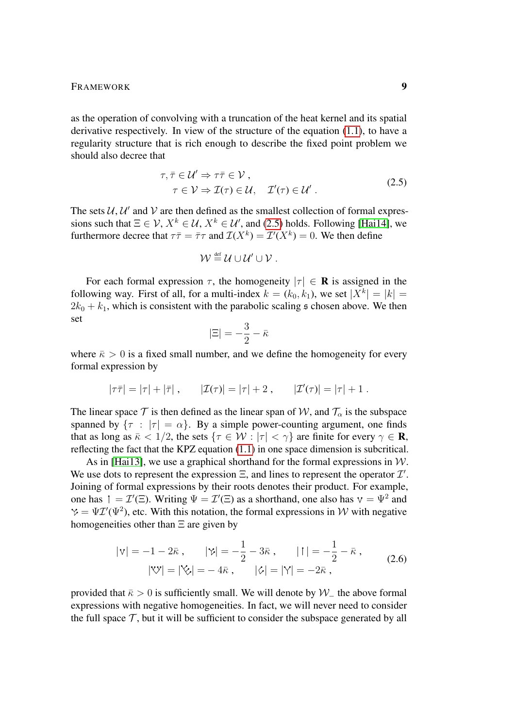as the operation of convolving with a truncation of the heat kernel and its spatial derivative respectively. In view of the structure of the equation [\(1.1\)](#page-1-1), to have a regularity structure that is rich enough to describe the fixed point problem we should also decree that

$$
\tau, \bar{\tau} \in \mathcal{U}' \Rightarrow \tau \bar{\tau} \in \mathcal{V}, \tau \in \mathcal{V} \Rightarrow \mathcal{I}(\tau) \in \mathcal{U}, \quad \mathcal{I}'(\tau) \in \mathcal{U}'.
$$
\n(2.5)

The sets  $U, U'$  and V are then defined as the smallest collection of formal expressions such that  $\Xi \in \mathcal{V}, X^k \in \mathcal{U}, X^k \in \mathcal{U}$ , and [\(2.5\)](#page-8-0) holds. Following [\[Hai14\]](#page-54-4), we furthermore decree that  $\tau \bar{\tau} = \bar{\tau} \tau$  and  $\mathcal{I}(X^k) = \mathcal{I}'(X^k) = 0$ . We then define

<span id="page-8-0"></span>
$$
\mathcal{W} \stackrel{\text{\tiny def}}{=} \mathcal{U} \cup \mathcal{U}' \cup \mathcal{V} .
$$

For each formal expression  $\tau$ , the homogeneity  $|\tau| \in \mathbf{R}$  is assigned in the following way. First of all, for a multi-index  $k = (k_0, k_1)$ , we set  $|X^k| = |k| =$  $2k_0 + k_1$ , which is consistent with the parabolic scaling  $\epsilon$  chosen above. We then set

$$
|\Xi| = -\frac{3}{2} - \bar{\kappa}
$$

where  $\bar{\kappa} > 0$  is a fixed small number, and we define the homogeneity for every formal expression by

$$
|\tau \bar{\tau}| = |\tau| + |\bar{\tau}|
$$
,  $|Z(\tau)| = |\tau| + 2$ ,  $|Z'(\tau)| = |\tau| + 1$ .

The linear space  $\tau$  is then defined as the linear span of W, and  $\tau_{\alpha}$  is the subspace spanned by  $\{\tau : |\tau| = \alpha\}$ . By a simple power-counting argument, one finds that as long as  $\bar{\kappa}$  < 1/2, the sets  $\{\tau \in \mathcal{W} : |\tau| < \gamma\}$  are finite for every  $\gamma \in \mathbf{R}$ , reflecting the fact that the KPZ equation [\(1.1\)](#page-1-1) in one space dimension is subcritical.

As in [\[Hai13\]](#page-54-3), we use a graphical shorthand for the formal expressions in  $W$ . We use dots to represent the expression  $\Xi$ , and lines to represent the operator  $\mathcal{I}'$ . Joining of formal expressions by their roots denotes their product. For example, one has  $\mathfrak{f} = \mathcal{I}'(\Xi)$ . Writing  $\Psi = \mathcal{I}'(\Xi)$  as a shorthand, one also has  $\mathfrak{v} = \Psi^2$  and  $= \Psi \mathcal{I}'(\Psi^2)$ , etc. With this notation, the formal expressions in W with negative homogeneities other than  $\Xi$  are given by

<span id="page-8-1"></span>
$$
|\mathbf{v}| = -1 - 2\bar{\kappa}, \qquad |\mathbf{v}| = -\frac{1}{2} - 3\bar{\kappa}, \qquad |\mathbf{1}| = -\frac{1}{2} - \bar{\kappa},
$$
  

$$
|\mathbf{v}| = |\mathbf{v}| = -4\bar{\kappa}, \qquad |\mathbf{v}| = |\mathbf{Y}| = -2\bar{\kappa},
$$
 (2.6)

provided that  $\bar{\kappa} > 0$  is sufficiently small. We will denote by  $W_-\$  the above formal expressions with negative homogeneities. In fact, we will never need to consider the full space  $\mathcal{T}$ , but it will be sufficient to consider the subspace generated by all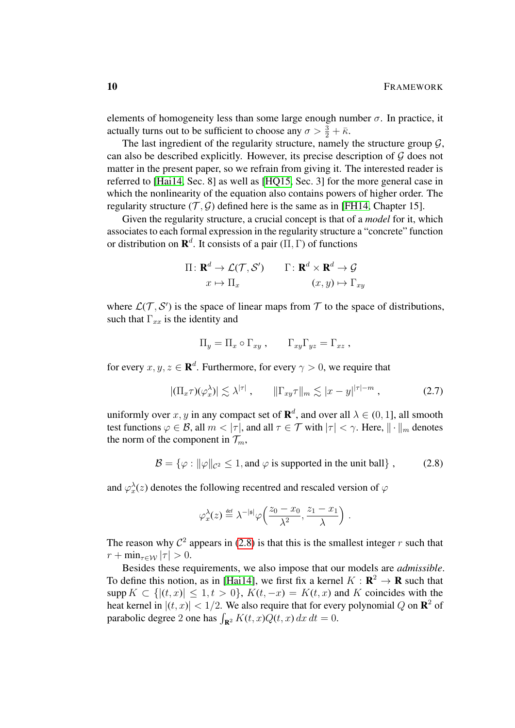elements of homogeneity less than some large enough number  $\sigma$ . In practice, it actually turns out to be sufficient to choose any  $\sigma > \frac{3}{2} + \bar{\kappa}$ .

The last ingredient of the regularity structure, namely the structure group  $\mathcal{G}$ , can also be described explicitly. However, its precise description of  $G$  does not matter in the present paper, so we refrain from giving it. The interested reader is referred to [\[Hai14,](#page-54-4) Sec. 8] as well as [\[HQ15,](#page-54-8) Sec. 3] for the more general case in which the nonlinearity of the equation also contains powers of higher order. The regularity structure  $(\mathcal{T}, \mathcal{G})$  defined here is the same as in [\[FH14,](#page-54-6) Chapter 15].

Given the regularity structure, a crucial concept is that of a *model* for it, which associates to each formal expression in the regularity structure a "concrete" function or distribution on  $\mathbf{R}^d$ . It consists of a pair  $(\Pi, \Gamma)$  of functions

$$
\Pi: \mathbf{R}^{d} \to \mathcal{L}(\mathcal{T}, \mathcal{S}') \qquad \Gamma: \mathbf{R}^{d} \times \mathbf{R}^{d} \to \mathcal{G}
$$
\n
$$
x \mapsto \Pi_{x} \qquad (x, y) \mapsto \Gamma_{xy}
$$

where  $\mathcal{L}(\mathcal{T}, \mathcal{S}')$  is the space of linear maps from  $\mathcal T$  to the space of distributions, such that  $\Gamma_{xx}$  is the identity and

<span id="page-9-1"></span>
$$
\Pi_y = \Pi_x \circ \Gamma_{xy} , \qquad \Gamma_{xy} \Gamma_{yz} = \Gamma_{xz} ,
$$

for every  $x, y, z \in \mathbf{R}^d$ . Furthermore, for every  $\gamma > 0$ , we require that

$$
|(\Pi_x \tau)(\varphi_x^{\lambda})| \lesssim \lambda^{|\tau|} , \qquad \|\Gamma_{xy}\tau\|_m \lesssim |x-y|^{|\tau|-m} , \qquad (2.7)
$$

uniformly over  $x, y$  in any compact set of  $\mathbf{R}^d$ , and over all  $\lambda \in (0, 1]$ , all smooth test functions  $\varphi \in \mathcal{B}$ , all  $m < |\tau|$ , and all  $\tau \in \mathcal{T}$  with  $|\tau| < \gamma$ . Here,  $\|\cdot\|_m$  denotes the norm of the component in  $\mathcal{T}_m$ ,

$$
\mathcal{B} = \{ \varphi : ||\varphi||_{\mathcal{C}^2} \le 1, \text{ and } \varphi \text{ is supported in the unit ball} \}, \tag{2.8}
$$

and  $\varphi_x^{\lambda}(z)$  denotes the following recentred and rescaled version of  $\varphi$ 

<span id="page-9-0"></span>
$$
\varphi^\lambda_x(z) \stackrel{\text{\tiny def}}{=} \lambda^{-|\mathfrak{s}|} \varphi\Big(\frac{z_0-x_0}{\lambda^2}, \frac{z_1-x_1}{\lambda}\Big) \ .
$$

The reason why  $\mathcal{C}^2$  appears in [\(2.8\)](#page-9-0) is that this is the smallest integer r such that  $r + \min_{\tau \in \mathcal{W}} |\tau| > 0.$ 

Besides these requirements, we also impose that our models are *admissible*. To define this notion, as in [\[Hai14\]](#page-54-4), we first fix a kernel  $K : \mathbb{R}^2 \to \mathbb{R}$  such that supp  $K \subset \{|(t,x)| \leq 1, t > 0\}$ ,  $K(t, -x) = K(t, x)$  and K coincides with the heat kernel in  $|(t, x)| < 1/2$ . We also require that for every polynomial Q on  $\mathbb{R}^2$  of parabolic degree 2 one has  $\int_{\mathbf{R}^2} K(t, x) Q(t, x) dx dt = 0.$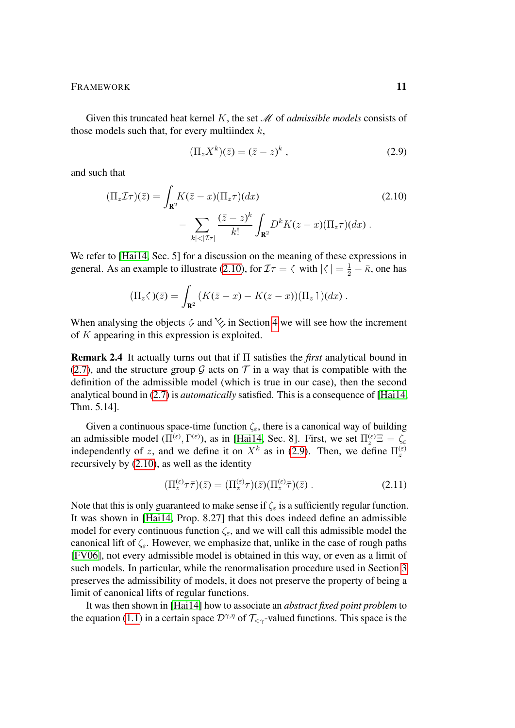FRAMEWORK 11

Given this truncated heat kernel K, the set M of *admissible models* consists of those models such that, for every multiindex  $k$ ,

<span id="page-10-1"></span><span id="page-10-0"></span>
$$
(\Pi_z X^k)(\bar{z}) = (\bar{z} - z)^k , \qquad (2.9)
$$

and such that

$$
(\Pi_z \mathcal{I}\tau)(\bar{z}) = \int_{\mathbf{R}^2} K(\bar{z} - x) (\Pi_z \tau) (dx)
$$
\n
$$
- \sum_{|k| < |\mathcal{I}\tau|} \frac{(\bar{z} - z)^k}{k!} \int_{\mathbf{R}^2} D^k K(z - x) (\Pi_z \tau) (dx).
$$
\n(2.10)

We refer to [\[Hai14,](#page-54-4) Sec. 5] for a discussion on the meaning of these expressions in general. As an example to illustrate [\(2.10\)](#page-10-0), for  $\mathcal{I}\tau = \langle \text{ with } |\langle | = \frac{1}{2} - \bar{\kappa}, \text{ one has} \rangle$ 

$$
(\Pi_z \langle \, \cdot \rangle)(\bar{z}) = \int_{\mathbf{R}^2} \left( K(\bar{z} - x) - K(z - x) \right) (\Pi_z \restriction )(dx) \; .
$$

When analysing the objects  $\circ$  and  $\circ$  in Section [4](#page-18-0) we will see how the increment of K appearing in this expression is exploited.

Remark 2.4 It actually turns out that if Π satisfies the *first* analytical bound in [\(2.7\)](#page-9-1), and the structure group G acts on  $\mathcal T$  in a way that is compatible with the definition of the admissible model (which is true in our case), then the second analytical bound in [\(2.7\)](#page-9-1) is *automatically* satisfied. This is a consequence of [\[Hai14,](#page-54-4) Thm. 5.14].

Given a continuous space-time function  $\zeta_{\varepsilon}$ , there is a canonical way of building an admissible model  $(\Pi^{(\varepsilon)}, \Gamma^{(\varepsilon)})$ , as in [\[Hai14,](#page-54-4) Sec. 8]. First, we set  $\Pi_z^{(\varepsilon)} \Xi = \zeta_\varepsilon$ independently of z, and we define it on  $X^k$  as in [\(2.9\)](#page-10-1). Then, we define  $\Pi_z^{(\varepsilon)}$ recursively by [\(2.10\)](#page-10-0), as well as the identity

$$
\left(\Pi_z^{(\varepsilon)}\tau\bar{\tau}\right)(\bar{z}) = \left(\Pi_z^{(\varepsilon)}\tau\right)(\bar{z})\left(\Pi_z^{(\varepsilon)}\bar{\tau}\right)(\bar{z})\,. \tag{2.11}
$$

Note that this is only guaranteed to make sense if  $\zeta$  is a sufficiently regular function. It was shown in [\[Hai14,](#page-54-4) Prop. 8.27] that this does indeed define an admissible model for every continuous function  $\zeta_{\varepsilon}$ , and we will call this admissible model the canonical lift of  $\zeta$ . However, we emphasize that, unlike in the case of rough paths [\[FV06\]](#page-54-10), not every admissible model is obtained in this way, or even as a limit of such models. In particular, while the renormalisation procedure used in Section [3](#page-12-0) preserves the admissibility of models, it does not preserve the property of being a limit of canonical lifts of regular functions.

It was then shown in [\[Hai14\]](#page-54-4) how to associate an *abstract fixed point problem* to the equation [\(1.1\)](#page-1-1) in a certain space  $\mathcal{D}^{\gamma,\eta}$  of  $\mathcal{T}_{\leq \gamma}$ -valued functions. This space is the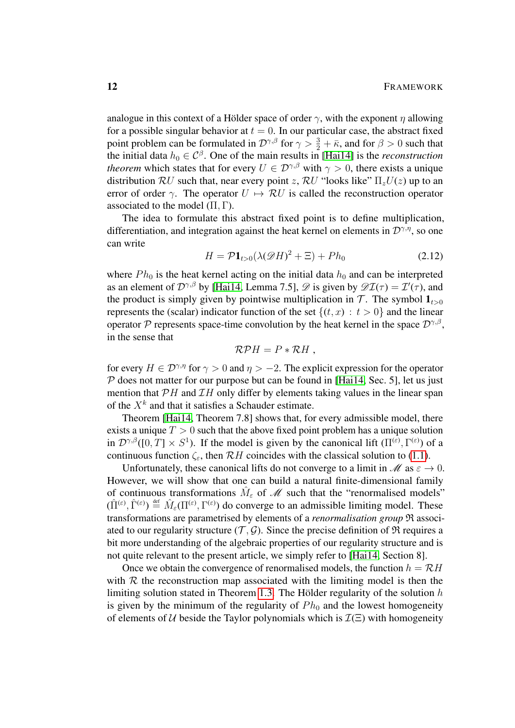analogue in this context of a Hölder space of order  $\gamma$ , with the exponent  $\eta$  allowing for a possible singular behavior at  $t = 0$ . In our particular case, the abstract fixed point problem can be formulated in  $\mathcal{D}^{\gamma,\beta}$  for  $\gamma > \frac{3}{2} + \bar{\kappa}$ , and for  $\beta > 0$  such that the initial data  $h_0 \in \mathcal{C}^{\beta}$ . One of the main results in [\[Hai14\]](#page-54-4) is the *reconstruction theorem* which states that for every  $U \in \mathcal{D}^{\gamma,\beta}$  with  $\gamma > 0$ , there exists a unique distribution  $RU$  such that, near every point z,  $RU$  "looks like"  $\Pi_z U(z)$  up to an error of order  $\gamma$ . The operator  $U \mapsto \mathcal{R}U$  is called the reconstruction operator associated to the model  $(\Pi, \Gamma)$ .

The idea to formulate this abstract fixed point is to define multiplication, differentiation, and integration against the heat kernel on elements in  $\mathcal{D}^{\gamma,\eta}$ , so one can write

$$
H = \mathcal{P} \mathbf{1}_{t>0} (\lambda(\mathcal{D}H)^2 + \Xi) + Ph_0 \tag{2.12}
$$

where  $Ph_0$  is the heat kernel acting on the initial data  $h_0$  and can be interpreted as an element of  $\mathcal{D}^{\gamma,\beta}$  by [\[Hai14,](#page-54-4) Lemma 7.5],  $\mathscr{D}$  is given by  $\mathscr{D I}(\tau) = \mathcal{I}'(\tau)$ , and the product is simply given by pointwise multiplication in  $\mathcal{T}$ . The symbol  $\mathbf{1}_{t>0}$ represents the (scalar) indicator function of the set  $\{(t, x) : t > 0\}$  and the linear operator P represents space-time convolution by the heat kernel in the space  $\mathcal{D}^{\gamma,\beta}$ , in the sense that

<span id="page-11-0"></span>
$$
\mathcal{RP}H=P*\mathcal{R}H,
$$

for every  $H \in \mathcal{D}^{\gamma,\eta}$  for  $\gamma > 0$  and  $\eta > -2$ . The explicit expression for the operator  $P$  does not matter for our purpose but can be found in [\[Hai14,](#page-54-4) Sec. 5], let us just mention that  $\mathcal{P}H$  and  $\mathcal{I}H$  only differ by elements taking values in the linear span of the  $X<sup>k</sup>$  and that it satisfies a Schauder estimate.

Theorem [\[Hai14,](#page-54-4) Theorem 7.8] shows that, for every admissible model, there exists a unique  $T > 0$  such that the above fixed point problem has a unique solution in  $\mathcal{D}^{\gamma,\beta}([0,T] \times S^1)$ . If the model is given by the canonical lift  $(\Pi^{(\varepsilon)},\Gamma^{(\varepsilon)})$  of a continuous function  $\zeta_{\varepsilon}$ , then  $\mathcal{R}H$  coincides with the classical solution to [\(1.1\)](#page-1-1).

Unfortunately, these canonical lifts do not converge to a limit in  $\mathcal{M}$  as  $\varepsilon \to 0$ . However, we will show that one can build a natural finite-dimensional family of continuous transformations  $\hat{M}_{\varepsilon}$  of M such that the "renormalised models"  $(\hat{\Pi}^{(\varepsilon)}, \hat{\Gamma}^{(\varepsilon)}) \stackrel{\text{def}}{=} \hat{M}_{\varepsilon}(\Pi^{(\varepsilon)}, \Gamma^{(\varepsilon)})$  do converge to an admissible limiting model. These transformations are parametrised by elements of a *renormalisation group* R associated to our regularity structure  $(\mathcal{T}, \mathcal{G})$ . Since the precise definition of  $\mathfrak{R}$  requires a bit more understanding of the algebraic properties of our regularity structure and is not quite relevant to the present article, we simply refer to [\[Hai14,](#page-54-4) Section 8].

Once we obtain the convergence of renormalised models, the function  $h = \mathcal{R}H$ with  $R$  the reconstruction map associated with the limiting model is then the limiting solution stated in Theorem [1.3.](#page-3-0) The Hölder regularity of the solution  $h$ is given by the minimum of the regularity of  $Ph_0$  and the lowest homogeneity of elements of U beside the Taylor polynomials which is  $\mathcal{I}(\Xi)$  with homogeneity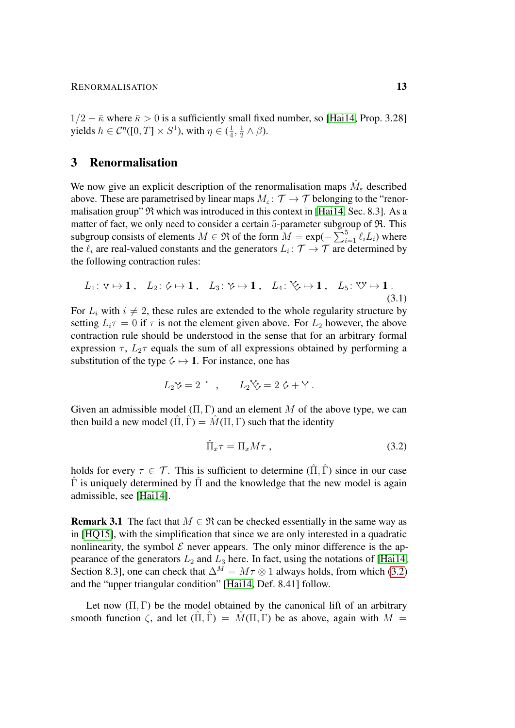$1/2 - \bar{\kappa}$  where  $\bar{\kappa} > 0$  is a sufficiently small fixed number, so [\[Hai14,](#page-54-4) Prop. 3.28] yields  $h \in C^{\eta}([0,T] \times S^1)$ , with  $\eta \in (\frac{1}{4})$  $\frac{1}{4}, \frac{1}{2}$  $\frac{1}{2} \wedge \beta$ ).

# <span id="page-12-0"></span>3 Renormalisation

We now give an explicit description of the renormalisation maps  $\hat{M}_{\varepsilon}$  described above. These are parametrised by linear maps  $M_{\varepsilon} : \mathcal{T} \to \mathcal{T}$  belonging to the "renormalisation group"  $\Re$  which was introduced in this context in [\[Hai14,](#page-54-4) Sec. 8.3]. As a matter of fact, we only need to consider a certain 5-parameter subgroup of  $\mathfrak{R}$ . This subgroup consists of elements  $M \in \mathfrak{R}$  of the form  $M = \exp(-\sum_{i=1}^{5} \ell_i L_i)$  where the  $\ell_i$  are real-valued constants and the generators  $L_i: \mathcal{T} \to \mathcal{T}$  are determined by the following contraction rules:

$$
L_1: \mathbf{v} \mapsto \mathbf{1}, \quad L_2: \mathbf{v} \mapsto \mathbf{1}, \quad L_3: \mathbf{v} \mapsto \mathbf{1}, \quad L_4: \mathbf{v} \mapsto \mathbf{1}, \quad L_5: \mathbf{v} \mapsto \mathbf{1}.
$$
\n
$$
(3.1)
$$

For  $L_i$  with  $i \neq 2$ , these rules are extended to the whole regularity structure by setting  $L_i \tau = 0$  if  $\tau$  is not the element given above. For  $L_2$  however, the above contraction rule should be understood in the sense that for an arbitrary formal expression  $\tau$ ,  $L_2\tau$  equals the sum of all expressions obtained by performing a substitution of the type  $\Diamond \mapsto 1$ . For instance, one has

$$
L_2 \mathcal{V} = 2 \quad , \qquad L_2 \mathcal{V} = 2 \mathcal{L} + \mathcal{Y} \ .
$$

Given an admissible model  $(\Pi, \Gamma)$  and an element M of the above type, we can then build a new model  $(\Pi, \Gamma) = M(\Pi, \Gamma)$  such that the identity

<span id="page-12-2"></span><span id="page-12-1"></span>
$$
\hat{\Pi}_x \tau = \Pi_x M \tau \t{,} \t(3.2)
$$

holds for every  $\tau \in \mathcal{T}$ . This is sufficient to determine  $(\hat{\Pi}, \hat{\Gamma})$  since in our case  $Γ$  is uniquely determined by  $Π$  and the knowledge that the new model is again admissible, see [\[Hai14\]](#page-54-4).

**Remark 3.1** The fact that  $M \in \mathfrak{R}$  can be checked essentially in the same way as in [\[HQ15\]](#page-54-8), with the simplification that since we are only interested in a quadratic nonlinearity, the symbol  $\mathcal E$  never appears. The only minor difference is the appearance of the generators  $L_2$  and  $L_3$  here. In fact, using the notations of [\[Hai14,](#page-54-4) Section 8.3], one can check that  $\Delta^M = M\tau \otimes 1$  always holds, from which [\(3.2\)](#page-12-1) and the "upper triangular condition" [\[Hai14,](#page-54-4) Def. 8.41] follow.

Let now  $(\Pi, \Gamma)$  be the model obtained by the canonical lift of an arbitrary smooth function  $\zeta$ , and let  $(\Pi, \Gamma) = M(\Pi, \Gamma)$  be as above, again with  $M =$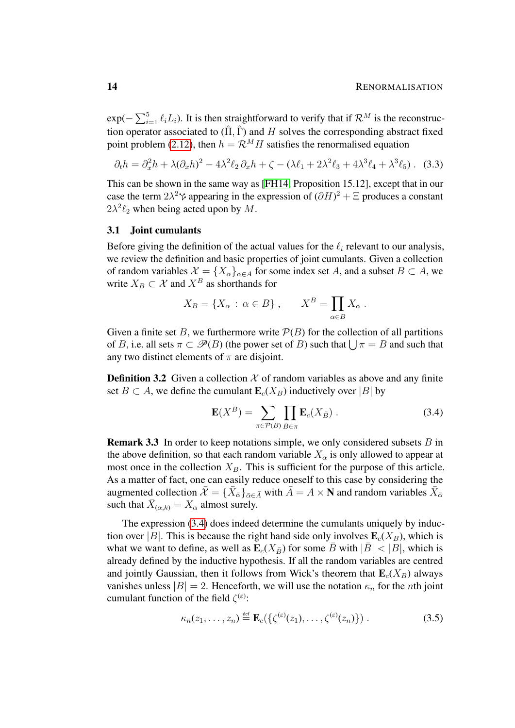$exp(-\sum_{i=1}^{5} \ell_i L_i)$ . It is then straightforward to verify that if  $\mathcal{R}^M$  is the reconstruction operator associated to  $(\hat{\Pi}, \hat{\Gamma})$  and H solves the corresponding abstract fixed point problem [\(2.12\)](#page-11-0), then  $h = \mathcal{R}^M H$  satisfies the renormalised equation

$$
\partial_t h = \partial_x^2 h + \lambda (\partial_x h)^2 - 4\lambda^2 \ell_2 \partial_x h + \zeta - (\lambda \ell_1 + 2\lambda^2 \ell_3 + 4\lambda^3 \ell_4 + \lambda^3 \ell_5). \tag{3.3}
$$

This can be shown in the same way as [\[FH14,](#page-54-6) Proposition 15.12], except that in our case the term  $2\lambda^2$   $\gamma$  appearing in the expression of  $(\partial H)^2 + \Xi$  produces a constant  $2\lambda^2 \ell_2$  when being acted upon by M.

#### <span id="page-13-0"></span>3.1 Joint cumulants

Before giving the definition of the actual values for the  $\ell_i$  relevant to our analysis, we review the definition and basic properties of joint cumulants. Given a collection of random variables  $\mathcal{X} = \{X_{\alpha}\}_{{\alpha \in A}}$  for some index set A, and a subset  $B \subset A$ , we write  $X_B \subset \mathcal{X}$  and  $X^B$  as shorthands for

<span id="page-13-1"></span>
$$
X_B = \{ X_\alpha : \alpha \in B \}, \qquad X^B = \prod_{\alpha \in B} X_\alpha.
$$

Given a finite set B, we furthermore write  $P(B)$  for the collection of all partitions of B, i.e. all sets  $\pi \subset \mathcal{P}(B)$  (the power set of B) such that  $\bigcup \pi = B$  and such that any two distinct elements of  $\pi$  are disjoint.

**Definition 3.2** Given a collection  $X$  of random variables as above and any finite set  $B \subset A$ , we define the cumulant  $\mathbf{E}_c(X_B)$  inductively over |B| by

<span id="page-13-2"></span>
$$
\mathbf{E}(X^B) = \sum_{\pi \in \mathcal{P}(B)} \prod_{\bar{B} \in \pi} \mathbf{E}_c(X_{\bar{B}}) \ . \tag{3.4}
$$

**Remark 3.3** In order to keep notations simple, we only considered subsets  $B$  in the above definition, so that each random variable  $X_\alpha$  is only allowed to appear at most once in the collection  $X_B$ . This is sufficient for the purpose of this article. As a matter of fact, one can easily reduce oneself to this case by considering the augmented collection  $\bar{\mathcal{X}} = \{ \bar{X}_{\bar{\alpha}} \}_{\bar{\alpha} \in \bar{A}}$  with  $\bar{A} = A \times \mathbf{N}$  and random variables  $\bar{X}_{\bar{\alpha}}$ such that  $\bar{X}_{(\alpha,k)} = X_\alpha$  almost surely.

The expression [\(3.4\)](#page-13-2) does indeed determine the cumulants uniquely by induction over |B|. This is because the right hand side only involves  $\mathbf{E}_c(X_B)$ , which is what we want to define, as well as  $\mathbf{E}_c(X_{\bar{B}})$  for some B with  $|B| < |B|$ , which is already defined by the inductive hypothesis. If all the random variables are centred and jointly Gaussian, then it follows from Wick's theorem that  $\mathbf{E}_c(X_B)$  always vanishes unless  $|B| = 2$ . Henceforth, we will use the notation  $\kappa_n$  for the *n*th joint cumulant function of the field  $\zeta^{(\varepsilon)}$ :

$$
\kappa_n(z_1,\ldots,z_n) \stackrel{\text{def}}{=} \mathbf{E}_c(\{\zeta^{(\varepsilon)}(z_1),\ldots,\zeta^{(\varepsilon)}(z_n)\})\,. \tag{3.5}
$$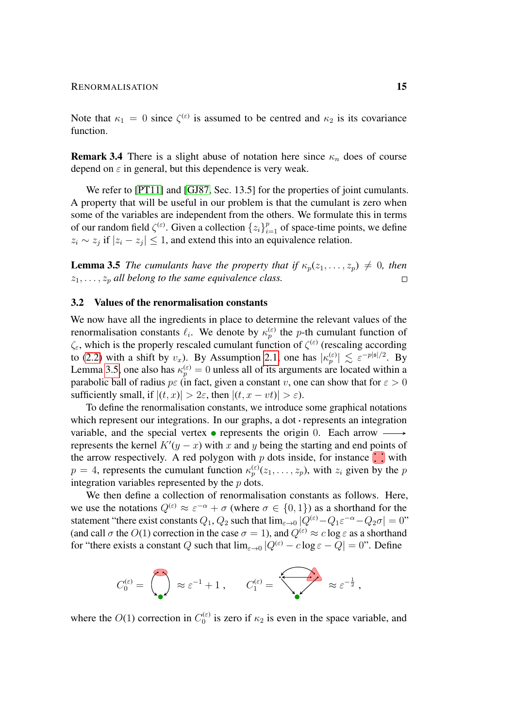Note that  $\kappa_1 = 0$  since  $\zeta^{(\varepsilon)}$  is assumed to be centred and  $\kappa_2$  is its covariance function.

**Remark 3.4** There is a slight abuse of notation here since  $\kappa_n$  does of course depend on  $\varepsilon$  in general, but this dependence is very weak.

We refer to [\[PT11\]](#page-55-1) and [\[GJ87,](#page-54-11) Sec. 13.5] for the properties of joint cumulants. A property that will be useful in our problem is that the cumulant is zero when some of the variables are independent from the others. We formulate this in terms of our random field  $\zeta^{(\varepsilon)}$ . Given a collection  $\{z_i\}_{i=1}^p$  of space-time points, we define  $z_i \sim z_j$  if  $|z_i - z_j| \leq 1$ , and extend this into an equivalence relation.

<span id="page-14-1"></span>**Lemma 3.5** *The cumulants have the property that if*  $\kappa_p(z_1, \ldots, z_p) \neq 0$ *, then*  $z_1, \ldots, z_p$  *all belong to the same equivalence class.*  $\Box$ 

#### <span id="page-14-0"></span>3.2 Values of the renormalisation constants

We now have all the ingredients in place to determine the relevant values of the renormalisation constants  $\ell_i$ . We denote by  $\kappa_p^{(\varepsilon)}$  the p-th cumulant function of  $\zeta_{\varepsilon}$ , which is the properly rescaled cumulant function of  $\zeta^{(\varepsilon)}$  (rescaling according to [\(2.2\)](#page-6-3) with a shift by  $v_x$ ). By Assumption [2.1,](#page-6-2) one has  $|\kappa_p^{(\varepsilon)}| \lesssim \varepsilon^{-p|\mathfrak{s}|/2}$ . By Lemma [3.5,](#page-14-1) one also has  $\kappa_p^{(\varepsilon)} = 0$  unless all of its arguments are located within a parabolic ball of radius  $p \in \mathfrak{c}$  in fact, given a constant v, one can show that for  $\varepsilon > 0$ sufficiently small, if  $|(t, x)| > 2\varepsilon$ , then  $|(t, x - vt)| > \varepsilon$ ).

To define the renormalisation constants, we introduce some graphical notations which represent our integrations. In our graphs, a dot  $\cdot$  represents an integration variable, and the special vertex  $\bullet$  represents the origin 0. Each arrow represents the kernel  $K'(y - x)$  with x and y being the starting and end points of the arrow respectively. A red polygon with  $p$  dots inside, for instance  $\ddot{\cdot}$  with  $p = 4$ , represents the cumulant function  $\kappa_p^{(\varepsilon)}(z_1, \ldots, z_p)$ , with  $z_i$  given by the p integration variables represented by the  $p$  dots.

We then define a collection of renormalisation constants as follows. Here, we use the notations  $Q^{(\varepsilon)} \approx \varepsilon^{-\alpha} + \sigma$  (where  $\sigma \in \{0, 1\}$ ) as a shorthand for the statement "there exist constants  $Q_1, Q_2$  such that  $\lim_{\varepsilon \to 0} |Q^{(\varepsilon)} - Q_1 \varepsilon^{-\alpha} - Q_2 \sigma| = 0$ " (and call  $\sigma$  the  $O(1)$  correction in the case  $\sigma = 1$ ), and  $Q^{(\varepsilon)} \approx c \log \varepsilon$  as a shorthand for "there exists a constant Q such that  $\lim_{\varepsilon \to 0} |Q^{(\varepsilon)} - c \log \varepsilon - Q| = 0$ ". Define

$$
C_0^{(\varepsilon)} = \begin{pmatrix} \cdot \\ \cdot \\ \cdot \end{pmatrix} \approx \varepsilon^{-1} + 1 \,, \qquad C_1^{(\varepsilon)} = \begin{pmatrix} \cdot \\ \cdot \end{pmatrix} \approx \varepsilon^{-\frac{1}{2}} \,,
$$

where the  $O(1)$  correction in  $C_0^{(\varepsilon)}$  $\int_0^{(\epsilon)}$  is zero if  $\kappa_2$  is even in the space variable, and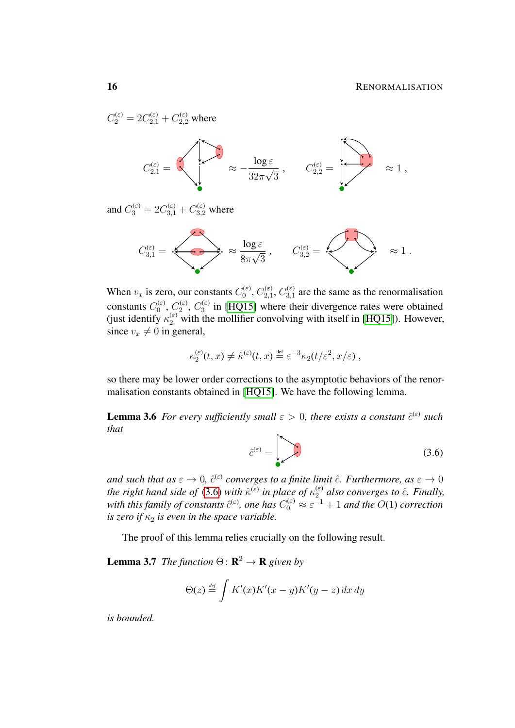$C_2^{(\varepsilon)} = 2C_{2,1}^{(\varepsilon)} + C_{2,2}^{(\varepsilon)}$  where

$$
C_{2,1}^{(\varepsilon)} = \sqrt{\sum_{2,2\pi}^{(\varepsilon)}\frac{ \log \varepsilon}{32\pi \sqrt{3}}}\;,\qquad C_{2,2}^{(\varepsilon)} = \sqrt{\sum_{2,2\pi}^{(\varepsilon)}\frac{1}{\sqrt{3}}}\;,\qquad \varepsilon\leq 1\;,
$$

and  $C_3^{(\varepsilon)} = 2C_{3,1}^{(\varepsilon)} + C_{3,2}^{(\varepsilon)}$  where



When  $v_x$  is zero, our constants  $C_0^{(\varepsilon)}$  $_{0}^{\mathstrut(\varepsilon)},$   $C_{2,1}^{(\varepsilon)}$  $\stackrel{\scriptscriptstyle(\varepsilon)}{_{2,1}},\stackrel{\scriptscriptstyle(\varepsilon)}{C_{3,1}^{(\varepsilon)}}$  $3,1$  are the same as the renormalisation constants  $C_0^{(\varepsilon)}$  $\stackrel{\scriptscriptstyle\scriptscriptstyle( (\varepsilon ),\vphantom{a})}{0},\stackrel{\scriptscriptstyle( (\varepsilon ),\varepsilon)}{2}$  $\binom{\varepsilon}{2}$ ,  $C_3^{(\varepsilon)}$  $\binom{10}{3}$  in [\[HQ15\]](#page-54-8) where their divergence rates were obtained (just identify  $\kappa_2^{(\varepsilon)}$  with the mollifier convolving with itself in [\[HQ15\]](#page-54-8)). However, since  $v_x \neq 0$  in general,

$$
\kappa_2^{(\varepsilon)}(t,x) \neq \hat{\kappa}^{(\varepsilon)}(t,x) \stackrel{\text{def}}{=} \varepsilon^{-3} \kappa_2(t/\varepsilon^2, x/\varepsilon) ,
$$

so there may be lower order corrections to the asymptotic behaviors of the renormalisation constants obtained in [\[HQ15\]](#page-54-8). We have the following lemma.

<span id="page-15-1"></span>**Lemma 3.6** For every sufficiently small  $\varepsilon > 0$ , there exists a constant  $\hat{c}^{(\varepsilon)}$  such *that*

<span id="page-15-0"></span>
$$
\hat{c}^{(\varepsilon)} = \left( \sum_{i=1}^{\infty} c_i \right) \tag{3.6}
$$

and such that as  $\varepsilon \to 0$ ,  $\hat{c}^{(\varepsilon)}$  converges to a finite limit  $\hat{c}$ . Furthermore, as  $\varepsilon \to 0$ *the right hand side of* [\(3.6\)](#page-15-0) *with*  $\hat{\kappa}^{(\varepsilon)}$  *in place of*  $\kappa_2^{(\varepsilon)}$  *also converges to*  $\hat{c}$ *. Finally,* with this family of constants  $\hat{c}^{(\varepsilon)}$ , one has  $C_0^{(\varepsilon)} \approx \varepsilon^{-1} + 1$  and the  $O(1)$  correction *is zero if*  $\kappa_2$  *is even in the space variable.* 

The proof of this lemma relies crucially on the following result.

<span id="page-15-2"></span>**Lemma 3.7** *The function*  $\Theta$ :  $\mathbb{R}^2 \to \mathbb{R}$  *given by* 

$$
\Theta(z) \stackrel{\text{\tiny def}}{=} \int K'(x)K'(x-y)K'(y-z) \, dx \, dy
$$

*is bounded.*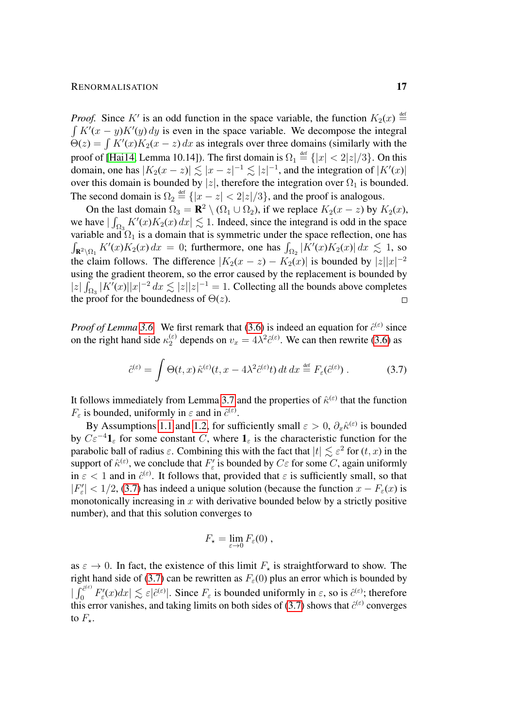#### RENORMALISATION 17

*Proof.* Since K' is an odd function in the space variable, the function  $K_2(x) \stackrel{\text{def}}{=}$  $\int K'(x - y) K'(y) dy$  is even in the space variable. We decompose the integral  $\Theta(z) = \int K'(x)K_2(x - z) dx$  as integrals over three domains (similarly with the proof of [\[Hai14,](#page-54-4) Lemma 10.14]). The first domain is  $\Omega_1 \stackrel{\text{def}}{=} \{|x| < 2|z|/3\}$ . On this domain, one has  $|K_2(x-z)| \lesssim |x-z|^{-1} \lesssim |z|^{-1}$ , and the integration of  $|K'(x)|$ over this domain is bounded by |z|, therefore the integration over  $\Omega_1$  is bounded. The second domain is  $\Omega_2 \triangleq {\vert x - z \vert < 2 \vert z \vert / 3}$ , and the proof is analogous.

On the last domain  $\Omega_3 = \mathbf{R}^2 \setminus (\Omega_1 \cup \Omega_2)$ , if we replace  $K_2(x - z)$  by  $K_2(x)$ , we have  $|\int_{\Omega_3} K'(x)K_2(x) dx| \lesssim 1$ . Indeed, since the integrand is odd in the space variable and  $\Omega_1$  is a domain that is symmetric under the space reflection, one has  $\int_{\mathbf{R}^2 \setminus \Omega_1} K'(x)K_2(x) dx = 0$ ; furthermore, one has  $\int_{\Omega_2} |K'(x)K_2(x)| dx \lesssim 1$ , so the claim follows. The difference  $|K_2(x - z) - K_2(x)|$  is bounded by  $|z||x|^{-2}$ using the gradient theorem, so the error caused by the replacement is bounded by  $|z| \int_{\Omega_3} |K'(x)| |x|^{-2} dx \lesssim |z||z|^{-1} = 1$ . Collecting all the bounds above completes the proof for the boundedness of  $\Theta(z)$ .

*Proof of Lemma* [3.6.](#page-15-1) We first remark that [\(3.6\)](#page-15-0) is indeed an equation for  $\hat{c}^{(\varepsilon)}$  since on the right hand side  $\kappa_2^{(\varepsilon)}$  depends on  $v_x = 4\lambda^2 \hat{c}^{(\varepsilon)}$ . We can then rewrite [\(3.6\)](#page-15-0) as

$$
\hat{c}^{(\varepsilon)} = \int \Theta(t, x) \, \hat{\kappa}^{(\varepsilon)}(t, x - 4\lambda^2 \hat{c}^{(\varepsilon)}t) \, dt \, dx \stackrel{\text{def}}{=} F_{\varepsilon}(\hat{c}^{(\varepsilon)}) \,. \tag{3.7}
$$

It follows immediately from Lemma [3.7](#page-15-2) and the properties of  $\hat{\kappa}^{(\varepsilon)}$  that the function  $F_{\varepsilon}$  is bounded, uniformly in  $\varepsilon$  and in  $\hat{c}^{(\varepsilon)}$ .

By Assumptions [1.1](#page-2-0) and [1.2,](#page-3-1) for sufficiently small  $\varepsilon > 0$ ,  $\partial_x \hat{\kappa}^{(\varepsilon)}$  is bounded by  $C\varepsilon^{-4} \mathbf{1}_{\varepsilon}$  for some constant C, where  $\mathbf{1}_{\varepsilon}$  is the characteristic function for the parabolic ball of radius  $\varepsilon$ . Combining this with the fact that  $|t| \lesssim \varepsilon^2$  for  $(t, x)$  in the support of  $\hat{\kappa}^{(\varepsilon)}$ , we conclude that  $F'_{\varepsilon}$  is bounded by  $C\varepsilon$  for some C, again uniformly in  $\varepsilon$  < 1 and in  $\hat{c}^{(\varepsilon)}$ . It follows that, provided that  $\varepsilon$  is sufficiently small, so that  $|F'_{\varepsilon}| < 1/2$ , [\(3.7\)](#page-16-0) has indeed a unique solution (because the function  $x - F_{\varepsilon}(x)$  is monotonically increasing in  $x$  with derivative bounded below by a strictly positive number), and that this solution converges to

<span id="page-16-0"></span>
$$
F_{\star} = \lim_{\varepsilon \to 0} F_{\varepsilon}(0) ,
$$

as  $\varepsilon \to 0$ . In fact, the existence of this limit  $F_{\star}$  is straightforward to show. The right hand side of [\(3.7\)](#page-16-0) can be rewritten as  $F_{\varepsilon}(0)$  plus an error which is bounded by  $\int_0^{\hat{c}^{(\varepsilon)}}$  $\int_0^{\hat{c}^{(\varepsilon)}} F'_{\varepsilon}(x) dx \leq \varepsilon |\hat{c}^{(\varepsilon)}|$ . Since  $F_{\varepsilon}$  is bounded uniformly in  $\varepsilon$ , so is  $\hat{c}^{(\varepsilon)}$ ; therefore this error vanishes, and taking limits on both sides of [\(3.7\)](#page-16-0) shows that  $\hat{c}^{(\varepsilon)}$  converges to  $F_{\star}$ .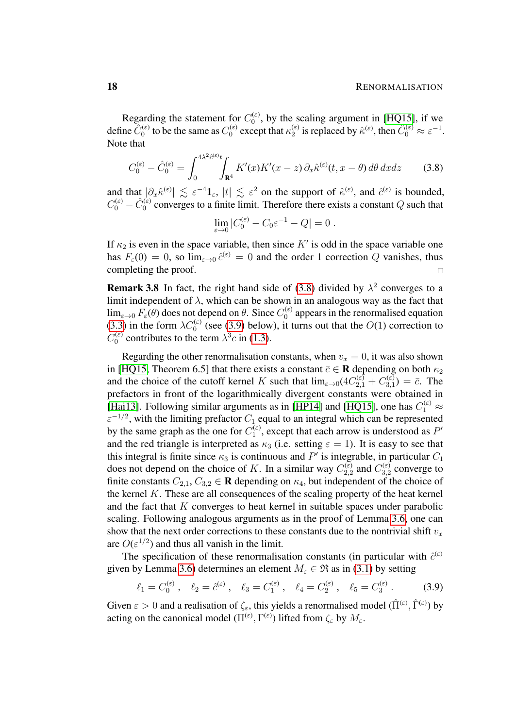Regarding the statement for  $C_0^{(\varepsilon)}$  $_{0}^{(\epsilon)}$ , by the scaling argument in [\[HQ15\]](#page-54-8), if we define  $\hat{C}_0^{(\varepsilon)}$  to be the same as  $C_0^{(\varepsilon)}$  $n_0^{(\varepsilon)}$  except that  $\kappa_2^{(\varepsilon)}$  $\hat{C}_2^{(\varepsilon)}$  is replaced by  $\hat{\kappa}^{(\varepsilon)}$ , then  $\hat{C}_0^{(\varepsilon)} \approx \varepsilon^{-1}$ . Note that

$$
C_0^{(\varepsilon)} - \hat{C}_0^{(\varepsilon)} = \int_0^{4\lambda^2 \hat{c}^{(\varepsilon)} t} \int_{\mathbf{R}^4} K'(x) K'(x - z) \, \partial_x \hat{\kappa}^{(\varepsilon)}(t, x - \theta) \, d\theta \, dx dz \tag{3.8}
$$

and that  $|\partial_x \hat{\kappa}^{(\varepsilon)}| \lesssim \varepsilon^{-4} \mathbf{1}_{\varepsilon}$ ,  $|t| \lesssim \varepsilon^2$  on the support of  $\hat{\kappa}^{(\varepsilon)}$ , and  $\hat{c}^{(\varepsilon)}$  is bounded,  $C_0^{(\varepsilon)} - \hat{C}_0^{(\varepsilon)}$  converges to a finite limit. Therefore there exists a constant Q such that

<span id="page-17-1"></span>
$$
\lim_{\varepsilon \to 0} |C_0^{(\varepsilon)} - C_0 \varepsilon^{-1} - Q| = 0.
$$

If  $\kappa_2$  is even in the space variable, then since K' is odd in the space variable one has  $F_{\varepsilon}(0) = 0$ , so  $\lim_{\varepsilon \to 0} \hat{c}^{(\varepsilon)} = 0$  and the order 1 correction Q vanishes, thus completing the proof.  $\Box$ 

**Remark 3.8** In fact, the right hand side of [\(3.8\)](#page-17-1) divided by  $\lambda^2$  converges to a limit independent of  $\lambda$ , which can be shown in an analogous way as the fact that  $\lim_{\varepsilon \to 0} F_{\varepsilon}(\theta)$  does not depend on  $\theta$ . Since  $C_0^{(\varepsilon)}$  $0<sup>(E)</sup>$  appears in the renormalised equation [\(3.3\)](#page-13-1) in the form  $\lambda C_0^{(\varepsilon)}$  (see [\(3.9\)](#page-17-0) below), it turns out that the  $O(1)$  correction to  $C_0^{(\varepsilon)}$  $\chi_0^{(\varepsilon)}$  contributes to the term  $\lambda^3 c$  in [\(1.3\)](#page-3-2).

Regarding the other renormalisation constants, when  $v_x = 0$ , it was also shown in [\[HQ15,](#page-54-8) Theorem 6.5] that there exists a constant  $\bar{c} \in \mathbf{R}$  depending on both  $\kappa_2$ and the choice of the cutoff kernel K such that  $\lim_{\varepsilon \to 0} (4C_{2,1}^{(\varepsilon)} + C_{3,1}^{(\varepsilon)})$  $\bar{c}_{3,1}^{(\varepsilon)}$ ) =  $\bar{c}$ . The prefactors in front of the logarithmically divergent constants were obtained in [\[Hai13\]](#page-54-3). Following similar arguments as in [\[HP14\]](#page-54-7) and [\[HQ15\]](#page-54-8), one has  $C_1^{(\varepsilon)} \approx$  $\varepsilon^{-1/2}$ , with the limiting prefactor  $C_1$  equal to an integral which can be represented by the same graph as the one for  $C_1^{(\varepsilon)}$  $I_1^{(\epsilon)}$ , except that each arrow is understood as  $P'$ and the red triangle is interpreted as  $\kappa_3$  (i.e. setting  $\varepsilon = 1$ ). It is easy to see that this integral is finite since  $\kappa_3$  is continuous and P' is integrable, in particular  $C_1$ does not depend on the choice of K. In a similar way  $C_{2,2}^{(\varepsilon)}$  $C_{2,2}^{(\varepsilon)}$  and  $C_{3,2}^{(\varepsilon)}$  $\frac{d^{(ε)}}{3,2}$  converge to finite constants  $C_{2,1}$ ,  $C_{3,2} \in \mathbf{R}$  depending on  $\kappa_4$ , but independent of the choice of the kernel  $K$ . These are all consequences of the scaling property of the heat kernel and the fact that  $K$  converges to heat kernel in suitable spaces under parabolic scaling. Following analogous arguments as in the proof of Lemma [3.6,](#page-15-1) one can show that the next order corrections to these constants due to the nontrivial shift  $v_x$ are  $O(\varepsilon^{1/2})$  and thus all vanish in the limit.

The specification of these renormalisation constants (in particular with  $\hat{c}^{(\varepsilon)}$ given by Lemma [3.6\)](#page-15-1) determines an element  $M_{\varepsilon} \in \mathfrak{R}$  as in [\(3.1\)](#page-12-2) by setting

<span id="page-17-0"></span>
$$
\ell_1 = C_0^{(\varepsilon)}, \quad \ell_2 = \hat{c}^{(\varepsilon)}, \quad \ell_3 = C_1^{(\varepsilon)}, \quad \ell_4 = C_2^{(\varepsilon)}, \quad \ell_5 = C_3^{(\varepsilon)}.
$$
 (3.9)

Given  $\varepsilon > 0$  and a realisation of  $\zeta_{\varepsilon}$ , this yields a renormalised model  $(\hat{\Pi}^{(\varepsilon)}, \hat{\Gamma}^{(\varepsilon)})$  by acting on the canonical model  $(\Pi^{(\varepsilon)}, \Gamma^{(\varepsilon)})$  lifted from  $\zeta_{\varepsilon}$  by  $M_{\varepsilon}$ .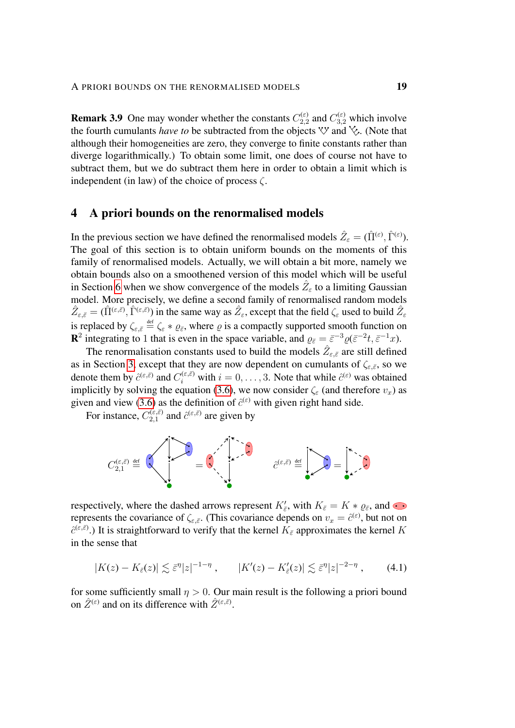**Remark 3.9** One may wonder whether the constants  $C_{2,2}^{(\varepsilon)}$  $C_{2,2}^{(\varepsilon)}$  and  $C_{3,2}^{(\varepsilon)}$  which involve the fourth cumulants *have to* be subtracted from the objects  $\forall y$  and  $\forall z$ . (Note that although their homogeneities are zero, they converge to finite constants rather than diverge logarithmically.) To obtain some limit, one does of course not have to subtract them, but we do subtract them here in order to obtain a limit which is independent (in law) of the choice of process  $\zeta$ .

# <span id="page-18-0"></span>4 A priori bounds on the renormalised models

In the previous section we have defined the renormalised models  $\hat{Z}_{\varepsilon} = (\hat{\Pi}^{(\varepsilon)}, \hat{\Gamma}^{(\varepsilon)})$ . The goal of this section is to obtain uniform bounds on the moments of this family of renormalised models. Actually, we will obtain a bit more, namely we obtain bounds also on a smoothened version of this model which will be useful in Section [6](#page-47-0) when we show convergence of the models  $\hat{Z}_{\varepsilon}$  to a limiting Gaussian model. More precisely, we define a second family of renormalised random models  $\hat{Z}_{\varepsilon,\bar{\varepsilon}} = (\hat{\Pi}^{(\varepsilon,\bar{\varepsilon})},\hat{\Gamma}^{(\varepsilon,\bar{\varepsilon})})$  in the same way as  $\hat{Z}_{\varepsilon}$ , except that the field  $\zeta_{\varepsilon}$  used to build  $\hat{Z}_{\varepsilon}$ is replaced by  $\zeta_{\varepsilon,\bar{\varepsilon}} \stackrel{\text{def}}{=} \zeta_{\varepsilon} * \varrho_{\bar{\varepsilon}}$ , where  $\varrho$  is a compactly supported smooth function on **R**<sup>2</sup> integrating to 1 that is even in the space variable, and  $\varrho_{\bar{\varepsilon}} = \bar{\varepsilon}^{-3} \varrho (\bar{\varepsilon}^{-2} t, \bar{\varepsilon}^{-1} x)$ .

The renormalisation constants used to build the models  $\hat{Z}_{\varepsilon,\bar{\varepsilon}}$  are still defined as in Section [3,](#page-12-0) except that they are now dependent on cumulants of  $\zeta_{\varepsilon,\bar{\varepsilon}}$ , so we denote them by  $\hat{c}^{(\varepsilon,\bar{\varepsilon})}$  and  $C_i^{(\varepsilon,\bar{\varepsilon})}$  with  $i=0,\ldots,3$ . Note that while  $\hat{c}^{(\varepsilon)}$  was obtained implicitly by solving the equation [\(3.6\)](#page-15-0), we now consider  $\zeta_{\varepsilon}$  (and therefore  $v_x$ ) as given and view [\(3.6\)](#page-15-0) as the definition of  $\hat{c}^{(\varepsilon)}$  with given right hand side.

For instance,  $C_{2,1}^{(\varepsilon,\bar{\varepsilon})}$  $i_{2,1}^{(\varepsilon,\bar{\varepsilon})}$  and  $\hat{c}^{(\varepsilon,\bar{\varepsilon})}$  are given by



respectively, where the dashed arrows represent  $K'_{\bar{\varepsilon}}$ , with  $K_{\bar{\varepsilon}} = K * \varrho_{\bar{\varepsilon}}$ , and represents the covariance of  $\zeta_{\varepsilon,\bar{\varepsilon}}$ . (This covariance depends on  $v_x = \hat{c}^{(\varepsilon)}$ , but not on  $\hat{c}^{(\varepsilon,\bar{\varepsilon})}$ .) It is straightforward to verify that the kernel  $K_{\bar{\varepsilon}}$  approximates the kernel K in the sense that

<span id="page-18-2"></span>
$$
|K(z) - K_{\bar{\varepsilon}}(z)| \lesssim \bar{\varepsilon}^{\eta} |z|^{-1-\eta} , \qquad |K'(z) - K'_{\bar{\varepsilon}}(z)| \lesssim \bar{\varepsilon}^{\eta} |z|^{-2-\eta} , \qquad (4.1)
$$

<span id="page-18-1"></span>for some sufficiently small  $n > 0$ . Our main result is the following a priori bound on  $\hat{Z}^{(\varepsilon)}$  and on its difference with  $\hat{Z}^{(\varepsilon,\bar{\varepsilon})}$ .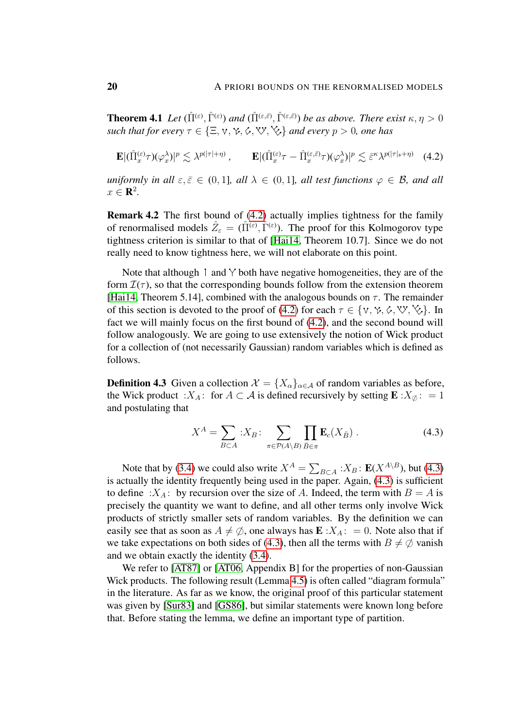**Theorem 4.1** Let  $(\hat{\Pi}^{(\varepsilon)}, \hat{\Gamma}^{(\varepsilon)})$  and  $(\hat{\Pi}^{(\varepsilon,\bar{\varepsilon})}, \hat{\Gamma}^{(\varepsilon,\bar{\varepsilon})})$  be as above. There exist  $\kappa, \eta > 0$ *such that for every*  $\tau \in \{\Xi, \forall, \forall, \Diamond, \forall, \Diamond, \forall\}$  *and every*  $p > 0$ *, one has* 

<span id="page-19-0"></span>
$$
\mathbf{E} |(\hat{\Pi}_{x}^{(\varepsilon)} \tau)(\varphi_{x}^{\lambda})|^{p} \lesssim \lambda^{p(|\tau| + \eta)}, \qquad \mathbf{E} |(\hat{\Pi}_{x}^{(\varepsilon)} \tau - \hat{\Pi}_{x}^{(\varepsilon, \bar{\varepsilon})} \tau)(\varphi_{x}^{\lambda})|^{p} \lesssim \bar{\varepsilon}^{\kappa} \lambda^{p(|\tau|_{\mathfrak{s}} + \eta)} \quad (4.2)
$$

*uniformly in all*  $\varepsilon, \bar{\varepsilon} \in (0, 1]$ *, all*  $\lambda \in (0, 1]$ *, all test functions*  $\varphi \in \mathcal{B}$ *, and all*  $x \in \mathbf{R}^2$ .

Remark 4.2 The first bound of [\(4.2\)](#page-19-0) actually implies tightness for the family of renormalised models  $\hat{Z}_{\varepsilon} = (\hat{\Pi}^{(\varepsilon)}, \hat{\Gamma}^{(\varepsilon)})$ . The proof for this Kolmogorov type tightness criterion is similar to that of [\[Hai14,](#page-54-4) Theorem 10.7]. Since we do not really need to know tightness here, we will not elaborate on this point.

Note that although  $\dot{\phantom{a}}$  and  $\dot{\phantom{a}}$  both have negative homogeneities, they are of the form  $\mathcal{I}(\tau)$ , so that the corresponding bounds follow from the extension theorem [\[Hai14,](#page-54-4) Theorem 5.14], combined with the analogous bounds on  $\tau$ . The remainder of this section is devoted to the proof of [\(4.2\)](#page-19-0) for each  $\tau \in \{v, \gamma, \phi, \forall, \forall, \exists$ . In fact we will mainly focus on the first bound of [\(4.2\)](#page-19-0), and the second bound will follow analogously. We are going to use extensively the notion of Wick product for a collection of (not necessarily Gaussian) random variables which is defined as follows.

<span id="page-19-2"></span>**Definition 4.3** Given a collection  $\mathcal{X} = \{X_{\alpha}\}_{{\alpha} \in \mathcal{A}}\}$  of random variables as before, the Wick product : $X_A$ : for  $A \subset \mathcal{A}$  is defined recursively by setting  $\mathbf{E}$  :  $X_{\emptyset}$ : = 1 and postulating that

<span id="page-19-1"></span>
$$
X^{A} = \sum_{B \subset A} :X_{B}: \sum_{\pi \in \mathcal{P}(A \setminus B)} \prod_{\bar{B} \in \pi} \mathbf{E}_{c}(X_{\bar{B}}).
$$
 (4.3)

Note that by [\(3.4\)](#page-13-2) we could also write  $X^A = \sum_{B \subset A} X_B$ :  $\mathbf{E}(X^{A \setminus B})$ , but [\(4.3\)](#page-19-1) is actually the identity frequently being used in the paper. Again, [\(4.3\)](#page-19-1) is sufficient to define :  $X_A$ : by recursion over the size of A. Indeed, the term with  $B = A$  is precisely the quantity we want to define, and all other terms only involve Wick products of strictly smaller sets of random variables. By the definition we can easily see that as soon as  $A \neq \emptyset$ , one always has  $\mathbf{E} : X_A : = 0$ . Note also that if we take expectations on both sides of [\(4.3\)](#page-19-1), then all the terms with  $B \neq \emptyset$  vanish and we obtain exactly the identity [\(3.4\)](#page-13-2).

<span id="page-19-3"></span>We refer to [\[AT87\]](#page-53-8) or [\[AT06,](#page-53-9) Appendix B] for the properties of non-Gaussian Wick products. The following result (Lemma [4.5\)](#page-20-0) is often called "diagram formula" in the literature. As far as we know, the original proof of this particular statement was given by [\[Sur83\]](#page-55-2) and [\[GS86\]](#page-54-12), but similar statements were known long before that. Before stating the lemma, we define an important type of partition.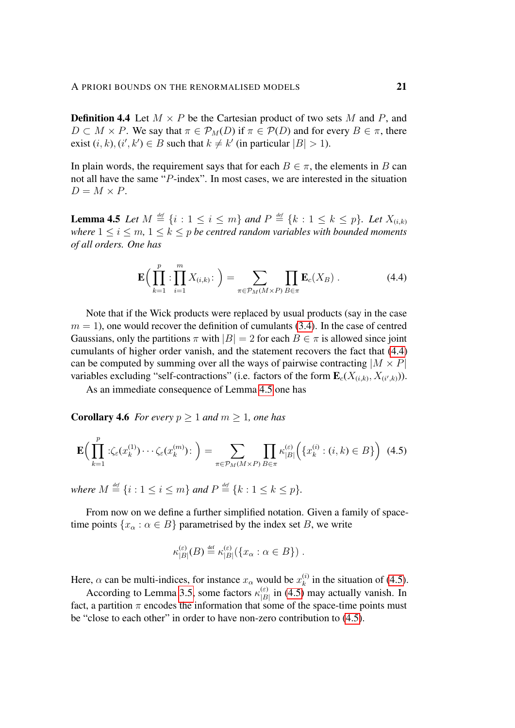**Definition 4.4** Let  $M \times P$  be the Cartesian product of two sets M and P, and  $D \subset M \times P$ . We say that  $\pi \in \mathcal{P}_M(D)$  if  $\pi \in \mathcal{P}(D)$  and for every  $B \in \pi$ , there exist  $(i, k), (i', k') \in B$  such that  $k \neq k'$  (in particular  $|B| > 1$ ).

In plain words, the requirement says that for each  $B \in \pi$ , the elements in B can not all have the same "P-index". In most cases, we are interested in the situation  $D = M \times P$ .

<span id="page-20-0"></span>**Lemma 4.5** Let  $M \stackrel{\text{\tiny def}}{=} \{i : 1 \leq i \leq m\}$  and  $P \stackrel{\text{\tiny def}}{=} \{k : 1 \leq k \leq p\}$ . Let  $X_{(i,k)}$ *where*  $1 \le i \le m$ ,  $1 \le k \le p$  *be centred random variables with bounded moments of all orders. One has*

<span id="page-20-3"></span><span id="page-20-1"></span>
$$
\mathbf{E}\Big(\prod_{k=1}^p:\prod_{i=1}^m X_{(i,k)}:\Big)=\sum_{\pi\in\mathcal{P}_M(M\times P)}\prod_{B\in\pi}\mathbf{E}_c(X_B)\ .\tag{4.4}
$$

Note that if the Wick products were replaced by usual products (say in the case  $m = 1$ , one would recover the definition of cumulants [\(3.4\)](#page-13-2). In the case of centred Gaussians, only the partitions  $\pi$  with  $|B| = 2$  for each  $B \in \pi$  is allowed since joint cumulants of higher order vanish, and the statement recovers the fact that [\(4.4\)](#page-20-1) can be computed by summing over all the ways of pairwise contracting  $|M \times P|$ variables excluding "self-contractions" (i.e. factors of the form  $\mathbf{E}_c(X_{(i,k)}, X_{(i',k)}))$ .

As an immediate consequence of Lemma [4.5](#page-20-0) one has

**Corollary 4.6** *For every*  $p \ge 1$  *and*  $m \ge 1$ *, one has* 

$$
\mathbf{E}\Big(\prod_{k=1}^p: \zeta_{\varepsilon}(x_k^{(1)})\cdots\zeta_{\varepsilon}(x_k^{(m)})\Big) = \sum_{\pi \in \mathcal{P}_M(M \times P)} \prod_{B \in \pi} \kappa_{|B|}^{(\varepsilon)}\Big(\{x_k^{(i)}: (i,k) \in B\}\Big) \tag{4.5}
$$

*where*  $M \stackrel{\text{def}}{=} \{i : 1 \le i \le m\}$  *and*  $P \stackrel{\text{def}}{=} \{k : 1 \le k \le p\}.$ 

From now on we define a further simplified notation. Given a family of spacetime points  $\{x_\alpha : \alpha \in B\}$  parametrised by the index set B, we write

<span id="page-20-2"></span>
$$
\kappa_{|B|}^{(\varepsilon)}(B) \stackrel{\text{def}}{=} \kappa_{|B|}^{(\varepsilon)}(\{x_\alpha : \alpha \in B\}) .
$$

Here,  $\alpha$  can be multi-indices, for instance  $x_{\alpha}$  would be  $x_k^{(i)}$  $\binom{n}{k}$  in the situation of [\(4.5\)](#page-20-2).

According to Lemma [3.5,](#page-14-1) some factors  $\kappa_{\text{B}}^{(\varepsilon)}$  $\binom{\epsilon}{|B|}$  in [\(4.5\)](#page-20-2) may actually vanish. In fact, a partition  $\pi$  encodes the information that some of the space-time points must be "close to each other" in order to have non-zero contribution to [\(4.5\)](#page-20-2).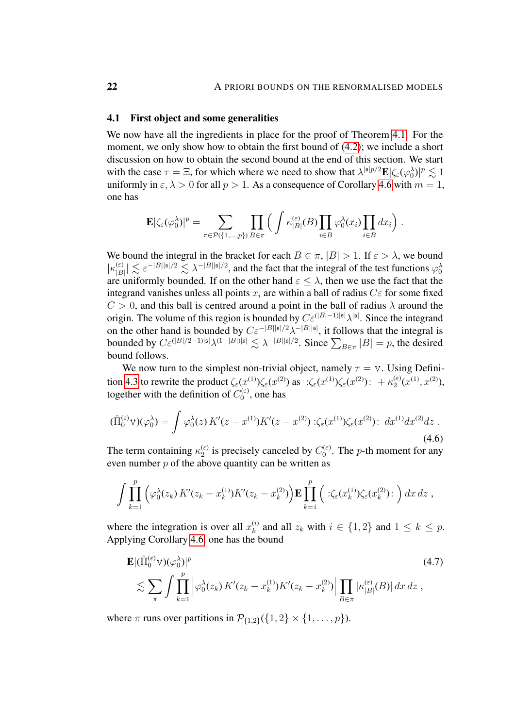## <span id="page-21-0"></span>4.1 First object and some generalities

We now have all the ingredients in place for the proof of Theorem [4.1.](#page-18-1) For the moment, we only show how to obtain the first bound of [\(4.2\)](#page-19-0); we include a short discussion on how to obtain the second bound at the end of this section. We start with the case  $\tau = \Xi$ , for which where we need to show that  $\lambda^{|s|p/2} \mathbf{E} |\zeta_{\varepsilon}(\varphi_0^{\lambda})|^p \lesssim 1$ uniformly in  $\varepsilon$ ,  $\lambda > 0$  for all  $p > 1$ . As a consequence of Corollary [4.6](#page-20-3) with  $m = 1$ , one has

$$
\mathbf{E}|\zeta_{\varepsilon}(\varphi_0^{\lambda})|^p = \sum_{\pi \in \mathcal{P}(\{1,\dots,p\})} \prod_{B \in \pi} \left( \int \kappa_{|B|}^{(\varepsilon)}(B) \prod_{i \in B} \varphi_0^{\lambda}(x_i) \prod_{i \in B} dx_i \right).
$$

We bound the integral in the bracket for each  $B \in \pi$ ,  $|B| > 1$ . If  $\varepsilon > \lambda$ , we bound  $|\kappa_{\text{B}}^{(\varepsilon)}\rangle$  $|\epsilon_{|B|}^{(\epsilon)}| \lesssim \epsilon^{-|B||\mathfrak{s}|/2} \lesssim \lambda^{-|B||\mathfrak{s}|/2}$ , and the fact that the integral of the test functions  $\varphi_0^{\lambda}$ are uniformly bounded. If on the other hand  $\varepsilon \leq \lambda$ , then we use the fact that the integrand vanishes unless all points  $x_i$  are within a ball of radius  $C\varepsilon$  for some fixed  $C > 0$ , and this ball is centred around a point in the ball of radius  $\lambda$  around the origin. The volume of this region is bounded by  $C\varepsilon^{(|B|-1)|\mathfrak{s}|}\lambda^{|\mathfrak{s}|}$ . Since the integrand on the other hand is bounded by  $C\varepsilon^{-|B||\mathfrak{s}|/2}\lambda^{-|B||\mathfrak{s}|}$ , it follows that the integral is bounded by  $C \varepsilon^{(|B|/2-1)|\mathfrak{s}|} \lambda^{(1-|B|)|\mathfrak{s}|} \lesssim \lambda^{-|B||\mathfrak{s}|/2}$ . Since  $\sum_{B \in \pi} |B| = p$ , the desired bound follows.

We now turn to the simplest non-trivial object, namely  $\tau = v$ . Using Defini-tion [4.3](#page-19-2) to rewrite the product  $\zeta_{\varepsilon}(x^{(1)})\zeta_{\varepsilon}(x^{(2)})$  as  $\therefore \zeta_{\varepsilon}(x^{(1)})\zeta_{\varepsilon}(x^{(2)})\colon +\kappa_2^{(\varepsilon)}$  $x^{(\varepsilon)}(x^{(1)}, x^{(2)}),$ together with the definition of  $C_0^{(\varepsilon)}$  $\binom{1}{0}$ , one has

$$
(\hat{\Pi}_0^{(\varepsilon)} \mathbf{v})(\varphi_0^{\lambda}) = \int \varphi_0^{\lambda}(z) \, K'(z - x^{(1)}) K'(z - x^{(2)}) : \zeta_{\varepsilon}(x^{(1)}) \zeta_{\varepsilon}(x^{(2)}) : dx^{(1)} dx^{(2)} dz \; . \tag{4.6}
$$

The term containing  $\kappa_2^{(\varepsilon)}$  $\binom{\epsilon}{2}$  is precisely canceled by  $C_0^{(\epsilon)}$  $\binom{1}{0}$ . The *p*-th moment for any even number  $p$  of the above quantity can be written as

<span id="page-21-2"></span>
$$
\int \prod_{k=1}^p \left( \varphi_0^{\lambda}(z_k) K'(z_k - x_k^{(1)}) K'(z_k - x_k^{(2)}) \right) \mathbf{E} \prod_{k=1}^p \left( \cdot \zeta_{\varepsilon}(x_k^{(1)}) \zeta_{\varepsilon}(x_k^{(2)}) \cdot \right) dx dz ,
$$

where the integration is over all  $x_k^{(i)}$  $\binom{n}{k}$  and all  $z_k$  with  $i \in \{1,2\}$  and  $1 \leq k \leq p$ . Applying Corollary [4.6,](#page-20-3) one has the bound

<span id="page-21-1"></span>
$$
\mathbf{E} |(\hat{\Pi}_0^{(\varepsilon)} \mathbf{v})(\varphi_0^{\lambda})|^p \n\lesssim \sum_{\pi} \int \prod_{k=1}^p |\varphi_0^{\lambda}(z_k) K'(z_k - x_k^{(1)}) K'(z_k - x_k^{(2)}) \Big| \prod_{B \in \pi} |\kappa_{|B|}^{(\varepsilon)}(B)| dx dz ,
$$
\n(4.7)

where  $\pi$  runs over partitions in  $\mathcal{P}_{\{1,2\}}(\{1,2\} \times \{1,\ldots,p\})$ .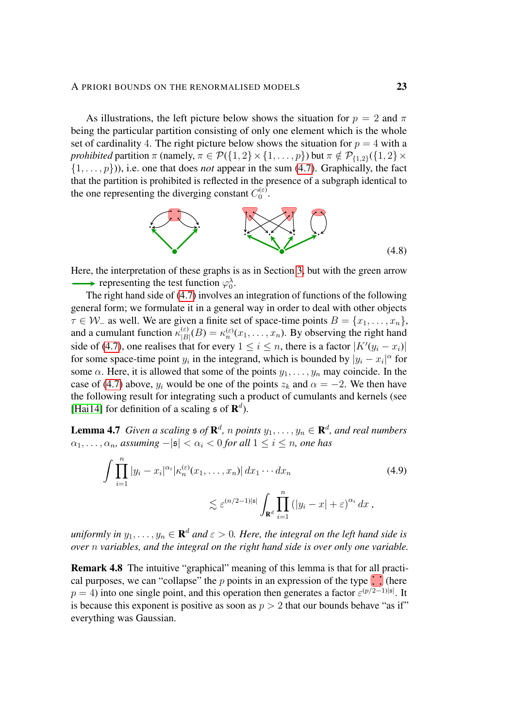As illustrations, the left picture below shows the situation for  $p = 2$  and  $\pi$ being the particular partition consisting of only one element which is the whole set of cardinality 4. The right picture below shows the situation for  $p = 4$  with a *prohibited* partition  $\pi$  (namely,  $\pi \in \mathcal{P}(\{1,2\} \times \{1,\ldots,p\})$  but  $\pi \notin \mathcal{P}_{\{1,2\}}(\{1,2\} \times$  $\{1, \ldots, p\}$ ), i.e. one that does *not* appear in the sum [\(4.7\)](#page-21-1). Graphically, the fact that the partition is prohibited is reflected in the presence of a subgraph identical to the one representing the diverging constant  $C_0^{(\varepsilon)}$ ι(ε).<br>0

<span id="page-22-2"></span>

Here, the interpretation of these graphs is as in Section [3,](#page-12-0) but with the green arrow representing the test function  $\varphi_0^{\lambda}$ .

The right hand side of [\(4.7\)](#page-21-1) involves an integration of functions of the following general form; we formulate it in a general way in order to deal with other objects  $\tau \in \mathcal{W}_-$  as well. We are given a finite set of space-time points  $B = \{x_1, \ldots, x_n\},\$ and a cumulant function  $\kappa_{|B}^{(\varepsilon)}$  $\chi_{|B|}^{(\varepsilon)}(B) = \kappa_n^{(\varepsilon)}(x_1, \dots, x_n)$ . By observing the right hand side of [\(4.7\)](#page-21-1), one realises that for every  $1 \le i \le n$ , there is a factor  $|K'(y_i - x_i)|$ for some space-time point  $y_i$  in the integrand, which is bounded by  $|y_i - x_i|^\alpha$  for some  $\alpha$ . Here, it is allowed that some of the points  $y_1, \ldots, y_n$  may coincide. In the case of [\(4.7\)](#page-21-1) above,  $y_i$  would be one of the points  $z_k$  and  $\alpha = -2$ . We then have the following result for integrating such a product of cumulants and kernels (see [\[Hai14\]](#page-54-4) for definition of a scaling  $\mathfrak s$  of  $\mathbf R^d$ ).

<span id="page-22-1"></span>**Lemma 4.7** Given a scaling  $\mathfrak{s}$  of  $\mathbf{R}^d$ , n points  $y_1, \ldots, y_n \in \mathbf{R}^d$ , and real numbers  $\alpha_1, \ldots, \alpha_n$ , assuming  $-|\mathfrak{s}| < \alpha_i < 0$  for all  $1 \leq i \leq n$ , one has

<span id="page-22-0"></span>
$$
\int \prod_{i=1}^{n} |y_i - x_i|^{\alpha_i} |\kappa_n^{(\varepsilon)}(x_1, \dots, x_n)| dx_1 \cdots dx_n \qquad (4.9)
$$
  

$$
\lesssim \varepsilon^{(n/2-1)|\mathfrak{s}|} \int_{\mathbf{R}^d} \prod_{i=1}^{n} (|y_i - x| + \varepsilon)^{\alpha_i} dx ,
$$

uniformly in  $y_1, \ldots, y_n \in \mathbf{R}^d$  and  $\varepsilon > 0$ . Here, the integral on the left hand side is *over* n *variables, and the integral on the right hand side is over only one variable.*

<span id="page-22-3"></span>Remark 4.8 The intuitive "graphical" meaning of this lemma is that for all practical purposes, we can "collapse" the p points in an expression of the type  $\left\| \cdot \right\|$  (here  $p = 4$ ) into one single point, and this operation then generates a factor  $\varepsilon^{(p/2-1)|\mathfrak{s}|}$ . It is because this exponent is positive as soon as  $p > 2$  that our bounds behave "as if" everything was Gaussian.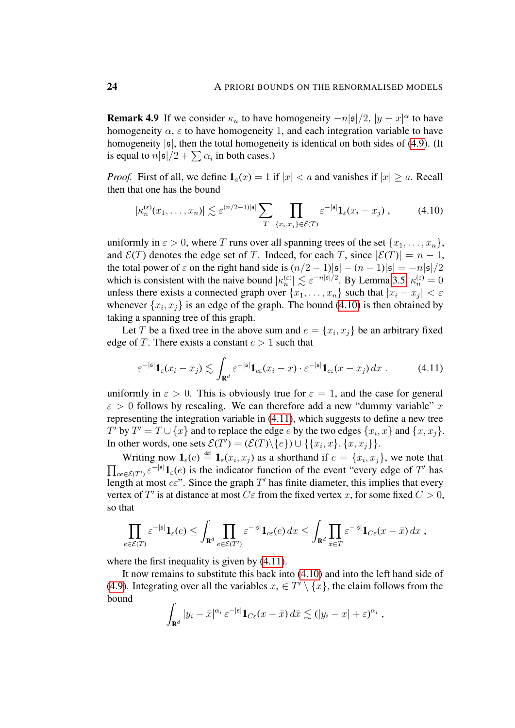**Remark 4.9** If we consider  $\kappa_n$  to have homogeneity  $-n|\mathfrak{s}|/2$ ,  $|y-x|^{\alpha}$  to have homogeneity  $\alpha$ ,  $\varepsilon$  to have homogeneity 1, and each integration variable to have homogeneity  $|\mathfrak{s}|$ , then the total homogeneity is identical on both sides of [\(4.9\)](#page-22-0). (It is equal to  $n|\mathfrak{s}|/2 + \sum \alpha_i$  in both cases.)

*Proof.* First of all, we define  $\mathbf{1}_a(x) = 1$  if  $|x| < a$  and vanishes if  $|x| \ge a$ . Recall then that one has the bound

<span id="page-23-0"></span>
$$
|\kappa_n^{(\varepsilon)}(x_1,\ldots,x_n)| \lesssim \varepsilon^{(n/2-1)|\mathfrak{s}|} \sum_T \prod_{\{x_i,x_j\} \in \mathcal{E}(T)} \varepsilon^{-|\mathfrak{s}|} \mathbf{1}_{\varepsilon}(x_i - x_j) ,\qquad (4.10)
$$

uniformly in  $\varepsilon > 0$ , where T runs over all spanning trees of the set  $\{x_1, \ldots, x_n\}$ , and  $\mathcal{E}(T)$  denotes the edge set of T. Indeed, for each T, since  $|\mathcal{E}(T)| = n - 1$ , the total power of  $\varepsilon$  on the right hand side is  $(n/2 - 1)|\mathfrak{s}| - (n-1)|\mathfrak{s}| = -n|\mathfrak{s}|/2$ which is consistent with the naive bound  $|\kappa_n^{(\varepsilon)}| \lesssim \varepsilon^{-n|\mathfrak{s}|/2}$ . By Lemma [3.5,](#page-14-1)  $\kappa_n^{(\varepsilon)} = 0$ unless there exists a connected graph over  $\{x_1, \ldots, x_n\}$  such that  $|x_i - x_j| < \varepsilon$ whenever  $\{x_i, x_j\}$  is an edge of the graph. The bound [\(4.10\)](#page-23-0) is then obtained by taking a spanning tree of this graph.

Let T be a fixed tree in the above sum and  $e = \{x_i, x_j\}$  be an arbitrary fixed edge of T. There exists a constant  $c > 1$  such that

<span id="page-23-1"></span>
$$
\varepsilon^{-|\mathfrak{s}|} \mathbf{1}_{\varepsilon}(x_i - x_j) \lesssim \int_{\mathbf{R}^d} \varepsilon^{-|\mathfrak{s}|} \mathbf{1}_{c\varepsilon}(x_i - x) \cdot \varepsilon^{-|\mathfrak{s}|} \mathbf{1}_{c\varepsilon}(x - x_j) \, dx \,. \tag{4.11}
$$

uniformly in  $\varepsilon > 0$ . This is obviously true for  $\varepsilon = 1$ , and the case for general  $\varepsilon > 0$  follows by rescaling. We can therefore add a new "dummy variable" x representing the integration variable in [\(4.11\)](#page-23-1), which suggests to define a new tree T' by  $T' = T \cup \{x\}$  and to replace the edge e by the two edges  $\{x_i, x\}$  and  $\{x, x_j\}$ . In other words, one sets  $\mathcal{E}(T') = (\mathcal{E}(T) \setminus \{e\}) \cup \{\{x_i, x\}, \{x, x_j\}\}.$ 

Writing now  $\mathbf{1}_{\varepsilon}(e) \stackrel{\text{def}}{=} \mathbf{1}_{\varepsilon}(x_i, x_j)$  as a shorthand if  $e = \{x_i\}$  $\prod$  $,x_j\}$ , we note that  $_{ce\in\mathcal{E}(T')}\varepsilon^{-|\mathfrak{s}|}\mathbf{1}_{\varepsilon}(e)$  is the indicator function of the event "every edge of T' has length at most  $c\epsilon$ ". Since the graph  $T'$  has finite diameter, this implies that every vertex of  $T'$  is at distance at most  $C \varepsilon$  from the fixed vertex x, for some fixed  $C > 0$ , so that

$$
\prod_{e \in \mathcal{E}(T)} \varepsilon^{-|s|} \mathbf{1}_{\varepsilon}(e) \leq \int_{\mathbf{R}^d} \prod_{e \in \mathcal{E}(T')} \varepsilon^{-|s|} \mathbf{1}_{c\varepsilon}(e) dx \leq \int_{\mathbf{R}^d} \prod_{\bar{x} \in T} \varepsilon^{-|s|} \mathbf{1}_{C\varepsilon}(x-\bar{x}) dx ,
$$

where the first inequality is given by  $(4.11)$ .

It now remains to substitute this back into [\(4.10\)](#page-23-0) and into the left hand side of [\(4.9\)](#page-22-0). Integrating over all the variables  $x_i \in T' \setminus \{x\}$ , the claim follows from the bound

$$
\int_{\mathbf{R}^d} |y_i - \bar{x}|^{\alpha_i} \, \varepsilon^{-|\mathfrak{s}|} \mathbf{1}_{C\varepsilon}(x-\bar{x}) \, d\bar{x} \lesssim (|y_i - x| + \varepsilon)^{\alpha_i},
$$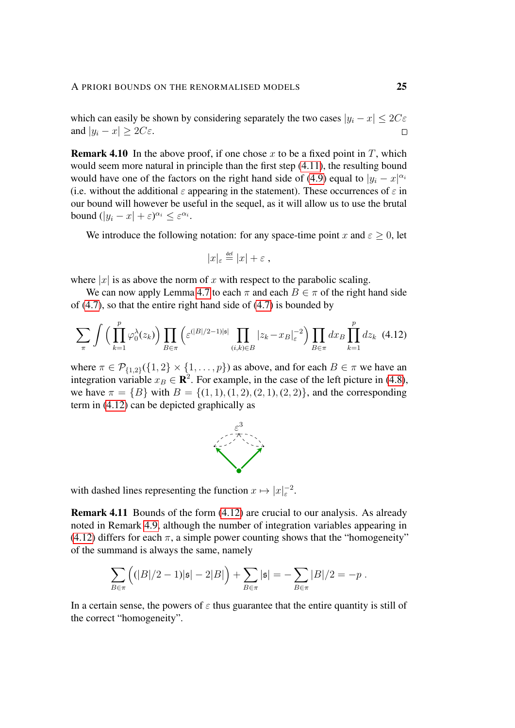which can easily be shown by considering separately the two cases  $|y_i - x| \leq 2C\varepsilon$ and  $|y_i - x| \ge 2C\varepsilon$ .  $\Box$ 

**Remark 4.10** In the above proof, if one chose x to be a fixed point in T, which would seem more natural in principle than the first step [\(4.11\)](#page-23-1), the resulting bound would have one of the factors on the right hand side of [\(4.9\)](#page-22-0) equal to  $|y_i - x|^{\alpha_i}$ (i.e. without the additional  $\varepsilon$  appearing in the statement). These occurrences of  $\varepsilon$  in our bound will however be useful in the sequel, as it will allow us to use the brutal bound  $(|y_i - x| + \varepsilon)^{\alpha_i} \leq \varepsilon^{\alpha_i}$ .

We introduce the following notation: for any space-time point x and  $\varepsilon > 0$ , let

<span id="page-24-0"></span>
$$
|x|_{\varepsilon} \stackrel{\text{def}}{=} |x| + \varepsilon ,
$$

where  $|x|$  is as above the norm of x with respect to the parabolic scaling.

We can now apply Lemma [4.7](#page-22-1) to each  $\pi$  and each  $B \in \pi$  of the right hand side of [\(4.7\)](#page-21-1), so that the entire right hand side of [\(4.7\)](#page-21-1) is bounded by

$$
\sum_{\pi} \int \left( \prod_{k=1}^p \varphi_0^{\lambda}(z_k) \right) \prod_{B \in \pi} \left( \varepsilon^{(|B|/2-1)|\mathfrak{s}|} \prod_{(i,k) \in B} |z_k - x_B|_{\varepsilon}^{-2} \right) \prod_{B \in \pi} dx_B \prod_{k=1}^p dz_k \tag{4.12}
$$

where  $\pi \in \mathcal{P}_{\{1,2\}}(\{1,2\} \times \{1,\ldots,p\})$  as above, and for each  $B \in \pi$  we have an integration variable  $x_B \in \mathbb{R}^2$ . For example, in the case of the left picture in [\(4.8\)](#page-22-2), we have  $\pi = \{B\}$  with  $B = \{(1, 1), (1, 2), (2, 1), (2, 2)\}$ , and the corresponding term in [\(4.12\)](#page-24-0) can be depicted graphically as



with dashed lines representing the function  $x \mapsto |x|_{\varepsilon}^{-2}$ .

Remark 4.11 Bounds of the form [\(4.12\)](#page-24-0) are crucial to our analysis. As already noted in Remark [4.9,](#page-22-3) although the number of integration variables appearing in  $(4.12)$  differs for each  $\pi$ , a simple power counting shows that the "homogeneity" of the summand is always the same, namely

$$
\sum_{B \in \pi} ((|B|/2 - 1)|\mathfrak{s}| - 2|B|) + \sum_{B \in \pi} |\mathfrak{s}| = - \sum_{B \in \pi} |B|/2 = -p.
$$

In a certain sense, the powers of  $\varepsilon$  thus guarantee that the entire quantity is still of the correct "homogeneity".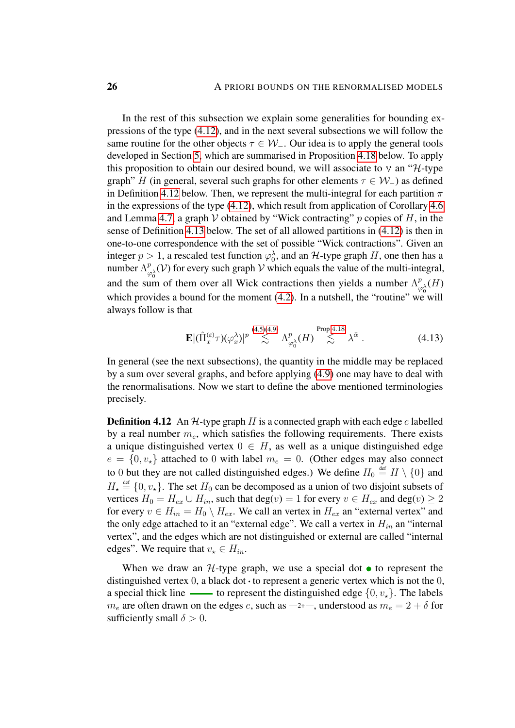In the rest of this subsection we explain some generalities for bounding expressions of the type [\(4.12\)](#page-24-0), and in the next several subsections we will follow the same routine for the other objects  $\tau \in W_-\$ . Our idea is to apply the general tools developed in Section [5,](#page-37-0) which are summarised in Proposition [4.18](#page-27-0) below. To apply this proposition to obtain our desired bound, we will associate to  $v$  an " $H$ -type graph" H (in general, several such graphs for other elements  $\tau \in W_$ ) as defined in Definition [4.12](#page-25-0) below. Then, we represent the multi-integral for each partition  $\pi$ in the expressions of the type  $(4.12)$ , which result from application of Corollary [4.6](#page-20-3) and Lemma [4.7,](#page-22-1) a graph  $V$  obtained by "Wick contracting" p copies of H, in the sense of Definition [4.13](#page-25-1) below. The set of all allowed partitions in [\(4.12\)](#page-24-0) is then in one-to-one correspondence with the set of possible "Wick contractions". Given an integer  $p > 1$ , a rescaled test function  $\varphi_0^{\lambda}$ , and an H-type graph H, one then has a number  $\Lambda_{\alpha}^{p}$  $P_{\varphi_0}(\mathcal{V})$  for every such graph  $\mathcal V$  which equals the value of the multi-integral, and the sum of them over all Wick contractions then yields a number  $\Lambda^p_{\mu\nu}$  $\frac{p}{\varphi_0^\lambda}(H)$ which provides a bound for the moment [\(4.2\)](#page-19-0). In a nutshell, the "routine" we will always follow is that

<span id="page-25-2"></span>
$$
\mathbf{E} |(\hat{\Pi}_x^{(\varepsilon)} \tau)(\varphi_x^{\lambda})|^{p} \stackrel{(4.5)(4.9)}{\lesssim} \Lambda_{\varphi_0^{\lambda}}^p(H) \stackrel{\text{Prop 4.18}}{\lesssim} \lambda^{\bar{\alpha}} . \tag{4.13}
$$

In general (see the next subsections), the quantity in the middle may be replaced by a sum over several graphs, and before applying [\(4.9\)](#page-22-0) one may have to deal with the renormalisations. Now we start to define the above mentioned terminologies precisely.

<span id="page-25-0"></span>**Definition 4.12** An  $H$ -type graph H is a connected graph with each edge e labelled by a real number  $m_e$ , which satisfies the following requirements. There exists a unique distinguished vertex  $0 \in H$ , as well as a unique distinguished edge  $e = \{0, v_{\star}\}\$ attached to 0 with label  $m_e = 0$ . (Other edges may also connect to 0 but they are not called distinguished edges.) We define  $H_0 \stackrel{\text{def}}{=} H \setminus \{0\}$  and  $H_{\star} \triangleq \{0, v_{\star}\}.$  The set  $H_0$  can be decomposed as a union of two disjoint subsets of vertices  $H_0 = H_{ex} \cup H_{in}$ , such that  $deg(v) = 1$  for every  $v \in H_{ex}$  and  $deg(v) \ge 2$ for every  $v \in H_{in} = H_0 \setminus H_{ex}$ . We call an vertex in  $H_{ex}$  an "external vertex" and the only edge attached to it an "external edge". We call a vertex in  $H_{in}$  an "internal vertex", and the edges which are not distinguished or external are called "internal edges". We require that  $v_* \in H_{in}$ .

<span id="page-25-1"></span>When we draw an  $H$ -type graph, we use a special dot  $\bullet$  to represent the distinguished vertex 0, a black dot  $\cdot$  to represent a generic vertex which is not the 0, a special thick line  $\longrightarrow$  to represent the distinguished edge  $\{0, v_*\}$ . The labels  $m_e$  are often drawn on the edges e, such as  $-2+$ , understood as  $m_e = 2 + \delta$  for sufficiently small  $\delta > 0$ .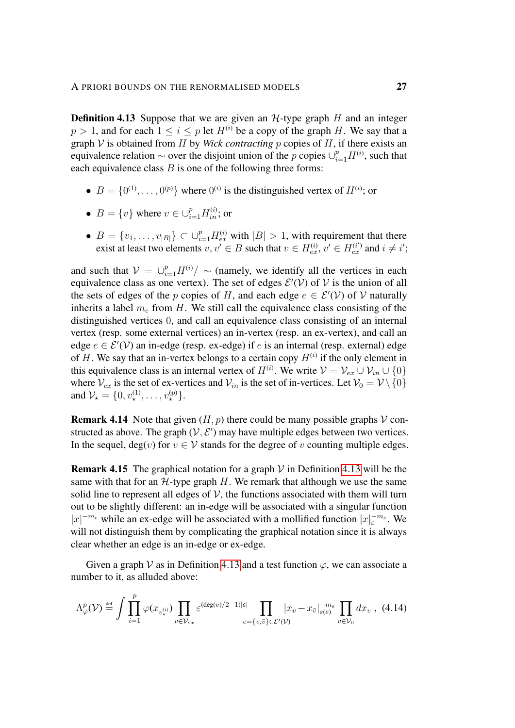**Definition 4.13** Suppose that we are given an  $H$ -type graph  $H$  and an integer  $p > 1$ , and for each  $1 \le i \le p$  let  $H^{(i)}$  be a copy of the graph H. We say that a graph  $\mathcal V$  is obtained from  $H$  by *Wick contracting*  $p$  copies of  $H$ , if there exists an equivalence relation  $\sim$  over the disjoint union of the p copies  $\cup_{i=1}^p H^{(i)}$ , such that each equivalence class  $B$  is one of the following three forms:

- $B = \{0^{(1)}, \ldots, 0^{(p)}\}$  where  $0^{(i)}$  is the distinguished vertex of  $H^{(i)}$ ; or
- $B = \{v\}$  where  $v \in \bigcup_{i=1}^{p} H_{in}^{(i)}$ ; or
- $B = \{v_1, \ldots, v_{|B|}\} \subset \bigcup_{i=1}^p H_{ex}^{(i)}$  with  $|B| > 1$ , with requirement that there exist at least two elements  $v, v' \in B$  such that  $v \in H_{ex}^{(i)}$ ,  $v' \in H_{ex}^{(i')}$  and  $i \neq i'$ ;

and such that  $V = \bigcup_{i=1}^{p} H^{(i)} / \sim$  (namely, we identify all the vertices in each equivalence class as one vertex). The set of edges  $\mathcal{E}'(\mathcal{V})$  of  $\mathcal{V}$  is the union of all the sets of edges of the p copies of H, and each edge  $e \in \mathcal{E}'(\mathcal{V})$  of V naturally inherits a label  $m_e$  from H. We still call the equivalence class consisting of the distinguished vertices 0, and call an equivalence class consisting of an internal vertex (resp. some external vertices) an in-vertex (resp. an ex-vertex), and call an edge  $e \in \mathcal{E}'(\mathcal{V})$  an in-edge (resp. ex-edge) if e is an internal (resp. external) edge of H. We say that an in-vertex belongs to a certain copy  $H^{(i)}$  if the only element in this equivalence class is an internal vertex of  $H^{(i)}$ . We write  $\mathcal{V} = \mathcal{V}_{ex} \cup \mathcal{V}_{in} \cup \{0\}$ where  $V_{ex}$  is the set of ex-vertices and  $V_{in}$  is the set of in-vertices. Let  $V_0 = V \setminus \{0\}$ and  $\mathcal{V}_\star = \{0, v_\star^{(1)}, \ldots, v_\star^{(p)}\}.$ 

**Remark 4.14** Note that given  $(H, p)$  there could be many possible graphs  $V$  constructed as above. The graph  $(V, E')$  may have multiple edges between two vertices. In the sequel, deg(v) for  $v \in V$  stands for the degree of v counting multiple edges.

<span id="page-26-1"></span>**Remark 4.15** The graphical notation for a graph  $V$  in Definition [4.13](#page-25-1) will be the same with that for an  $H$ -type graph H. We remark that although we use the same solid line to represent all edges of  $V$ , the functions associated with them will turn out to be slightly different: an in-edge will be associated with a singular function  $|x|^{-m_e}$  while an ex-edge will be associated with a mollified function  $|x|_{\varepsilon}^{-m_e}$ . We will not distinguish them by complicating the graphical notation since it is always clear whether an edge is an in-edge or ex-edge.

Given a graph  $\mathcal V$  as in Definition [4.13](#page-25-1) and a test function  $\varphi$ , we can associate a number to it, as alluded above:

<span id="page-26-0"></span>
$$
\Lambda_{\varphi}^{p}(\mathcal{V}) \stackrel{\text{def}}{=} \int \prod_{i=1}^{p} \varphi(x_{v_{\star}^{(i)}}) \prod_{v \in \mathcal{V}_{ex}} \varepsilon^{(\deg(v)/2 - 1)|\mathfrak{s}|} \prod_{e = \{v,\bar{v}\} \in \mathcal{E}'(\mathcal{V})} |x_{v} - x_{\bar{v}}|_{\varepsilon(e)}^{-m_{e}} \prod_{v \in \mathcal{V}_{0}} dx_{v}, \tag{4.14}
$$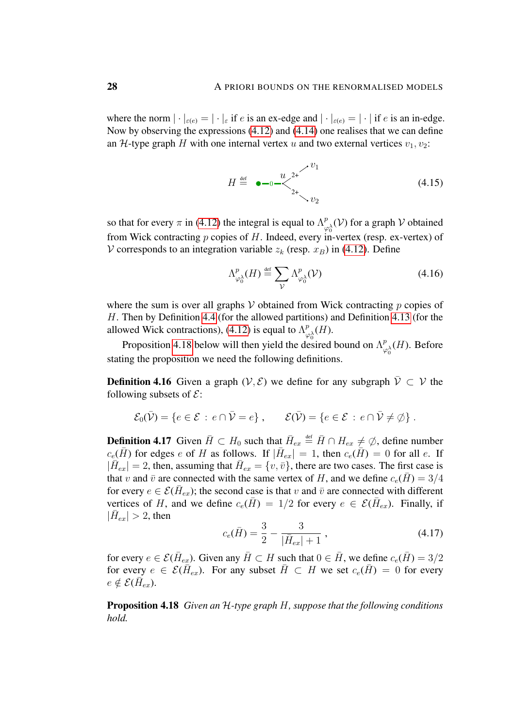where the norm  $|\cdot|_{\varepsilon(e)} = |\cdot|_{\varepsilon}$  if e is an ex-edge and  $|\cdot|_{\varepsilon(e)} = |\cdot|$  if e is an in-edge. Now by observing the expressions [\(4.12\)](#page-24-0) and [\(4.14\)](#page-26-0) one realises that we can define an H-type graph H with one internal vertex u and two external vertices  $v_1, v_2$ :

<span id="page-27-3"></span>
$$
H \stackrel{\text{def}}{=} \bullet -0 - \left( \frac{u}{2} \right)^{2+} \left( \frac{v_1}{2} \right) \tag{4.15}
$$

so that for every  $\pi$  in [\(4.12\)](#page-24-0) the integral is equal to  $\Lambda^p_{\sigma}$  $\bigcup_{\varphi_0^{\lambda}}^p (\mathcal{V})$  for a graph  $\mathcal V$  obtained from Wick contracting p copies of H. Indeed, every in-vertex (resp. ex-vertex) of V corresponds to an integration variable  $z_k$  (resp.  $x_B$ ) in [\(4.12\)](#page-24-0). Define

<span id="page-27-2"></span>
$$
\Lambda^{p}_{\varphi_0^{\lambda}}(H) \stackrel{\text{def}}{=} \sum_{\mathcal{V}} \Lambda^{p}_{\varphi_0^{\lambda}}(\mathcal{V})
$$
\n(4.16)

where the sum is over all graphs  $\mathcal V$  obtained from Wick contracting p copies of H. Then by Definition [4.4](#page-19-3) (for the allowed partitions) and Definition [4.13](#page-25-1) (for the allowed Wick contractions), [\(4.12\)](#page-24-0) is equal to  $\Lambda^p_{\mu\nu}$  $^p_{\varphi_0^{\lambda}}(H).$ 

Proposition [4.18](#page-27-0) below will then yield the desired bound on  $\Lambda^p_{\alpha}$  $\frac{p}{\varphi_0^{\lambda}}(H)$ . Before stating the proposition we need the following definitions.

<span id="page-27-5"></span>**Definition 4.16** Given a graph  $(V, \mathcal{E})$  we define for any subgraph  $\overline{V} \subset V$  the following subsets of  $\mathcal{E}$ :

$$
\mathcal{E}_0(\bar{\mathcal{V}}) = \{e \in \mathcal{E} : e \cap \bar{\mathcal{V}} = e\}, \qquad \mathcal{E}(\bar{\mathcal{V}}) = \{e \in \mathcal{E} : e \cap \bar{\mathcal{V}} \neq \emptyset\}.
$$

<span id="page-27-1"></span>**Definition 4.17** Given  $\bar{H} \subset H_0$  such that  $\bar{H}_{ex} \triangleq \bar{H} \cap H_{ex} \neq \emptyset$ , define number  $c_e(\bar{H})$  for edges e of H as follows. If  $|\bar{H}_{ex}| = 1$ , then  $c_e(\bar{H}) = 0$  for all e. If  $|\bar{H}_{ex}| = 2$ , then, assuming that  $\bar{H}_{ex} = \{v, \bar{v}\}\$ , there are two cases. The first case is that v and  $\bar{v}$  are connected with the same vertex of H, and we define  $c_e(\bar{H}) = 3/4$ for every  $e \in \mathcal{E}(\bar{H}_{ex})$ ; the second case is that v and  $\bar{v}$  are connected with different vertices of H, and we define  $c_e(\bar{H}) = 1/2$  for every  $e \in \mathcal{E}(\bar{H}_{ex})$ . Finally, if  $|\bar{H}_{ex}| > 2$ , then

<span id="page-27-4"></span>
$$
c_e(\bar{H}) = \frac{3}{2} - \frac{3}{|\bar{H}_{ex}| + 1},
$$
\n(4.17)

for every  $e \in \mathcal{E}(\bar{H}_{ex})$ . Given any  $\bar{H} \subset H$  such that  $0 \in \bar{H}$ , we define  $c_e(\bar{H}) = 3/2$ for every  $e \in \mathcal{E}(\bar{H}_{ex})$ . For any subset  $\bar{H} \subset H$  we set  $c_e(\bar{H}) = 0$  for every  $e \notin \mathcal{E}(\overline{H}_{ex}).$ 

<span id="page-27-0"></span>Proposition 4.18 *Given an* H*-type graph* H*, suppose that the following conditions hold.*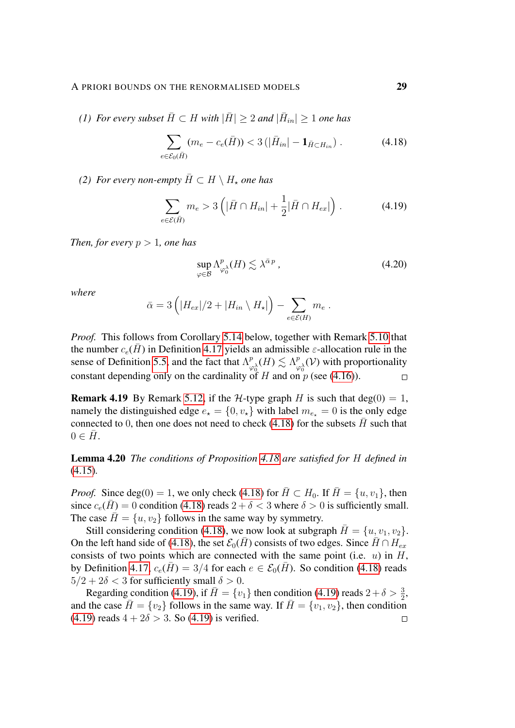*(1)* For every subset  $\bar{H} \subset H$  with  $|\bar{H}| \geq 2$  and  $|\bar{H}_{in}| \geq 1$  one has

<span id="page-28-0"></span>
$$
\sum_{e \in \mathcal{E}_0(\bar{H})} (m_e - c_e(\bar{H})) < 3\left( |\bar{H}_{in}| - \mathbf{1}_{\bar{H} \subset H_{in}} \right). \tag{4.18}
$$

*(2) For every non-empty*  $\overline{H} \subset H \setminus H_*$  *one has* 

$$
\sum_{e \in \mathcal{E}(\bar{H})} m_e > 3\left( |\bar{H} \cap H_{in}| + \frac{1}{2} |\bar{H} \cap H_{ex}| \right). \tag{4.19}
$$

*Then, for every*  $p > 1$ *, one has* 

<span id="page-28-1"></span>
$$
\sup_{\varphi \in \mathcal{B}} \Lambda^p_{\varphi_0^{\lambda}}(H) \lesssim \lambda^{\bar{\alpha}p} \,, \tag{4.20}
$$

*where*

$$
\bar{\alpha} = 3\left(|H_{ex}|/2 + |H_{in} \setminus H_{\star}|\right) - \sum_{e \in \mathcal{E}(H)} m_e.
$$

*Proof.* This follows from Corollary [5.14](#page-46-0) below, together with Remark [5.10](#page-44-0) that the number  $c_e(\bar{H})$  in Definition [4.17](#page-27-1) yields an admissible  $\varepsilon$ -allocation rule in the sense of Definition [5.5,](#page-40-0) and the fact that  $\Lambda^p_{\alpha}$  $\frac{p}{\varphi_0^{\lambda}}(H) \lesssim \Lambda_{\varphi}^p$  $P_{\varphi_0}(\mathcal{V})$  with proportionality constant depending only on the cardinality of H and on p (see [\(4.16\)](#page-27-2)).  $\Box$ 

**Remark 4.19** By Remark [5.12,](#page-45-0) if the *H*-type graph *H* is such that deg(0) = 1, namely the distinguished edge  $e_{\star} = \{0, v_{\star}\}\$  with label  $m_{e_{\star}} = 0$  is the only edge connected to 0, then one does not need to check [\(4.18\)](#page-28-0) for the subsets  $\bar{H}$  such that  $0 \in \overline{H}$ .

Lemma 4.20 *The conditions of Proposition [4.18](#page-27-0) are satisfied for* H *defined in* [\(4.15\)](#page-27-3)*.*

*Proof.* Since deg(0) = 1, we only check [\(4.18\)](#page-28-0) for  $\overline{H} \subset H_0$ . If  $\overline{H} = \{u, v_1\}$ , then since  $c_e(H) = 0$  condition [\(4.18\)](#page-28-0) reads  $2 + \delta < 3$  where  $\delta > 0$  is sufficiently small. The case  $\bar{H} = \{u, v_2\}$  follows in the same way by symmetry.

Still considering condition [\(4.18\)](#page-28-0), we now look at subgraph  $\overline{H} = \{u, v_1, v_2\}.$ On the left hand side of [\(4.18\)](#page-28-0), the set  $\mathcal{E}_0(H)$  consists of two edges. Since  $H \cap H_{ex}$ consists of two points which are connected with the same point (i.e.  $u$ ) in  $H$ , by Definition [4.17,](#page-27-1)  $c_e(\overline{H}) = 3/4$  for each  $e \in \mathcal{E}_0(\overline{H})$ . So condition [\(4.18\)](#page-28-0) reads  $5/2 + 2\delta < 3$  for sufficiently small  $\delta > 0$ .

Regarding condition [\(4.19\)](#page-28-1), if  $\bar{H} = \{v_1\}$  then condition (4.19) reads  $2 + \delta > \frac{3}{2}$ , and the case  $H = \{v_2\}$  follows in the same way. If  $H = \{v_1, v_2\}$ , then condition  $(4.19)$  reads  $4 + 2\delta > 3$ . So  $(4.19)$  is verified.  $\Box$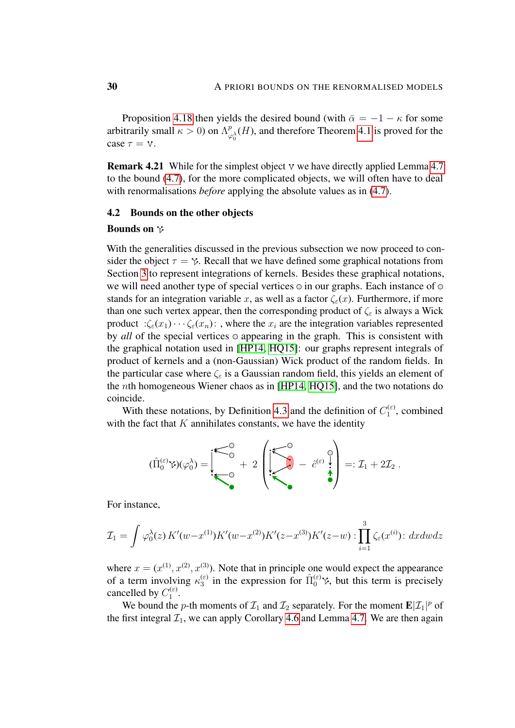Proposition [4.18](#page-27-0) then yields the desired bound (with  $\bar{\alpha} = -1 - \kappa$  for some arbitrarily small  $\kappa > 0$ ) on  $\Lambda^n_{\mu}$  $\frac{p}{\varphi_0^{\lambda}}(H)$ , and therefore Theorem [4.1](#page-18-1) is proved for the case  $\tau = v$ .

**Remark 4.21** While for the simplest object  $v$  we have directly applied Lemma [4.7](#page-22-1) to the bound [\(4.7\)](#page-21-1), for the more complicated objects, we will often have to deal with renormalisations *before* applying the absolute values as in  $(4.7)$ .

#### <span id="page-29-0"></span>4.2 Bounds on the other objects

#### Bounds on  $\gamma$

With the generalities discussed in the previous subsection we now proceed to consider the object  $\tau = \gamma$ . Recall that we have defined some graphical notations from Section [3](#page-12-0) to represent integrations of kernels. Besides these graphical notations, we will need another type of special vertices  $\circ$  in our graphs. Each instance of  $\circ$ stands for an integration variable x, as well as a factor  $\zeta_{\varepsilon}(x)$ . Furthermore, if more than one such vertex appear, then the corresponding product of  $\zeta_{\varepsilon}$  is always a Wick product : $\zeta_{\varepsilon}(x_1)\cdots\zeta_{\varepsilon}(x_n)$ : , where the  $x_i$  are the integration variables represented by *all* of the special vertices  $\circ$  appearing in the graph. This is consistent with the graphical notation used in [\[HP14,](#page-54-7) [HQ15\]](#page-54-8): our graphs represent integrals of product of kernels and a (non-Gaussian) Wick product of the random fields. In the particular case where  $\zeta_{\varepsilon}$  is a Gaussian random field, this yields an element of the nth homogeneous Wiener chaos as in [\[HP14,](#page-54-7) [HQ15\]](#page-54-8), and the two notations do coincide.

With these notations, by Definition [4.3](#page-19-2) and the definition of  $C_1^{(\varepsilon)}$  $\int_1^{(\varepsilon)}$ , combined with the fact that  $K$  annihilates constants, we have the identity

$$
(\hat{\Pi}_0^{(\varepsilon)}\gamma)(\varphi_0^{\lambda}) = \begin{bmatrix} \begin{matrix} \begin{matrix} \begin{matrix} \begin{matrix} 0 \\ 0 \end{matrix} \end{matrix} \\ \begin{matrix} \begin{matrix} \begin{matrix} 0 \\ 0 \end{matrix} \end{matrix} \\ \end{matrix} \\ \begin{matrix} \begin{matrix} \begin{matrix} 0 \\ 0 \end{matrix} \end{matrix} \\ \end{matrix} \end{bmatrix} \end{bmatrix} =: \mathcal{I}_1 + 2\mathcal{I}_2.
$$

For instance,

$$
\mathcal{I}_1 = \int \varphi_0^{\lambda}(z) K'(w - x^{(1)}) K'(w - x^{(2)}) K'(z - x^{(3)}) K'(z - w) : \prod_{i=1}^3 \zeta_{\varepsilon}(x^{(i)}) : dx dw dz
$$

where  $x = (x^{(1)}, x^{(2)}, x^{(3)})$ . Note that in principle one would expect the appearance of a term involving  $\kappa_3^{(\varepsilon)}$  $\hat{J}_3^{(\varepsilon)}$  in the expression for  $\hat{\Pi}_0^{(\varepsilon)}$ , but this term is precisely cancelled by  $C_1^{(\varepsilon)}$ (ε)<br>1 ·

We bound the *p*-th moments of  $\mathcal{I}_1$  and  $\mathcal{I}_2$  separately. For the moment  $\mathbf{E}|\mathcal{I}_1|^p$  of the first integral  $\mathcal{I}_1$ , we can apply Corollary [4.6](#page-20-3) and Lemma [4.7.](#page-22-1) We are then again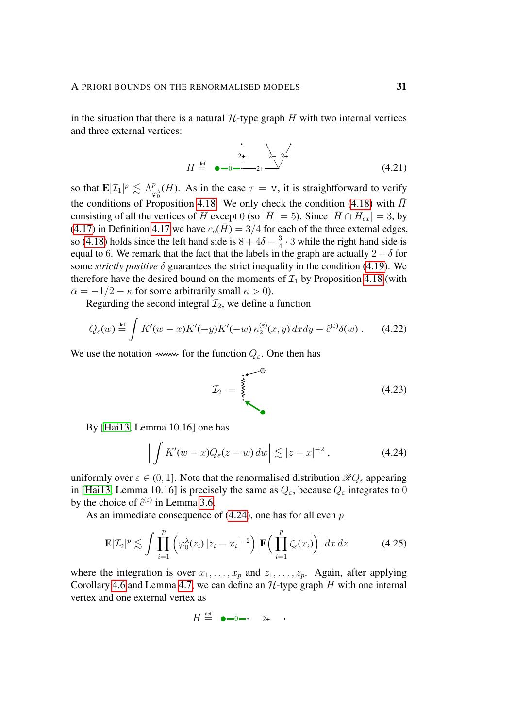in the situation that there is a natural  $H$ -type graph H with two internal vertices and three external vertices:

<span id="page-30-3"></span>
$$
H \stackrel{\text{def}}{=} \bullet -0 - \stackrel{\stackrel{1}{\cancel{2}+\cancel{2}}}{\cancel{2}+\cancel{2}} \qquad (4.21)
$$

so that  $\mathbf{E}|\mathcal{I}_1|^p \lesssim \Lambda_p^p$  $\frac{p}{\varphi_0^{\lambda}}(H)$ . As in the case  $\tau = \nu$ , it is straightforward to verify the conditions of Proposition [4.18.](#page-27-0) We only check the condition [\(4.18\)](#page-28-0) with  $\bar{H}$ consisting of all the vertices of H except 0 (so  $|\bar{H}| = 5$ ). Since  $|\bar{H} \cap H_{ex}| = 3$ , by [\(4.17\)](#page-27-4) in Definition [4.17](#page-27-1) we have  $c_e(\bar{H}) = 3/4$  for each of the three external edges, so [\(4.18\)](#page-28-0) holds since the left hand side is  $8 + 4\delta - \frac{3}{4}$  $\frac{3}{4} \cdot 3$  while the right hand side is equal to 6. We remark that the fact that the labels in the graph are actually  $2 + \delta$  for some *strictly positive* δ guarantees the strict inequality in the condition [\(4.19\)](#page-28-1). We therefore have the desired bound on the moments of  $\mathcal{I}_1$  by Proposition [4.18](#page-27-0) (with  $\bar{\alpha} = -1/2 - \kappa$  for some arbitrarily small  $\kappa > 0$ ).

Regarding the second integral  $\mathcal{I}_2$ , we define a function

$$
Q_{\varepsilon}(w) \stackrel{\text{def}}{=} \int K'(w-x)K'(-y)K'(-w)\,\kappa_2^{(\varepsilon)}(x,y)\,dxdy - \hat{c}^{(\varepsilon)}\delta(w) \,. \tag{4.22}
$$

We use the notation www. for the function  $Q_{\varepsilon}$ . One then has

<span id="page-30-2"></span><span id="page-30-0"></span>I<sup>2</sup> = (4.23)

By [\[Hai13,](#page-54-3) Lemma 10.16] one has

$$
\left| \int K'(w-x)Q_{\varepsilon}(z-w)\,dw \right| \lesssim |z-x|^{-2},\tag{4.24}
$$

uniformly over  $\varepsilon \in (0, 1]$ . Note that the renormalised distribution  $\mathcal{R}Q_{\varepsilon}$  appearing in [\[Hai13,](#page-54-3) Lemma 10.16] is precisely the same as  $Q_{\varepsilon}$ , because  $Q_{\varepsilon}$  integrates to 0 by the choice of  $\hat{c}^{(\varepsilon)}$  in Lemma [3.6.](#page-15-1)

As an immediate consequence of  $(4.24)$ , one has for all even p

$$
\mathbf{E}|Z_2|^p \lesssim \int \prod_{i=1}^p \left( \varphi_0^{\lambda}(z_i) \left| z_i - x_i \right|^{-2} \right) \left| \mathbf{E} \Big( \prod_{i=1}^p \zeta_{\varepsilon}(x_i) \Big) \right| dx \, dz \tag{4.25}
$$

where the integration is over  $x_1, \ldots, x_p$  and  $z_1, \ldots, z_p$ . Again, after applying Corollary [4.6](#page-20-3) and Lemma [4.7,](#page-22-1) we can define an  $H$ -type graph H with one internal vertex and one external vertex as

<span id="page-30-1"></span>
$$
H \stackrel{\text{def}}{=} \bullet -0 - \cdots -2 + \cdots
$$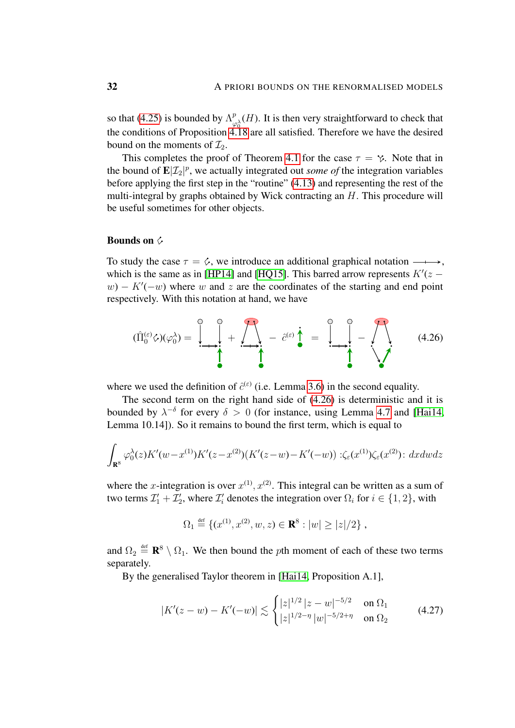so that [\(4.25\)](#page-30-1) is bounded by  $\Lambda_{\mu}^{p}$  $\mathcal{L}_{\varphi_0}^p(H)$ . It is then very straightforward to check that the conditions of Proposition  $4.18$  are all satisfied. Therefore we have the desired bound on the moments of  $\mathcal{I}_2$ .

This completes the proof of Theorem [4.1](#page-18-1) for the case  $\tau = \gamma$ . Note that in the bound of  $\mathbf{E}|\mathcal{I}_2|^p$ , we actually integrated out *some of* the integration variables before applying the first step in the "routine" [\(4.13\)](#page-25-2) and representing the rest of the multi-integral by graphs obtained by Wick contracting an H. This procedure will be useful sometimes for other objects.

#### Bounds on  $\circ$

To study the case  $\tau = \zeta$ , we introduce an additional graphical notation  $\longrightarrow$ , which is the same as in [\[HP14\]](#page-54-7) and [\[HQ15\]](#page-54-8). This barred arrow represents  $K'(z - z)$  $w - K'(-w)$  where w and z are the coordinates of the starting and end point respectively. With this notation at hand, we have

<span id="page-31-0"></span>
$$
(\hat{\Pi}_0^{(\varepsilon)}\zeta)(\varphi_0^{\lambda}) = \left[\bigcup_{\bullet}^{\circ} + \bigwedge_{\bullet}^{\bullet} - \hat{c}^{(\varepsilon)}\bigg] \right] = \left[\bigcup_{\bullet}^{\circ} - \bigwedge_{\bullet}^{\bullet} - \bigwedge_{\bullet}^{\bullet} - \bigwedge_{\bullet}^{\bullet} - \bigwedge_{\bullet}^{\bullet} - \bigwedge_{\bullet}^{\bullet} - \bigwedge_{\bullet}^{\bullet} - \bigwedge_{\bullet}^{\bullet} - \bigwedge_{\bullet}^{\bullet} - \bigwedge_{\bullet}^{\bullet} - \bigwedge_{\bullet}^{\bullet} - \bigwedge_{\bullet}^{\bullet} - \bigwedge_{\bullet}^{\bullet} - \bigwedge_{\bullet}^{\bullet} - \bigwedge_{\bullet}^{\bullet} - \bigwedge_{\bullet}^{\bullet} - \bigwedge_{\bullet}^{\bullet} - \bigwedge_{\bullet}^{\bullet} - \bigwedge_{\bullet}^{\bullet} - \bigwedge_{\bullet}^{\bullet} - \bigwedge_{\bullet}^{\bullet} - \bigwedge_{\bullet}^{\bullet} - \bigwedge_{\bullet}^{\bullet} - \bigwedge_{\bullet}^{\bullet} - \bigwedge_{\bullet}^{\bullet} - \bigwedge_{\bullet}^{\bullet} - \bigwedge_{\bullet}^{\bullet} - \bigwedge_{\bullet}^{\bullet} - \bigwedge_{\bullet}^{\bullet} - \bigwedge_{\bullet}^{\bullet} - \bigwedge_{\bullet}^{\bullet} - \bigwedge_{\bullet}^{\bullet} - \bigwedge_{\bullet}^{\bullet} - \bigwedge_{\bullet}^{\bullet} - \bigwedge_{\bullet}^{\bullet} - \bigwedge_{\bullet}^{\bullet} - \bigwedge_{\bullet}^{\bullet} - \bigwedge_{\bullet}^{\bullet} - \bigwedge_{\bullet}^{\bullet} - \bigwedge_{\bullet}^{\bullet} - \bigwedge_{\bullet}^{\bullet} - \bigwedge_{\bullet}^{\bullet} - \bigwedge_{\bullet}^{\bullet} - \bigwedge_{\bullet}^{\bullet} - \bigwedge_{\bullet}^{\bullet} - \bigwedge_{\bullet}^{\bullet} - \bigwedge_{\bullet}^{\bullet} - \bigwedge_{\bullet}^{\bullet} - \bigwedge_{\bullet}^{\bullet} - \bigwedge_{\bullet}^{\bullet} - \bigwedge_{\bullet}^{\bullet} - \bigwedge_{\bullet}^{\bullet} - \bigwedge_{\bullet}^{\
$$

where we used the definition of  $\hat{c}^{(\varepsilon)}$  (i.e. Lemma [3.6\)](#page-15-1) in the second equality.

The second term on the right hand side of [\(4.26\)](#page-31-0) is deterministic and it is bounded by  $\lambda^{-\delta}$  for every  $\delta > 0$  (for instance, using Lemma [4.7](#page-22-1) and [\[Hai14,](#page-54-4) Lemma 10.14]). So it remains to bound the first term, which is equal to

$$
\int_{\mathbf{R}^8} \varphi_0^{\lambda}(z) K'(w - x^{(1)}) K'(z - x^{(2)}) (K'(z - w) - K'(-w)) : \zeta_{\varepsilon}(x^{(1)}) \zeta_{\varepsilon}(x^{(2)}) : dx dw dz
$$

where the x-integration is over  $x^{(1)}$ ,  $x^{(2)}$ . This integral can be written as a sum of two terms  $\mathcal{I}'_1 + \mathcal{I}'_2$ , where  $\mathcal{I}'_i$  denotes the integration over  $\Omega_i$  for  $i \in \{1, 2\}$ , with

<span id="page-31-1"></span>
$$
\Omega_1 \stackrel{\text{def}}{=} \{ (x^{(1)}, x^{(2)}, w, z) \in \mathbf{R}^8 : |w| \ge |z|/2 \},
$$

and  $\Omega_2 \triangleq \mathbb{R}^8 \setminus \Omega_1$ . We then bound the *p*th moment of each of these two terms separately.

By the generalised Taylor theorem in [\[Hai14,](#page-54-4) Proposition A.1],

$$
|K'(z-w) - K'(-w)| \lesssim \begin{cases} |z|^{1/2} |z-w|^{-5/2} & \text{on } \Omega_1 \\ |z|^{1/2-\eta} |w|^{-5/2+\eta} & \text{on } \Omega_2 \end{cases}
$$
(4.27)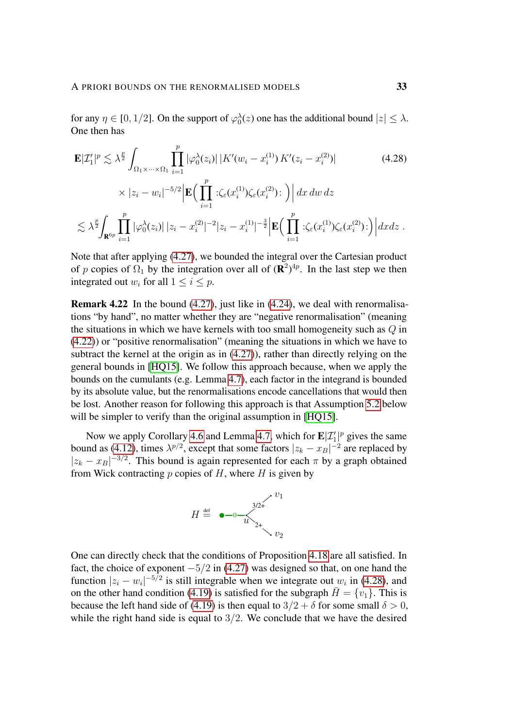for any  $\eta \in [0, 1/2]$ . On the support of  $\varphi_0^{\lambda}(z)$  one has the additional bound  $|z| \leq \lambda$ . One then has

<span id="page-32-0"></span>
$$
\mathbf{E}|Z'_{1}|^{p} \lesssim \lambda^{\frac{p}{2}} \int_{\Omega_{1} \times \cdots \times \Omega_{1}} \prod_{i=1}^{p} |\varphi_{0}^{\lambda}(z_{i})| |K'(w_{i} - x_{i}^{(1)}) K'(z_{i} - x_{i}^{(2)})|
$$
(4.28)  

$$
\times |z_{i} - w_{i}|^{-5/2} \Big| \mathbf{E} \Big( \prod_{i=1}^{p} \left| \langle \zeta_{\varepsilon}(x_{i}^{(1)}) \zeta_{\varepsilon}(x_{i}^{(2)}) \right| \Big) dx dw dz
$$
  

$$
\lesssim \lambda^{\frac{p}{2}} \int_{\mathbf{R}^{6p}} \prod_{i=1}^{p} |\varphi_{0}^{\lambda}(z_{i})| |z_{i} - x_{i}^{(2)}|^{-2} |z_{i} - x_{i}^{(1)}|^{-\frac{3}{2}} \Big| \mathbf{E} \Big( \prod_{i=1}^{p} \left| \langle \zeta_{\varepsilon}(x_{i}^{(1)}) \zeta_{\varepsilon}(x_{i}^{(2)}) \right| \Big) dx dz.
$$

Note that after applying [\(4.27\)](#page-31-1), we bounded the integral over the Cartesian product of p copies of  $\Omega_1$  by the integration over all of  $(\mathbf{R}^2)^{4p}$ . In the last step we then integrated out  $w_i$  for all  $1 \leq i \leq p$ .

Remark 4.22 In the bound [\(4.27\)](#page-31-1), just like in [\(4.24\)](#page-30-0), we deal with renormalisations "by hand", no matter whether they are "negative renormalisation" (meaning the situations in which we have kernels with too small homogeneity such as Q in [\(4.22\)](#page-30-2)) or "positive renormalisation" (meaning the situations in which we have to subtract the kernel at the origin as in [\(4.27\)](#page-31-1)), rather than directly relying on the general bounds in [\[HQ15\]](#page-54-8). We follow this approach because, when we apply the bounds on the cumulants (e.g. Lemma [4.7\)](#page-22-1), each factor in the integrand is bounded by its absolute value, but the renormalisations encode cancellations that would then be lost. Another reason for following this approach is that Assumption [5.2](#page-38-0) below will be simpler to verify than the original assumption in [\[HQ15\]](#page-54-8).

Now we apply Corollary [4.6](#page-20-3) and Lemma [4.7,](#page-22-1) which for  $\mathbf{E}|\mathcal{I}'_1|^p$  gives the same bound as [\(4.12\)](#page-24-0), times  $\lambda^{p/2}$ , except that some factors  $|z_k - x_B|^{-2}$  are replaced by  $|z_k - x_B|^{-3/2}$ . This bound is again represented for each  $\pi$  by a graph obtained from Wick contracting  $p$  copies of  $H$ , where  $H$  is given by



One can directly check that the conditions of Proposition [4.18](#page-27-0) are all satisfied. In fact, the choice of exponent  $-5/2$  in [\(4.27\)](#page-31-1) was designed so that, on one hand the function  $|z_i - w_i|^{-5/2}$  is still integrable when we integrate out  $w_i$  in [\(4.28\)](#page-32-0), and on the other hand condition [\(4.19\)](#page-28-1) is satisfied for the subgraph  $\bar{H} = \{v_1\}$ . This is because the left hand side of [\(4.19\)](#page-28-1) is then equal to  $3/2 + \delta$  for some small  $\delta > 0$ , while the right hand side is equal to  $3/2$ . We conclude that we have the desired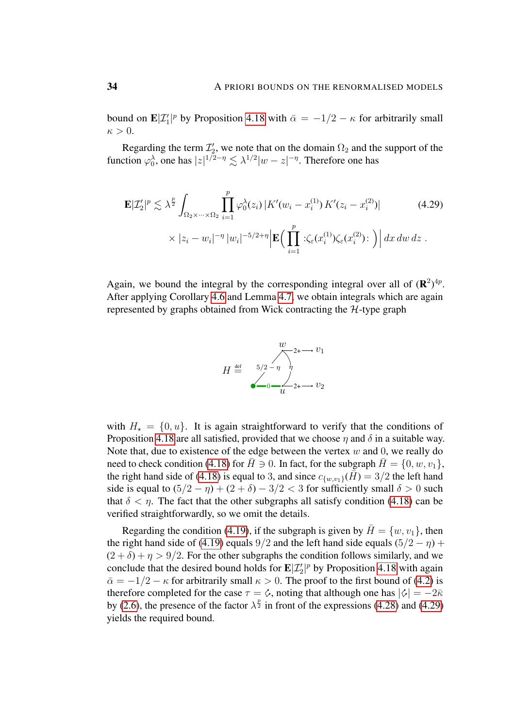bound on  $\mathbf{E}|\mathcal{I}'_1|^p$  by Proposition [4.18](#page-27-0) with  $\bar{\alpha} = -1/2 - \kappa$  for arbitrarily small  $\kappa > 0$ .

Regarding the term  $\mathcal{I}'_2$ , we note that on the domain  $\Omega_2$  and the support of the function  $\varphi_0^{\lambda}$ , one has  $|z|^{1/2-\eta} \lesssim \lambda^{1/2}|w-z|^{-\eta}$ . Therefore one has

$$
\mathbf{E}|Z'_{2}|^{p} \lesssim \lambda^{\frac{p}{2}} \int_{\Omega_{2} \times \cdots \times \Omega_{2}} \prod_{i=1}^{p} \varphi_{0}^{\lambda}(z_{i}) |K'(w_{i} - x_{i}^{(1)}) K'(z_{i} - x_{i}^{(2)})|
$$
\n
$$
\times |z_{i} - w_{i}|^{-\eta} |w_{i}|^{-5/2 + \eta} \Big| \mathbf{E} \Big( \prod_{i=1}^{p} \div \zeta_{\varepsilon}(x_{i}^{(1)}) \zeta_{\varepsilon}(x_{i}^{(2)}) : \Big) \Big| dx dw dz .
$$
\n(4.29)

Again, we bound the integral by the corresponding integral over all of  $(\mathbf{R}^2)^{4p}$ . After applying Corollary [4.6](#page-20-3) and Lemma [4.7,](#page-22-1) we obtain integrals which are again represented by graphs obtained from Wick contracting the  $H$ -type graph

<span id="page-33-0"></span>

with  $H_{\star} = \{0, u\}$ . It is again straightforward to verify that the conditions of Proposition [4.18](#page-27-0) are all satisfied, provided that we choose  $\eta$  and  $\delta$  in a suitable way. Note that, due to existence of the edge between the vertex  $w$  and 0, we really do need to check condition [\(4.18\)](#page-28-0) for  $\overline{H} \ni 0$ . In fact, for the subgraph  $\overline{H} = \{0, w, v_1\}$ , the right hand side of [\(4.18\)](#page-28-0) is equal to 3, and since  $c_{\{w,v_1\}}(\bar{H}) = 3/2$  the left hand side is equal to  $(5/2 - \eta) + (2 + \delta) - 3/2 < 3$  for sufficiently small  $\delta > 0$  such that  $\delta < \eta$ . The fact that the other subgraphs all satisfy condition [\(4.18\)](#page-28-0) can be verified straightforwardly, so we omit the details.

Regarding the condition [\(4.19\)](#page-28-1), if the subgraph is given by  $\overline{H} = \{w, v_1\}$ , then the right hand side of [\(4.19\)](#page-28-1) equals 9/2 and the left hand side equals  $(5/2 - \eta)$  +  $(2 + \delta) + \eta > 9/2$ . For the other subgraphs the condition follows similarly, and we conclude that the desired bound holds for  $\mathbf{E}|\mathcal{I}'_2|^p$  by Proposition [4.18](#page-27-0) with again  $\bar{\alpha} = -1/2 - \kappa$  for arbitrarily small  $\kappa > 0$ . The proof to the first bound of [\(4.2\)](#page-19-0) is therefore completed for the case  $\tau = \diamond$ , noting that although one has  $|\diamondsuit| = -2\overline{\kappa}$ by [\(2.6\)](#page-8-1), the presence of the factor  $\lambda^{\frac{p}{2}}$  in front of the expressions [\(4.28\)](#page-32-0) and [\(4.29\)](#page-33-0) yields the required bound.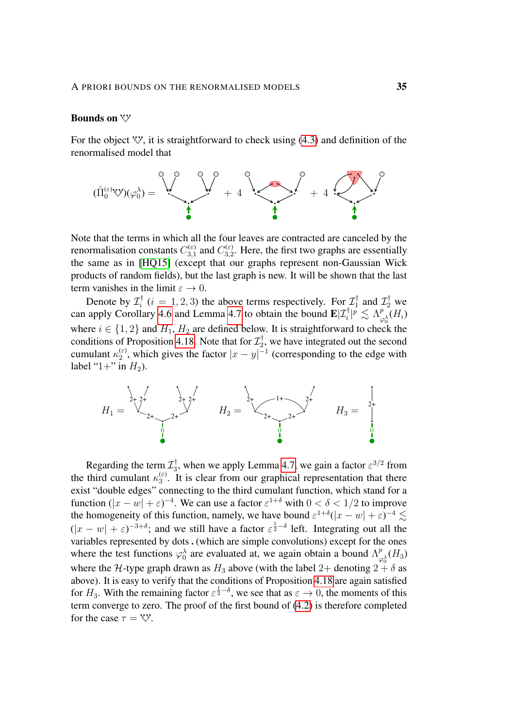## **Bounds** on  $\forall$

For the object  $V'$ , it is straightforward to check using [\(4.3\)](#page-19-1) and definition of the renormalised model that



Note that the terms in which all the four leaves are contracted are canceled by the renormalisation constants  $C_{3,1}^{(\varepsilon)}$  $C_{3,1}^{(\varepsilon)}$  and  $C_{3,2}^{(\varepsilon)}$  $3,2$ . Here, the first two graphs are essentially the same as in [\[HQ15\]](#page-54-8) (except that our graphs represent non-Gaussian Wick products of random fields), but the last graph is new. It will be shown that the last term vanishes in the limit  $\varepsilon \to 0$ .

Denote by  $\mathcal{I}_i^{\dagger}$  $i_i^{\dagger}$  (*i* = 1, 2, 3) the above terms respectively. For  $\mathcal{I}_1^{\dagger}$  $\tau_1^{\dagger}$  and  $\mathcal{I}_2^{\dagger}$  we can apply Corollary [4.6](#page-20-3) and Lemma [4.7](#page-22-1) to obtain the bound  $\mathbf{E}|\mathcal{I}_i^{\dagger}|^p \lesssim \Lambda^p_{\omega}$  $\frac{p}{\varphi_0^\lambda}(H_i)$ where  $i \in \{1, 2\}$  and  $H_1, H_2$  are defined below. It is straightforward to check the conditions of Proposition [4.18.](#page-27-0) Note that for  $\mathcal{I}_2^{\dagger}$  $z_2^{\dagger}$ , we have integrated out the second cumulant  $\kappa_2^{(\varepsilon)}$  $\binom{ε}{2}$ , which gives the factor  $|x-y|^{-1}$  (corresponding to the edge with label "1+" in  $H_2$ ).



Regarding the term  $\mathcal{I}_3^\dagger$  $\frac{1}{3}$ , when we apply Lemma [4.7,](#page-22-1) we gain a factor  $\varepsilon^{3/2}$  from the third cumulant  $\kappa_3^{(\varepsilon)}$  $\binom{\epsilon}{3}$ . It is clear from our graphical representation that there exist "double edges" connecting to the third cumulant function, which stand for a function  $(|x - w| + \varepsilon)^{-4}$ . We can use a factor  $\varepsilon^{1+\delta}$  with  $0 < \delta < 1/2$  to improve the homogeneity of this function, namely, we have bound  $\varepsilon^{1+\delta}(|x-w| + \varepsilon)^{-4} \lesssim$  $(|x-w| + \varepsilon)^{-3+\delta}$ ; and we still have a factor  $\varepsilon^{\frac{1}{2}-\delta}$  left. Integrating out all the variables represented by dots  $.$  (which are simple convolutions) except for the ones where the test functions  $\varphi_0^{\lambda}$  are evaluated at, we again obtain a bound  $\Lambda_{\mu}^{p}$  $\frac{p}{\varphi_0^{\lambda}}(H_3)$ where the H-type graph drawn as  $H_3$  above (with the label 2+ denoting  $2 + \delta$  as above). It is easy to verify that the conditions of Proposition [4.18](#page-27-0) are again satisfied for  $H_3$ . With the remaining factor  $\varepsilon^{\frac{1}{2}-\delta}$ , we see that as  $\varepsilon \to 0$ , the moments of this term converge to zero. The proof of the first bound of [\(4.2\)](#page-19-0) is therefore completed for the case  $\tau = \nabla$ .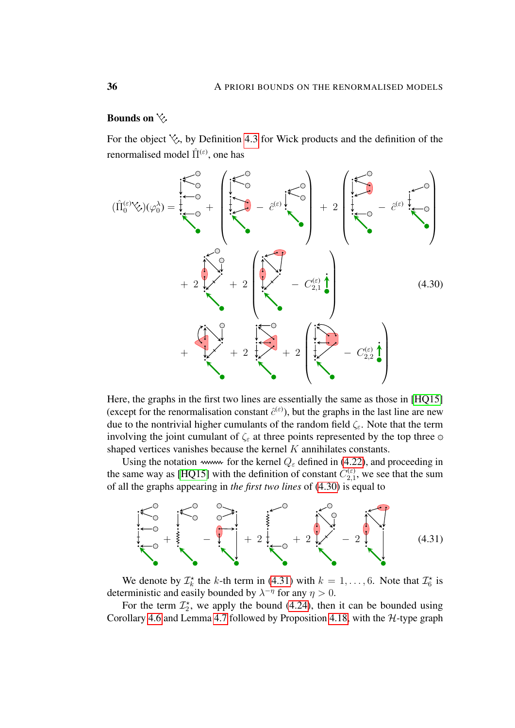# Bounds on  $\&$

For the object  $\&$ , by Definition [4.3](#page-19-2) for Wick products and the definition of the renormalised model  $\hat{\Pi}^{(\varepsilon)}$ , one has

<span id="page-35-0"></span>

Here, the graphs in the first two lines are essentially the same as those in [\[HQ15\]](#page-54-8) (except for the renormalisation constant  $\hat{c}^{(\varepsilon)}$ ), but the graphs in the last line are new due to the nontrivial higher cumulants of the random field  $\zeta_{\varepsilon}$ . Note that the term involving the joint cumulant of  $\zeta_{\varepsilon}$  at three points represented by the top three  $\circ$ shaped vertices vanishes because the kernel  $K$  annihilates constants.

Using the notation www. for the kernel  $Q_{\varepsilon}$  defined in [\(4.22\)](#page-30-2), and proceeding in the same way as [\[HQ15\]](#page-54-8) with the definition of constant  $C_{2,1}^{(\varepsilon)}$  $\chi_{2,1}^{(\varepsilon)}$ , we see that the sum of all the graphs appearing in *the first two lines* of [\(4.30\)](#page-35-0) is equal to

<span id="page-35-1"></span>

We denote by  $\mathcal{I}_k^*$  the k-th term in [\(4.31\)](#page-35-1) with  $k = 1, ..., 6$ . Note that  $\mathcal{I}_6^*$  is deterministic and easily bounded by  $\lambda^{-\eta}$  for any  $\eta > 0$ .

For the term  $\mathcal{I}_2^*$ , we apply the bound [\(4.24\)](#page-30-0), then it can be bounded using Corollary [4.6](#page-20-3) and Lemma [4.7](#page-22-1) followed by Proposition [4.18,](#page-27-0) with the H-type graph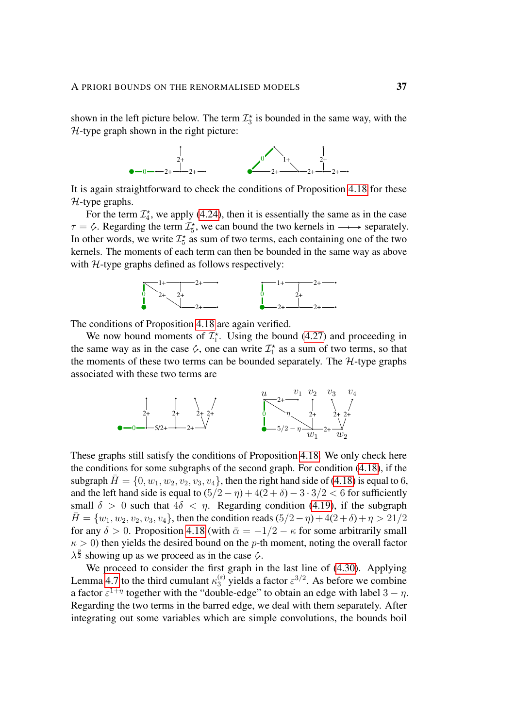shown in the left picture below. The term  $\mathcal{I}_3^*$  is bounded in the same way, with the  $H$ -type graph shown in the right picture:



It is again straightforward to check the conditions of Proposition [4.18](#page-27-0) for these  $H$ -type graphs.

For the term  $\mathcal{I}_4^*$ , we apply [\(4.24\)](#page-30-0), then it is essentially the same as in the case  $\tau = \circ$ . Regarding the term  $\mathcal{I}_5^*$ , we can bound the two kernels in  $\longrightarrow$  separately. In other words, we write  $\mathcal{I}_5^*$  as sum of two terms, each containing one of the two kernels. The moments of each term can then be bounded in the same way as above with  $H$ -type graphs defined as follows respectively:



The conditions of Proposition [4.18](#page-27-0) are again verified.

We now bound moments of  $\mathcal{I}_1^*$ . Using the bound [\(4.27\)](#page-31-1) and proceeding in the same way as in the case  $\Diamond$ , one can write  $\mathcal{I}_1^*$  as a sum of two terms, so that the moments of these two terms can be bounded separately. The  $H$ -type graphs associated with these two terms are



These graphs still satisfy the conditions of Proposition [4.18.](#page-27-0) We only check here the conditions for some subgraphs of the second graph. For condition [\(4.18\)](#page-28-0), if the subgraph  $H = \{0, w_1, w_2, v_2, v_3, v_4\}$ , then the right hand side of [\(4.18\)](#page-28-0) is equal to 6, and the left hand side is equal to  $(5/2 - \eta) + 4(2 + \delta) - 3 \cdot 3/2 < 6$  for sufficiently small  $\delta > 0$  such that  $4\delta < \eta$ . Regarding condition [\(4.19\)](#page-28-1), if the subgraph  $\bar{H} = \{w_1, w_2, v_2, v_3, v_4\}$ , then the condition reads  $(5/2 - \eta) + 4(2 + \delta) + \eta > 21/2$ for any  $\delta > 0$ . Proposition [4.18](#page-27-0) (with  $\bar{\alpha} = -1/2 - \kappa$  for some arbitrarily small  $\kappa > 0$ ) then yields the desired bound on the p-th moment, noting the overall factor  $\lambda^{\frac{p}{2}}$  showing up as we proceed as in the case  $\hat{\mathcal{L}}$ .

We proceed to consider the first graph in the last line of [\(4.30\)](#page-35-0). Applying Lemma [4.7](#page-22-1) to the third cumulant  $\kappa_3^{(\varepsilon)}$  yields a factor  $\varepsilon^{3/2}$ . As before we combine a factor  $\varepsilon^{1+\eta}$  together with the "double-edge" to obtain an edge with label  $3-\eta$ . Regarding the two terms in the barred edge, we deal with them separately. After integrating out some variables which are simple convolutions, the bounds boil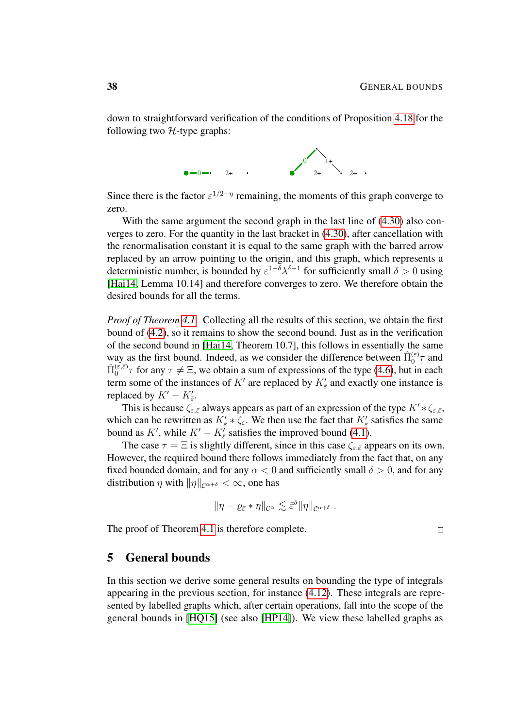down to straightforward verification of the conditions of Proposition [4.18](#page-27-0) for the following two  $H$ -type graphs:



Since there is the factor  $\varepsilon^{1/2-\eta}$  remaining, the moments of this graph converge to zero.

With the same argument the second graph in the last line of  $(4.30)$  also converges to zero. For the quantity in the last bracket in [\(4.30\)](#page-35-0), after cancellation with the renormalisation constant it is equal to the same graph with the barred arrow replaced by an arrow pointing to the origin, and this graph, which represents a deterministic number, is bounded by  $\varepsilon^{1-\delta}\lambda^{\delta-1}$  for sufficiently small  $\delta > 0$  using [\[Hai14,](#page-54-4) Lemma 10.14] and therefore converges to zero. We therefore obtain the desired bounds for all the terms.

*Proof of Theorem [4.1.](#page-18-1)* Collecting all the results of this section, we obtain the first bound of [\(4.2\)](#page-19-0), so it remains to show the second bound. Just as in the verification of the second bound in [\[Hai14,](#page-54-4) Theorem 10.7], this follows in essentially the same way as the first bound. Indeed, as we consider the difference between  $\hat{\Pi}_0^{(\varepsilon)}\tau$  and  $\hat{\Pi}_0^{(\varepsilon,\bar{\varepsilon})}\tau$  for any  $\tau \neq \Xi$ , we obtain a sum of expressions of the type [\(4.6\)](#page-21-2), but in each term some of the instances of K' are replaced by  $K_{\bar{\varepsilon}}$  and exactly one instance is replaced by  $K' - K'_{\bar{\varepsilon}}$ .

This is because  $\zeta_{\varepsilon,\bar{\varepsilon}}$  always appears as part of an expression of the type  $K' * \zeta_{\varepsilon,\bar{\varepsilon}},$ which can be rewritten as  $K'_{\bar{\varepsilon}} * \zeta_{\varepsilon}$ . We then use the fact that  $K'_{\bar{\varepsilon}}$  satisfies the same bound as K', while  $K' - K'_{\bar{\varepsilon}}$  satisfies the improved bound [\(4.1\)](#page-18-2).

The case  $\tau = \Xi$  is slightly different, since in this case  $\zeta_{\varepsilon,\bar{\varepsilon}}$  appears on its own. However, the required bound there follows immediately from the fact that, on any fixed bounded domain, and for any  $\alpha < 0$  and sufficiently small  $\delta > 0$ , and for any distribution  $\eta$  with  $\|\eta\|_{\mathcal{C}^{\alpha+\delta}} < \infty$ , one has

$$
\|\eta-\varrho_{\bar{\varepsilon}}*\eta\|_{\mathcal{C}^{\alpha}}\lesssim \bar{\varepsilon}^{\delta}\|\eta\|_{\mathcal{C}^{\alpha+\delta}}.
$$

The proof of Theorem [4.1](#page-18-1) is therefore complete.

## <span id="page-37-0"></span>5 General bounds

In this section we derive some general results on bounding the type of integrals appearing in the previous section, for instance [\(4.12\)](#page-24-0). These integrals are represented by labelled graphs which, after certain operations, fall into the scope of the general bounds in [\[HQ15\]](#page-54-8) (see also [\[HP14\]](#page-54-7)). We view these labelled graphs as

 $\Box$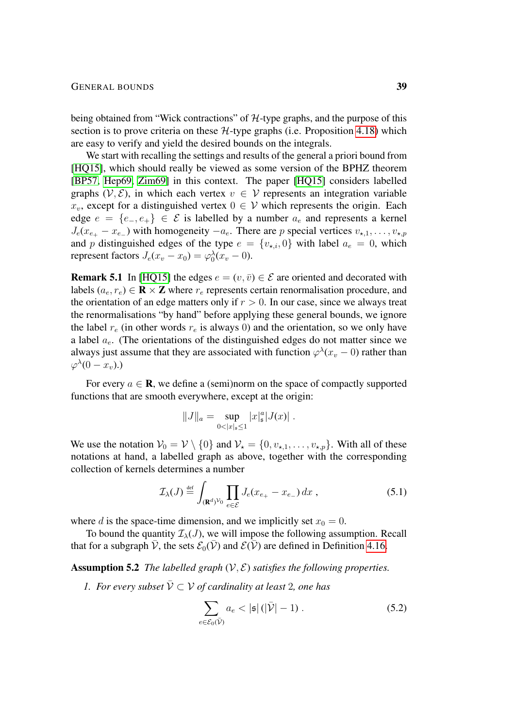being obtained from "Wick contractions" of  $H$ -type graphs, and the purpose of this section is to prove criteria on these  $H$ -type graphs (i.e. Proposition [4.18\)](#page-27-0) which are easy to verify and yield the desired bounds on the integrals.

We start with recalling the settings and results of the general a priori bound from [\[HQ15\]](#page-54-8), which should really be viewed as some version of the BPHZ theorem [\[BP57,](#page-53-10) [Hep69,](#page-54-13) [Zim69\]](#page-55-3) in this context. The paper [\[HQ15\]](#page-54-8) considers labelled graphs  $(V, \mathcal{E})$ , in which each vertex  $v \in V$  represents an integration variable  $x_v$ , except for a distinguished vertex  $0 \in V$  which represents the origin. Each edge  $e = \{e_-, e_+\} \in \mathcal{E}$  is labelled by a number  $a_e$  and represents a kernel  $J_e(x_{e_+} - x_{e_-})$  with homogeneity  $-a_e$ . There are p special vertices  $v_{\star,1}, \ldots, v_{\star,p}$ and p distinguished edges of the type  $e = \{v_{\star,i}, 0\}$  with label  $a_e = 0$ , which represent factors  $J_e(x_v - x_0) = \varphi_0^{\lambda}(x_v - 0)$ .

**Remark 5.1** In [\[HQ15\]](#page-54-8) the edges  $e = (v, \bar{v}) \in \mathcal{E}$  are oriented and decorated with labels ( $a_e, r_e$ )  $\in \mathbb{R} \times \mathbb{Z}$  where  $r_e$  represents certain renormalisation procedure, and the orientation of an edge matters only if  $r > 0$ . In our case, since we always treat the renormalisations "by hand" before applying these general bounds, we ignore the label  $r_e$  (in other words  $r_e$  is always 0) and the orientation, so we only have a label  $a_e$ . (The orientations of the distinguished edges do not matter since we always just assume that they are associated with function  $\varphi^{\lambda}(x_v - 0)$  rather than  $\varphi^{\lambda}(0-x_v)$ .)

For every  $a \in \mathbf{R}$ , we define a (semi)norm on the space of compactly supported functions that are smooth everywhere, except at the origin:

$$
||J||_a = \sup_{0<|x|_{\mathfrak{s}}\leq 1} |x|_{\mathfrak{s}}^a |J(x)|.
$$

We use the notation  $V_0 = V \setminus \{0\}$  and  $V_* = \{0, v_{*,1}, \ldots, v_{*,p}\}.$  With all of these notations at hand, a labelled graph as above, together with the corresponding collection of kernels determines a number

$$
\mathcal{I}_{\lambda}(J) \stackrel{\text{def}}{=} \int_{(\mathbf{R}^d)^{\mathcal{V}_0}} \prod_{e \in \mathcal{E}} J_e(x_{e_+} - x_{e_-}) dx , \qquad (5.1)
$$

where d is the space-time dimension, and we implicitly set  $x_0 = 0$ .

To bound the quantity  $\mathcal{I}_{\lambda}(J)$ , we will impose the following assumption. Recall that for a subgraph  $\bar{\mathcal{V}}$ , the sets  $\mathcal{E}_0(\bar{\mathcal{V}})$  and  $\mathcal{E}(\bar{\mathcal{V}})$  are defined in Definition [4.16.](#page-27-5)

<span id="page-38-0"></span>Assumption 5.2 *The labelled graph*  $(V, E)$  *satisfies the following properties.* 

*1. For every subset*  $\overline{V} \subset V$  *of cardinality at least 2, one has* 

<span id="page-38-1"></span>
$$
\sum_{e \in \mathcal{E}_0(\bar{\mathcal{V}})} a_e < |\mathfrak{s}| \left( |\bar{\mathcal{V}}| - 1 \right). \tag{5.2}
$$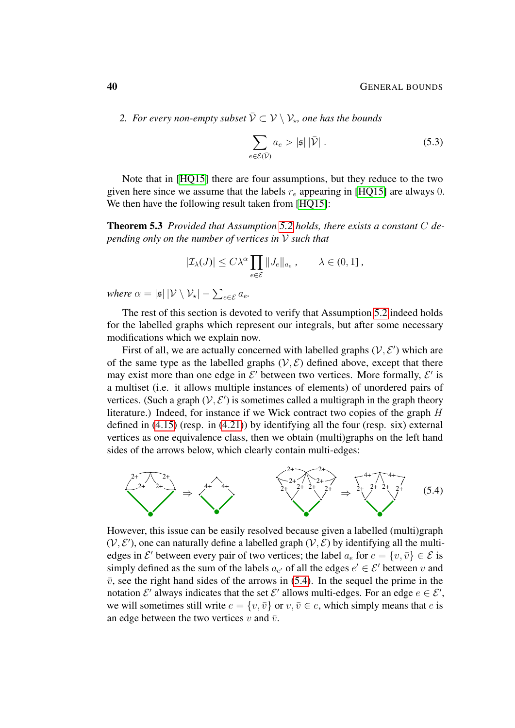2. For every non-empty subset  $\bar{\mathcal{V}} \subset \mathcal{V} \setminus \mathcal{V}_{\star}$ , one has the bounds

<span id="page-39-2"></span><span id="page-39-1"></span>
$$
\sum_{e \in \mathcal{E}(\bar{\mathcal{V}})} a_e > |\mathfrak{s}| |\bar{\mathcal{V}}|.
$$
 (5.3)

Note that in [\[HQ15\]](#page-54-8) there are four assumptions, but they reduce to the two given here since we assume that the labels  $r_e$  appearing in [\[HQ15\]](#page-54-8) are always 0. We then have the following result taken from [\[HQ15\]](#page-54-8):

Theorem 5.3 *Provided that Assumption [5.2](#page-38-0) holds, there exists a constant* C *depending only on the number of vertices in* V *such that*

$$
|\mathcal{I}_{\lambda}(J)| \leq C\lambda^{\alpha} \prod_{e \in \mathcal{E}} ||J_e||_{a_e}, \qquad \lambda \in (0,1],
$$

*where*  $\alpha = |\mathfrak{s}| |\mathcal{V} \setminus \mathcal{V}_\star| - \sum_{e \in \mathcal{E}} a_e$ .

The rest of this section is devoted to verify that Assumption [5.2](#page-38-0) indeed holds for the labelled graphs which represent our integrals, but after some necessary modifications which we explain now.

First of all, we are actually concerned with labelled graphs  $(V, E')$  which are of the same type as the labelled graphs  $(V, \mathcal{E})$  defined above, except that there may exist more than one edge in  $\mathcal{E}'$  between two vertices. More formally,  $\mathcal{E}'$  is a multiset (i.e. it allows multiple instances of elements) of unordered pairs of vertices. (Such a graph  $(V, E')$  is sometimes called a multigraph in the graph theory literature.) Indeed, for instance if we Wick contract two copies of the graph H defined in [\(4.15\)](#page-27-3) (resp. in [\(4.21\)](#page-30-3)) by identifying all the four (resp. six) external vertices as one equivalence class, then we obtain (multi)graphs on the left hand sides of the arrows below, which clearly contain multi-edges:

<span id="page-39-0"></span>

However, this issue can be easily resolved because given a labelled (multi)graph  $(V, E')$ , one can naturally define a labelled graph  $(V, E)$  by identifying all the multiedges in  $\mathcal{E}'$  between every pair of two vertices; the label  $a_e$  for  $e = \{v, \bar{v}\} \in \mathcal{E}$  is simply defined as the sum of the labels  $a_{e'}$  of all the edges  $e' \in \mathcal{E}'$  between v and  $\bar{v}$ , see the right hand sides of the arrows in [\(5.4\)](#page-39-0). In the sequel the prime in the notation  $\mathcal{E}'$  always indicates that the set  $\mathcal{E}'$  allows multi-edges. For an edge  $e \in \mathcal{E}'$ , we will sometimes still write  $e = \{v, \overline{v}\}\$  or  $v, \overline{v} \in e$ , which simply means that e is an edge between the two vertices v and  $\bar{v}$ .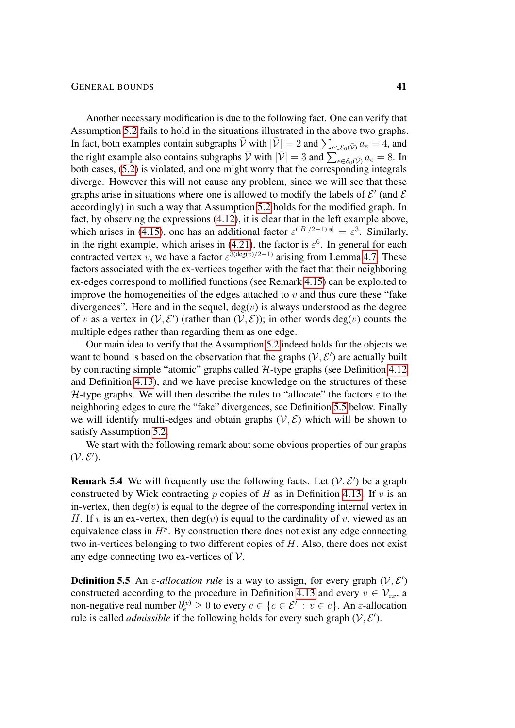Another necessary modification is due to the following fact. One can verify that Assumption [5.2](#page-38-0) fails to hold in the situations illustrated in the above two graphs. In fact, both examples contain subgraphs  $\bar{\mathcal{V}}$  with  $|\bar{\mathcal{V}}| = 2$  and  $\sum_{e \in \mathcal{E}_0(\bar{\mathcal{V}})} a_e = 4$ , and the right example also contains subgraphs  $\bar{\mathcal{V}}$  with  $|\bar{\mathcal{V}}| = 3$  and  $\sum_{e \in \mathcal{E}_0(\bar{\mathcal{V}})} a_e = 8$ . In both cases, [\(5.2\)](#page-38-1) is violated, and one might worry that the corresponding integrals diverge. However this will not cause any problem, since we will see that these graphs arise in situations where one is allowed to modify the labels of  $\mathcal{E}'$  (and  $\mathcal{E}$ accordingly) in such a way that Assumption [5.2](#page-38-0) holds for the modified graph. In fact, by observing the expressions [\(4.12\)](#page-24-0), it is clear that in the left example above, which arises in [\(4.15\)](#page-27-3), one has an additional factor  $\varepsilon^{(|B|/2-1)|\mathfrak{s}|} = \varepsilon^3$ . Similarly, in the right example, which arises in [\(4.21\)](#page-30-3), the factor is  $\varepsilon^6$ . In general for each contracted vertex v, we have a factor  $\varepsilon^{3(\text{deg}(v)/2-1)}$  arising from Lemma [4.7.](#page-22-1) These factors associated with the ex-vertices together with the fact that their neighboring ex-edges correspond to mollified functions (see Remark [4.15\)](#page-26-1) can be exploited to improve the homogeneities of the edges attached to  $v$  and thus cure these "fake" divergences". Here and in the sequel,  $deg(v)$  is always understood as the degree of v as a vertex in  $(V, E')$  (rather than  $(V, E)$ ); in other words deg(v) counts the multiple edges rather than regarding them as one edge.

Our main idea to verify that the Assumption [5.2](#page-38-0) indeed holds for the objects we want to bound is based on the observation that the graphs  $(V, E')$  are actually built by contracting simple "atomic" graphs called  $H$ -type graphs (see Definition [4.12](#page-25-0)) and Definition [4.13\)](#page-25-1), and we have precise knowledge on the structures of these H-type graphs. We will then describe the rules to "allocate" the factors  $\varepsilon$  to the neighboring edges to cure the "fake" divergences, see Definition [5.5](#page-40-0) below. Finally we will identify multi-edges and obtain graphs  $(V, \mathcal{E})$  which will be shown to satisfy Assumption [5.2.](#page-38-0)

We start with the following remark about some obvious properties of our graphs  $(V, \mathcal{E}^{\prime}).$ 

<span id="page-40-1"></span>**Remark 5.4** We will frequently use the following facts. Let  $(V, E')$  be a graph constructed by Wick contracting  $p$  copies of H as in Definition [4.13.](#page-25-1) If  $v$  is an in-vertex, then  $deg(v)$  is equal to the degree of the corresponding internal vertex in H. If v is an ex-vertex, then deg(v) is equal to the cardinality of v, viewed as an equivalence class in  $H^p$ . By construction there does not exist any edge connecting two in-vertices belonging to two different copies of H. Also, there does not exist any edge connecting two ex-vertices of  $V$ .

<span id="page-40-0"></span>**Definition 5.5** An  $\varepsilon$ -allocation rule is a way to assign, for every graph  $(V, E')$ constructed according to the procedure in Definition [4.13](#page-25-1) and every  $v \in V_{ex}$ , a non-negative real number  $b_e^{(v)} \ge 0$  to every  $e \in \{e \in \mathcal{E}' : v \in e\}$ . An  $\varepsilon$ -allocation rule is called *admissible* if the following holds for every such graph  $(V, E')$ .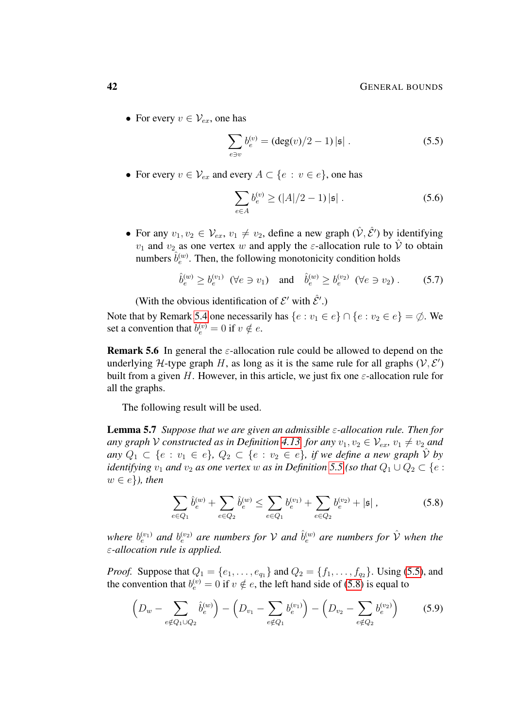• For every  $v \in V_{ex}$ , one has

<span id="page-41-0"></span>
$$
\sum_{e \ni v} b_e^{(v)} = (\deg(v)/2 - 1) | \mathfrak{s} | \ . \tag{5.5}
$$

• For every  $v \in \mathcal{V}_{ex}$  and every  $A \subset \{e : v \in e\}$ , one has

<span id="page-41-4"></span><span id="page-41-2"></span>
$$
\sum_{e \in A} b_e^{(v)} \ge (|A|/2 - 1) |\mathfrak{s}| \ . \tag{5.6}
$$

• For any  $v_1, v_2 \in \mathcal{V}_{ex}$ ,  $v_1 \neq v_2$ , define a new graph  $(\hat{\mathcal{V}}, \hat{\mathcal{E}}')$  by identifying  $v_1$  and  $v_2$  as one vertex w and apply the  $\varepsilon$ -allocation rule to  $\hat{V}$  to obtain numbers  $\hat{b}_e^{(w)}$ . Then, the following monotonicity condition holds

$$
\hat{b}_e^{(w)} \ge b_e^{(v_1)} \quad (\forall e \ni v_1) \quad \text{and} \quad \hat{b}_e^{(w)} \ge b_e^{(v_2)} \quad (\forall e \ni v_2). \tag{5.7}
$$

(With the obvious identification of  $\mathcal{E}'$  with  $\hat{\mathcal{E}}'$ .)

Note that by Remark [5.4](#page-40-1) one necessarily has  $\{e : v_1 \in e\} \cap \{e : v_2 \in e\} = \emptyset$ . We set a convention that  $b_e^{(v)} = 0$  if  $v \notin e$ .

**Remark 5.6** In general the  $\varepsilon$ -allocation rule could be allowed to depend on the underlying H-type graph H, as long as it is the same rule for all graphs  $(V, E')$ built from a given H. However, in this article, we just fix one  $\varepsilon$ -allocation rule for all the graphs.

The following result will be used.

Lemma 5.7 *Suppose that we are given an admissible* ε*-allocation rule. Then for any* graph V constructed as in Definition [4.13,](#page-25-1) for any  $v_1, v_2 \in V_{ex}$ ,  $v_1 \neq v_2$  and *any*  $Q_1 \subset \{e : v_1 \in e\}$ ,  $Q_2 \subset \{e : v_2 \in e\}$ , if we define a new graph  $\hat{V}$  by *identifying*  $v_1$  *and*  $v_2$  *as one vertex* w *as in Definition* [5.5](#page-40-0) *(so that*  $Q_1 \cup Q_2 \subset \{e :$  $w \in e$ *}*), then

<span id="page-41-5"></span><span id="page-41-3"></span><span id="page-41-1"></span>
$$
\sum_{e \in Q_1} \hat{b}_e^{(w)} + \sum_{e \in Q_2} \hat{b}_e^{(w)} \le \sum_{e \in Q_1} b_e^{(v_1)} + \sum_{e \in Q_2} b_e^{(v_2)} + |\mathfrak{s}| \,, \tag{5.8}
$$

where  $b_e^{(v_1)}$  and  $b_e^{(v_2)}$  are numbers for  $\mathcal V$  and  $\hat b_e^{(w)}$  are numbers for  $\hat{\mathcal V}$  when the ε*-allocation rule is applied.*

*Proof.* Suppose that  $Q_1 = \{e_1, \ldots, e_{q_1}\}\$  and  $Q_2 = \{f_1, \ldots, f_{q_2}\}\$ . Using [\(5.5\)](#page-41-0), and the convention that  $b_e^{(v)} = 0$  if  $v \notin e$ , the left hand side of [\(5.8\)](#page-41-1) is equal to

$$
\left(D_w - \sum_{e \notin Q_1 \cup Q_2} \hat{b}_e^{(w)}\right) - \left(D_{v_1} - \sum_{e \notin Q_1} b_e^{(v_1)}\right) - \left(D_{v_2} - \sum_{e \notin Q_2} b_e^{(v_2)}\right) \tag{5.9}
$$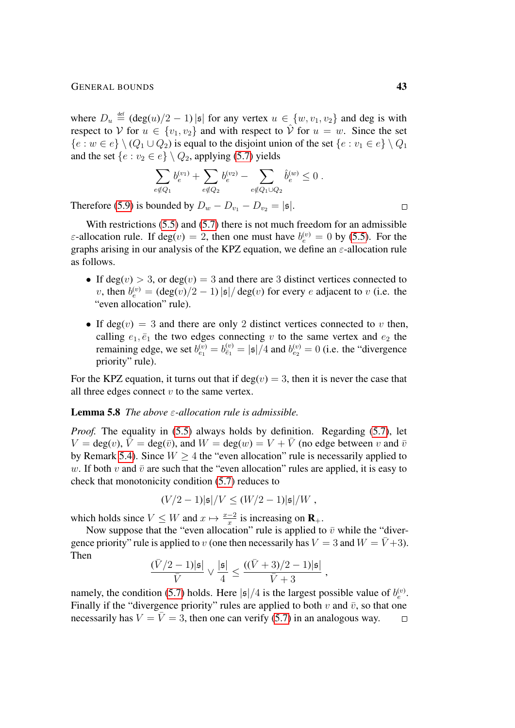where  $D_u \stackrel{\text{def}}{=} (\text{deg}(u)/2 - 1) |\mathfrak{s}|$  for any vertex  $u \in \{w, v_1, v_2\}$  and deg is with respect to V for  $u \in \{v_1, v_2\}$  and with respect to  $\hat{V}$  for  $u = w$ . Since the set  ${e : w \in e} \setminus (Q_1 \cup Q_2)$  is equal to the disjoint union of the set  ${e : v_1 \in e} \setminus Q_1$ and the set  $\{e : v_2 \in e\} \setminus Q_2$ , applying [\(5.7\)](#page-41-2) yields

$$
\sum_{e \notin Q_1} b_e^{(v_1)} + \sum_{e \notin Q_2} b_e^{(v_2)} - \sum_{e \notin Q_1 \cup Q_2} \hat{b}_e^{(w)} \leq 0.
$$

Therefore [\(5.9\)](#page-41-3) is bounded by  $D_w - D_{v_1} - D_{v_2} = |\mathfrak{s}|.$ 

With restrictions [\(5.5\)](#page-41-0) and [\(5.7\)](#page-41-2) there is not much freedom for an admissible  $\varepsilon$ -allocation rule. If deg $(v) = 2$ , then one must have  $b_e^{(v)} = 0$  by [\(5.5\)](#page-41-0). For the graphs arising in our analysis of the KPZ equation, we define an  $\varepsilon$ -allocation rule as follows.

- If deg(v) > 3, or deg(v) = 3 and there are 3 distinct vertices connected to v, then  $b_e^{(v)} = (\deg(v)/2 - 1) |\mathfrak{s}| / \deg(v)$  for every e adjacent to v (i.e. the "even allocation" rule).
- If deg(v) = 3 and there are only 2 distinct vertices connected to v then, calling  $e_1, \bar{e}_1$  the two edges connecting v to the same vertex and  $e_2$  the remaining edge, we set  $b_{e_1}^{(v)} = b_{\bar{e}_1}^{(v)} = |\mathfrak{s}|/4$  and  $b_{e_2}^{(v)} = 0$  (i.e. the "divergence priority" rule).

For the KPZ equation, it turns out that if  $deg(v) = 3$ , then it is never the case that all three edges connect  $v$  to the same vertex.

#### <span id="page-42-0"></span>Lemma 5.8 *The above* ε*-allocation rule is admissible.*

*Proof.* The equality in [\(5.5\)](#page-41-0) always holds by definition. Regarding [\(5.7\)](#page-41-2), let  $V = \deg(v)$ ,  $\overline{V} = \deg(\overline{v})$ , and  $W = \deg(w) = V + \overline{V}$  (no edge between v and  $\overline{v}$ by Remark [5.4\)](#page-40-1). Since  $W \geq 4$  the "even allocation" rule is necessarily applied to w. If both v and  $\bar{v}$  are such that the "even allocation" rules are applied, it is easy to check that monotonicity condition [\(5.7\)](#page-41-2) reduces to

$$
(V/2-1)|\mathfrak{s}|/V \le (W/2-1)|\mathfrak{s}|/W,
$$

which holds since  $V \leq W$  and  $x \mapsto \frac{x-2}{x}$  is increasing on  $\mathbf{R}_{+}$ .

Now suppose that the "even allocation" rule is applied to  $\bar{v}$  while the "divergence priority" rule is applied to v (one then necessarily has  $V = 3$  and  $W = \bar{V} + 3$ ). Then

$$
\frac{(\bar{V}/2-1)|\mathfrak{s}|}{\bar{V}}\vee\frac{|\mathfrak{s}|}{4}\leq \frac{((\bar{V}+3)/2-1)|\mathfrak{s}|}{\bar{V}+3}\:,
$$

namely, the condition [\(5.7\)](#page-41-2) holds. Here  $|\mathfrak{s}|/4$  is the largest possible value of  $b_e^{(v)}$ . Finally if the "divergence priority" rules are applied to both v and  $\bar{v}$ , so that one necessarily has  $V = \overline{V} = 3$ , then one can verify [\(5.7\)](#page-41-2) in an analogous way.  $\Box$ 

 $\Box$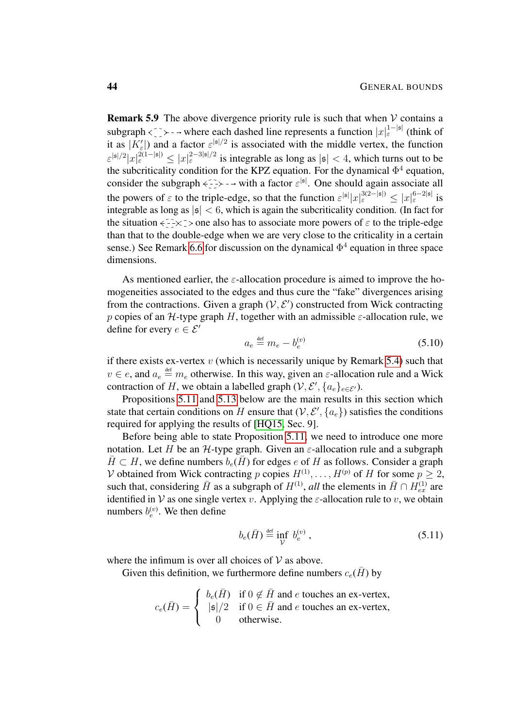**Remark 5.9** The above divergence priority rule is such that when  $V$  contains a subgraph <  $\sum$  > - - where each dashed line represents a function  $|x|_{\varepsilon}^{1-|s|}$  (think of it as  $|K'_{\varepsilon}|$ ) and a factor  $\varepsilon^{|s|/2}$  is associated with the middle vertex, the function  $\epsilon^{|s|/2}|x|^{{2(1-|s|)}} \le |x|^{{2-3|s|/2}}$  is integrable as long as  $|s| < 4$ , which turns out to be the subcriticality condition for the KPZ equation. For the dynamical  $\Phi^4$  equation, consider the subgraph  $\epsilon \to -\cdot \cdot$  with a factor  $\varepsilon^{|\mathfrak{s}|}$ . One should again associate all the powers of  $\varepsilon$  to the triple-edge, so that the function  $\varepsilon^{|s|} |x|_{\varepsilon}^{3(2-|s|)} \leq |x|_{\varepsilon}^{6-2|s|}$  is integrable as long as  $|s| < 6$ , which is again the subcriticality condition. (In fact for the situation  $\leftarrow \rightarrow \rightarrow \rightarrow$  one also has to associate more powers of  $\varepsilon$  to the triple-edge than that to the double-edge when we are very close to the criticality in a certain sense.) See Remark [6.6](#page-52-2) for discussion on the dynamical  $\Phi^4$  equation in three space dimensions.

As mentioned earlier, the  $\varepsilon$ -allocation procedure is aimed to improve the homogeneities associated to the edges and thus cure the "fake" divergences arising from the contractions. Given a graph  $(V, E')$  constructed from Wick contracting p copies of an H-type graph H, together with an admissible  $\varepsilon$ -allocation rule, we define for every  $e \in \mathcal{E}'$ 

<span id="page-43-1"></span>
$$
a_e \stackrel{\text{def}}{=} m_e - b_e^{(v)} \tag{5.10}
$$

if there exists ex-vertex  $v$  (which is necessarily unique by Remark [5.4\)](#page-40-1) such that  $v \in e$ , and  $a_e \stackrel{\text{def}}{=} m_e$  otherwise. In this way, given an  $\varepsilon$ -allocation rule and a Wick contraction of H, we obtain a labelled graph  $(\mathcal{V}, \mathcal{E}', \{a_e\}_{e \in \mathcal{E}'})$ .

Propositions [5.11](#page-44-1) and [5.13](#page-46-1) below are the main results in this section which state that certain conditions on H ensure that  $(\mathcal{V}, \mathcal{E}', \{a_e\})$  satisfies the conditions required for applying the results of [\[HQ15,](#page-54-8) Sec. 9].

Before being able to state Proposition [5.11,](#page-44-1) we need to introduce one more notation. Let H be an H-type graph. Given an  $\varepsilon$ -allocation rule and a subgraph  $\overline{H} \subset H$ , we define numbers  $b_e(\overline{H})$  for edges e of H as follows. Consider a graph V obtained from Wick contracting p copies  $H^{(1)}, \ldots, H^{(p)}$  of H for some  $p \geq 2$ , such that, considering  $\bar{H}$  as a subgraph of  $H^{(1)}$ , *all* the elements in  $\bar{H} \cap H_{ex}^{(1)}$  are identified in V as one single vertex v. Applying the  $\varepsilon$ -allocation rule to v, we obtain numbers  $b_e^{(v)}$ . We then define

<span id="page-43-0"></span>
$$
b_e(\bar{H}) \stackrel{\text{def}}{=} \inf_{\mathcal{V}} b_e^{(v)} \,, \tag{5.11}
$$

where the infimum is over all choices of  $V$  as above.

Given this definition, we furthermore define numbers  $c_e(H)$  by

$$
c_e(\bar{H}) = \begin{cases} b_e(\bar{H}) & \text{if } 0 \notin \bar{H} \text{ and } e \text{ touches an ex-vertex,} \\ |{\mathfrak{s}}|/2 & \text{if } 0 \in \bar{H} \text{ and } e \text{ touches an ex-vertex,} \\ 0 & \text{otherwise.} \end{cases}
$$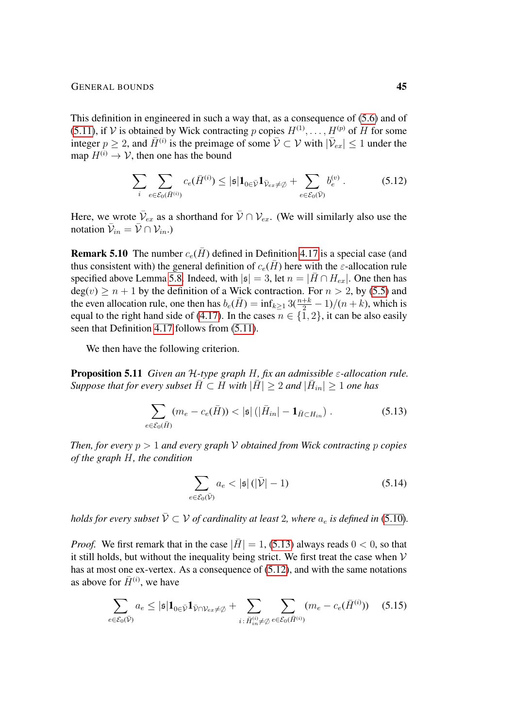This definition in engineered in such a way that, as a consequence of [\(5.6\)](#page-41-4) and of [\(5.11\)](#page-43-0), if V is obtained by Wick contracting p copies  $H^{(1)}, \ldots, H^{(p)}$  of H for some integer  $p \ge 2$ , and  $\bar{H}^{(i)}$  is the preimage of some  $\bar{\mathcal{V}} \subset \mathcal{V}$  with  $|\bar{\mathcal{V}}_{ex}| \le 1$  under the map  $H^{(i)} \to V$ , then one has the bound

<span id="page-44-3"></span>
$$
\sum_{i} \sum_{e \in \mathcal{E}_0(\bar{H}^{(i)})} c_e(\bar{H}^{(i)}) \leq |\mathfrak{s}| \mathbf{1}_{0 \in \bar{\mathcal{V}}} \mathbf{1}_{\bar{\mathcal{V}}_{ex} \neq \emptyset} + \sum_{e \in \mathcal{E}_0(\bar{\mathcal{V}})} b_e^{(v)}.
$$
 (5.12)

Here, we wrote  $\bar{\mathcal{V}}_{ex}$  as a shorthand for  $\bar{\mathcal{V}} \cap \mathcal{V}_{ex}$ . (We will similarly also use the notation  $\bar{\mathcal{V}}_{in} = \bar{\mathcal{V}} \cap \mathcal{V}_{in}$ .)

<span id="page-44-0"></span>**Remark 5.10** The number  $c_e(\bar{H})$  defined in Definition [4.17](#page-27-1) is a special case (and thus consistent with) the general definition of  $c_e(\overline{H})$  here with the  $\varepsilon$ -allocation rule specified above Lemma [5.8.](#page-42-0) Indeed, with  $|\mathfrak{s}| = 3$ , let  $n = |\bar{H} \cap H_{ex}|$ . One then has  $deg(v) \ge n + 1$  by the definition of a Wick contraction. For  $n > 2$ , by [\(5.5\)](#page-41-0) and the even allocation rule, one then has  $b_e(\bar{H}) = \inf_{k \geq 1} 3(\frac{n+k}{2} - 1)/(n+k)$ , which is equal to the right hand side of [\(4.17\)](#page-27-4). In the cases  $n \in \{1, 2\}$ , it can be also easily seen that Definition [4.17](#page-27-1) follows from [\(5.11\)](#page-43-0).

We then have the following criterion.

<span id="page-44-1"></span>Proposition 5.11 *Given an* H*-type graph* H*, fix an admissible* ε*-allocation rule. Suppose that for every subset*  $\bar{H} \subset H$  *with*  $|\bar{H}| \geq 2$  *and*  $|\bar{H}_{in}| \geq 1$  *one has* 

$$
\sum_{e \in \mathcal{E}_0(\bar{H})} (m_e - c_e(\bar{H})) < |\mathfrak{s}| \left( |\bar{H}_{in}| - \mathbf{1}_{\bar{H} \subset H_{in}} \right). \tag{5.13}
$$

*Then, for every*  $p > 1$  *and every graph*  $V$  *obtained from Wick contracting*  $p$  *copies of the graph* H*, the condition*

<span id="page-44-5"></span><span id="page-44-4"></span><span id="page-44-2"></span>
$$
\sum_{e \in \mathcal{E}_0(\bar{\mathcal{V}})} a_e < |\mathfrak{s}| \left( |\bar{\mathcal{V}}| - 1 \right) \tag{5.14}
$$

*holds for every subset*  $\overline{V} \subset V$  *of cardinality at least* 2*, where*  $a_e$  *is defined in* [\(5.10\)](#page-43-1)*.* 

*Proof.* We first remark that in the case  $|\bar{H}| = 1$ , [\(5.13\)](#page-44-2) always reads  $0 < 0$ , so that it still holds, but without the inequality being strict. We first treat the case when  $V$ has at most one ex-vertex. As a consequence of [\(5.12\)](#page-44-3), and with the same notations as above for  $\bar{H}^{(i)}$ , we have

$$
\sum_{e \in \mathcal{E}_0(\bar{\mathcal{V}})} a_e \leq |\mathfrak{s}| \mathbf{1}_{0 \in \bar{\mathcal{V}}} \mathbf{1}_{\bar{\mathcal{V}} \cap \mathcal{V}_{ex} \neq \emptyset} + \sum_{i \colon \bar{H}_{in}^{(i)} \neq \emptyset} \sum_{e \in \mathcal{E}_0(\bar{H}^{(i)})} (m_e - c_e(\bar{H}^{(i)})) \quad (5.15)
$$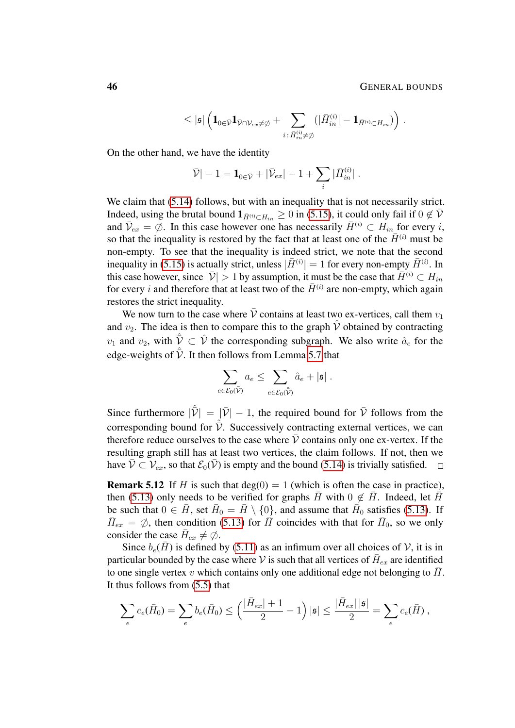$$
\leq |\mathfrak{s}| \left( \mathbf{1}_{0 \in \bar{\mathcal{V}}} \mathbf{1}_{\bar{\mathcal{V}} \cap \mathcal{V}_{ex} \neq \varnothing} + \sum_{i \, : \, \bar{H}^{(i)}_{in} \neq \varnothing} (|\bar{H}^{(i)}_{in}| - \mathbf{1}_{\bar{H}^{(i)} \subset H_{in}}) \right).
$$

On the other hand, we have the identity

$$
|\bar{\mathcal{V}}| - 1 = \mathbf{1}_{0 \in \bar{\mathcal{V}}} + |\bar{\mathcal{V}}_{ex}| - 1 + \sum_i |\bar{H}_{in}^{(i)}|.
$$

We claim that  $(5.14)$  follows, but with an inequality that is not necessarily strict. Indeed, using the brutal bound  $1_{\bar{H}^{(i)} \subset H_{in}} \ge 0$  in [\(5.15\)](#page-44-5), it could only fail if  $0 \notin \bar{V}$ and  $\bar{\mathcal{V}}_{ex} = \emptyset$ . In this case however one has necessarily  $\bar{H}^{(i)} \subset H_{in}$  for every i, so that the inequality is restored by the fact that at least one of the  $\bar{H}^{(i)}$  must be non-empty. To see that the inequality is indeed strict, we note that the second inequality in [\(5.15\)](#page-44-5) is actually strict, unless  $|\bar{H}^{(i)}| = 1$  for every non-empty  $\bar{H}^{(i)}$ . In this case however, since  $|\bar{\mathcal{V}}| > 1$  by assumption, it must be the case that  $\bar{H}^{(i)} \subset H_{in}$ for every i and therefore that at least two of the  $\bar{H}^{(i)}$  are non-empty, which again restores the strict inequality.

We now turn to the case where  $\bar{V}$  contains at least two ex-vertices, call them  $v_1$ and  $v_2$ . The idea is then to compare this to the graph  $\hat{V}$  obtained by contracting  $v_1$  and  $v_2$ , with  $\hat{\overline{V}} \subset \hat{V}$  the corresponding subgraph. We also write  $\hat{a}_e$  for the edge-weights of  $\hat{\bar{\mathcal{V}}}$ . It then follows from Lemma [5.7](#page-41-5) that

$$
\sum_{e \in \mathcal{E}_0(\bar{\mathcal{V}})} a_e \leq \sum_{e \in \mathcal{E}_0(\hat{\bar{\mathcal{V}}})} \hat{a}_e + |\mathfrak{s}|.
$$

Since furthermore  $|\hat{\vec{V}}| = |\vec{V}| - 1$ , the required bound for  $\vec{V}$  follows from the corresponding bound for  $\hat{\bar{\mathcal{V}}}$ . Successively contracting external vertices, we can therefore reduce ourselves to the case where  $\overline{V}$  contains only one ex-vertex. If the resulting graph still has at least two vertices, the claim follows. If not, then we have  $\bar{\mathcal{V}} \subset \mathcal{V}_{ex}$ , so that  $\mathcal{E}_0(\bar{\mathcal{V}})$  is empty and the bound [\(5.14\)](#page-44-4) is trivially satisfied.

<span id="page-45-0"></span>**Remark 5.12** If H is such that deg(0) = 1 (which is often the case in practice), then [\(5.13\)](#page-44-2) only needs to be verified for graphs  $\overline{H}$  with  $0 \notin \overline{H}$ . Indeed, let  $\overline{H}$ be such that  $0 \in \overline{H}$ , set  $\overline{H}_0 = \overline{H} \setminus \{0\}$ , and assume that  $\overline{H}_0$  satisfies [\(5.13\)](#page-44-2). If  $\bar{H}_{ex} = \emptyset$ , then condition [\(5.13\)](#page-44-2) for  $\vec{H}$  coincides with that for  $\bar{H}_0$ , so we only consider the case  $\bar{H}_{ex} \neq \emptyset$ .

Since  $b_e(\bar{H})$  is defined by [\(5.11\)](#page-43-0) as an infimum over all choices of V, it is in particular bounded by the case where V is such that all vertices of  $\bar{H}_{ex}$  are identified to one single vertex v which contains only one additional edge not belonging to  $\bar{H}$ . It thus follows from [\(5.5\)](#page-41-0) that

$$
\sum_{e} c_e(\bar{H}_0) = \sum_{e} b_e(\bar{H}_0) \le \left(\frac{|\bar{H}_{ex}|+1}{2}-1\right)|\mathfrak{s}| \le \frac{|\bar{H}_{ex}||\mathfrak{s}|}{2} = \sum_{e} c_e(\bar{H}) ,
$$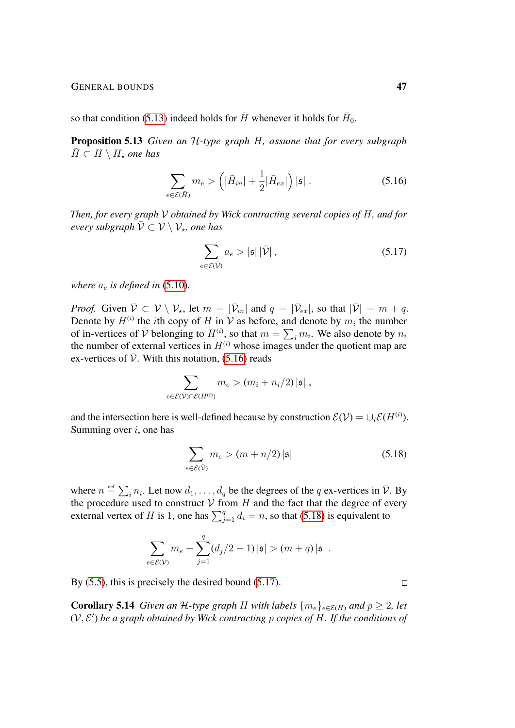so that condition [\(5.13\)](#page-44-2) indeed holds for  $\bar{H}$  whenever it holds for  $\bar{H}_0$ .

<span id="page-46-1"></span>Proposition 5.13 *Given an* H*-type graph* H*, assume that for every subgraph*  $H \subset H \setminus H_*$  *one has* 

$$
\sum_{e \in \mathcal{E}(\bar{H})} m_e > \left( |\bar{H}_{in}| + \frac{1}{2} |\bar{H}_{ex}| \right) |\mathfrak{s}| \ . \tag{5.16}
$$

*Then, for every graph* V *obtained by Wick contracting several copies of* H*, and for*  $\vec{P}$  every subgraph  $\bar{\mathcal{V}} \subset \mathcal{V} \setminus \mathcal{V}_{*}$ , one has

<span id="page-46-4"></span><span id="page-46-2"></span>
$$
\sum_{e \in \mathcal{E}(\bar{\mathcal{V}})} a_e > |\mathfrak{s}| |\bar{\mathcal{V}}| \,, \tag{5.17}
$$

*where*  $a_e$  *is defined in* [\(5.10\)](#page-43-1).

*Proof.* Given  $\bar{\mathcal{V}} \subset \mathcal{V} \setminus \mathcal{V}_{\star}$ , let  $m = |\bar{\mathcal{V}}_{in}|$  and  $q = |\bar{\mathcal{V}}_{ex}|$ , so that  $|\bar{\mathcal{V}}| = m + q$ . Denote by  $H^{(i)}$  the *i*th copy of H in V as before, and denote by  $m_i$  the number of in-vertices of  $\bar{V}$  belonging to  $H^{(i)}$ , so that  $m = \sum_i m_i$ . We also denote by  $n_i$ the number of external vertices in  $H^{(i)}$  whose images under the quotient map are ex-vertices of  $\overline{V}$ . With this notation, [\(5.16\)](#page-46-2) reads

$$
\sum_{e \in \mathcal{E}(\bar{\mathcal{V}}) \cap \mathcal{E}(H^{(i)})} m_e > (m_i + n_i/2) |\mathfrak{s}|,
$$

and the intersection here is well-defined because by construction  $\mathcal{E}(\mathcal{V}) = \cup_i \mathcal{E}(H^{(i)})$ . Summing over  $i$ , one has

$$
\sum_{e \in \mathcal{E}(\bar{\mathcal{V}})} m_e > (m + n/2) |\mathfrak{s}| \tag{5.18}
$$

where  $n \stackrel{\text{def}}{=} \sum_i n_i$ . Let now  $d_1, \ldots, d_q$  be the degrees of the q ex-vertices in  $\bar{\mathcal{V}}$ . By the procedure used to construct  $V$  from  $H$  and the fact that the degree of every external vertex of H is 1, one has  $\sum_{j=1}^{q} d_i = n$ , so that [\(5.18\)](#page-46-3) is equivalent to

$$
\sum_{e \in \mathcal{E}(\bar{\mathcal{V}})} m_e - \sum_{j=1}^q (d_j/2 - 1) |\mathfrak{s}| > (m+q) |\mathfrak{s}|.
$$

By [\(5.5\)](#page-41-0), this is precisely the desired bound [\(5.17\)](#page-46-4).

<span id="page-46-0"></span>**Corollary 5.14** *Given an* H-type graph H with labels  $\{m_e\}_{e \in \mathcal{E}(H)}$  and  $p \ge 2$ , let  $(V, E')$  be a graph obtained by Wick contracting p copies of H. If the conditions of

<span id="page-46-3"></span> $\Box$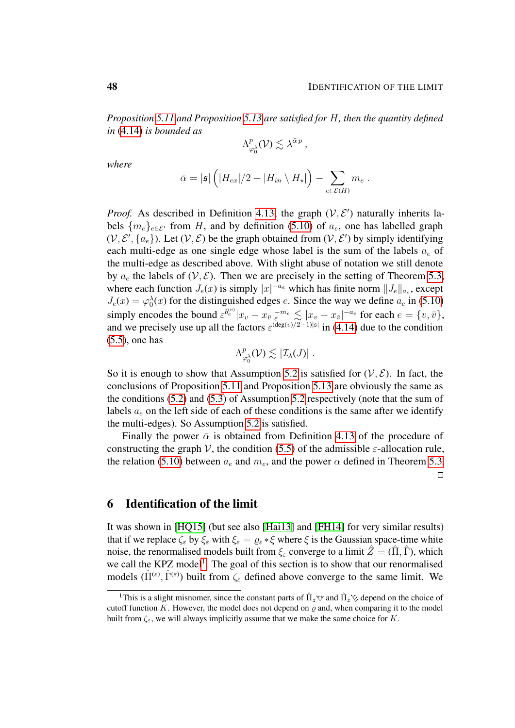*Proposition [5.11](#page-44-1) and Proposition [5.13](#page-46-1) are satisfied for* H*, then the quantity defined in* [\(4.14\)](#page-26-0) *is bounded as*

$$
\Lambda^p_{\varphi_0^{\lambda}}(\mathcal{V}) \lesssim \lambda^{\bar{\alpha} p} ,
$$

*where*

$$
\bar{\alpha} = |\mathfrak{s}| \left( |H_{ex}|/2 + |H_{in} \setminus H_{\star}| \right) - \sum_{e \in \mathcal{E}(H)} m_e.
$$

*Proof.* As described in Definition [4.13,](#page-25-1) the graph  $(V, E')$  naturally inherits labels  ${m_e}_{e \in \mathcal{E}'}$  from H, and by definition [\(5.10\)](#page-43-1) of  $a_e$ , one has labelled graph  $(V, \mathcal{E}', \{a_e\})$ . Let  $(V, \mathcal{E})$  be the graph obtained from  $(V, \mathcal{E}')$  by simply identifying each multi-edge as one single edge whose label is the sum of the labels  $a_e$  of the multi-edge as described above. With slight abuse of notation we still denote by  $a_e$  the labels of  $(V, \mathcal{E})$ . Then we are precisely in the setting of Theorem [5.3,](#page-39-1) where each function  $J_e(x)$  is simply  $|x|^{-a_e}$  which has finite norm  $||J_e||_{a_e}$ , except  $J_e(x) = \varphi_0^{\lambda}(x)$  for the distinguished edges e. Since the way we define  $a_e$  in [\(5.10\)](#page-43-1) simply encodes the bound  $\varepsilon^{b_e^{(v)}} |x_v - x_{\bar{v}}|_{\varepsilon}^{-m_e} \lesssim |x_v - x_{\bar{v}}|^{-a_e}$  for each  $e = \{v, \bar{v}\},$ and we precisely use up all the factors  $\varepsilon^{(\deg(v)/2-1)|s|}$  in [\(4.14\)](#page-26-0) due to the condition [\(5.5\)](#page-41-0), one has

$$
\Lambda^p_{\varphi_0^{\lambda}}(\mathcal{V}) \lesssim |\mathcal{I}_{\lambda}(J)| \; .
$$

So it is enough to show that Assumption [5.2](#page-38-0) is satisfied for  $(V, \mathcal{E})$ . In fact, the conclusions of Proposition [5.11](#page-44-1) and Proposition [5.13](#page-46-1) are obviously the same as the conditions [\(5.2\)](#page-38-1) and [\(5.3\)](#page-39-2) of Assumption [5.2](#page-38-0) respectively (note that the sum of labels  $a_e$  on the left side of each of these conditions is the same after we identify the multi-edges). So Assumption [5.2](#page-38-0) is satisfied.

Finally the power  $\bar{\alpha}$  is obtained from Definition [4.13](#page-25-1) of the procedure of constructing the graph V, the condition [\(5.5\)](#page-41-0) of the admissible  $\varepsilon$ -allocation rule, the relation [\(5.10\)](#page-43-1) between  $a_e$  and  $m_e$ , and the power  $\alpha$  defined in Theorem [5.3.](#page-39-1)

 $\Box$ 

## <span id="page-47-0"></span>6 Identification of the limit

It was shown in [\[HQ15\]](#page-54-8) (but see also [\[Hai13\]](#page-54-3) and [\[FH14\]](#page-54-6) for very similar results) that if we replace  $\zeta_{\varepsilon}$  by  $\xi_{\varepsilon}$  with  $\xi_{\varepsilon} = \varrho_{\varepsilon} * \xi$  where  $\xi$  is the Gaussian space-time white noise, the renormalised models built from  $\xi_{\varepsilon}$  converge to a limit  $\hat{Z} = (\hat{\Pi}, \hat{\Gamma})$ , which we call the KPZ model<sup>[1](#page-47-1)</sup>. The goal of this section is to show that our renormalised models  $(\hat{\Pi}^{(\varepsilon)}, \hat{\Gamma}^{(\varepsilon)})$  built from  $\zeta_{\varepsilon}$  defined above converge to the same limit. We

<span id="page-47-1"></span><sup>&</sup>lt;sup>1</sup>This is a slight misnomer, since the constant parts of  $\hat{\Pi}_z \vee \Omega$  and  $\hat{\Pi}_z \vee \Omega$  depend on the choice of cutoff function K. However, the model does not depend on  $\rho$  and, when comparing it to the model built from  $\zeta_{\varepsilon}$ , we will always implicitly assume that we make the same choice for K.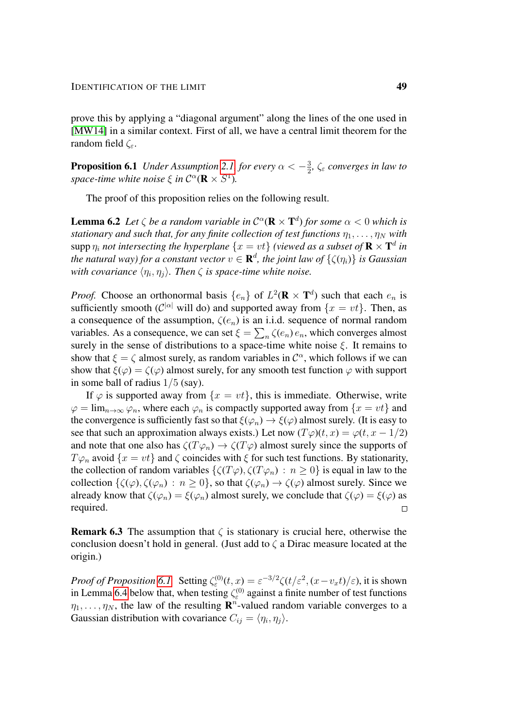prove this by applying a "diagonal argument" along the lines of the one used in [\[MW14\]](#page-54-9) in a similar context. First of all, we have a central limit theorem for the random field  $\zeta_{\varepsilon}$ .

<span id="page-48-0"></span>**Proposition 6.1** *Under Assumption* [2.1,](#page-6-2) *for every*  $\alpha < -\frac{3}{2}$  $\frac{3}{2}$ ,  $\zeta$ <sub> $\varepsilon$ </sub> converges in law to space-time white noise  $\xi$  in  $C^{\alpha}(\mathbf{R} \times S^1)$ .

The proof of this proposition relies on the following result.

<span id="page-48-1"></span>**Lemma 6.2** Let  $\zeta$  be a random variable in  $C^{\alpha}(\mathbf{R} \times \mathbf{T}^d)$  for some  $\alpha < 0$  which is *stationary and such that, for any finite collection of test functions*  $\eta_1, \ldots, \eta_N$  *with*  $\sup$ p $\eta_i$  *not intersecting the hyperplane*  $\{x=vt\}$  (viewed as a subset of  $\mathbf{R}\times\mathbf{T}^d$  in the natural way) for a constant vector  $v \in \mathbf{R}^d$ , the joint law of  $\{\zeta(\eta_i)\}$  is Gaussian with covariance  $\langle \eta_i, \eta_j \rangle$ . Then  $\zeta$  is space-time white noise.

*Proof.* Choose an orthonormal basis  $\{e_n\}$  of  $L^2(\mathbf{R} \times \mathbf{T}^d)$  such that each  $e_n$  is sufficiently smooth ( $\mathcal{C}^{|\alpha|}$  will do) and supported away from  $\{x = vt\}$ . Then, as a consequence of the assumption,  $\zeta(e_n)$  is an i.i.d. sequence of normal random variables. As a consequence, we can set  $\xi = \sum_n \zeta(e_n) e_n$ , which converges almost surely in the sense of distributions to a space-time white noise  $\xi$ . It remains to show that  $\xi = \zeta$  almost surely, as random variables in  $\mathcal{C}^{\alpha}$ , which follows if we can show that  $\xi(\varphi) = \zeta(\varphi)$  almost surely, for any smooth test function  $\varphi$  with support in some ball of radius 1/5 (say).

If  $\varphi$  is supported away from  $\{x = vt\}$ , this is immediate. Otherwise, write  $\varphi = \lim_{n \to \infty} \varphi_n$ , where each  $\varphi_n$  is compactly supported away from  $\{x = vt\}$  and the convergence is sufficiently fast so that  $\xi(\varphi_n) \to \xi(\varphi)$  almost surely. (It is easy to see that such an approximation always exists.) Let now  $(T\varphi)(t, x) = \varphi(t, x - 1/2)$ and note that one also has  $\zeta(T\varphi_n) \to \zeta(T\varphi)$  almost surely since the supports of  $T\varphi_n$  avoid  $\{x = vt\}$  and  $\zeta$  coincides with  $\xi$  for such test functions. By stationarity, the collection of random variables  $\{\zeta(T\varphi), \zeta(T\varphi_n) : n \geq 0\}$  is equal in law to the collection  $\{\zeta(\varphi), \zeta(\varphi_n) : n \geq 0\}$ , so that  $\zeta(\varphi_n) \to \zeta(\varphi)$  almost surely. Since we already know that  $\zeta(\varphi_n) = \xi(\varphi_n)$  almost surely, we conclude that  $\zeta(\varphi) = \xi(\varphi)$  as required.  $\Box$ 

**Remark 6.3** The assumption that  $\zeta$  is stationary is crucial here, otherwise the conclusion doesn't hold in general. (Just add to  $\zeta$  a Dirac measure located at the origin.)

*Proof of Proposition* [6.1.](#page-48-0) Setting  $\zeta_{\varepsilon}^{(0)}(t,x) = \varepsilon^{-3/2} \zeta(t/\varepsilon^2, (x-v_x t)/\varepsilon)$ , it is shown in Lemma [6.4](#page-49-0) below that, when testing  $\zeta_{\varepsilon}^{(0)}$  against a finite number of test functions  $\eta_1, \ldots, \eta_N$ , the law of the resulting  $\mathbf{R}^n$ -valued random variable converges to a Gaussian distribution with covariance  $C_{ij} = \langle \eta_i, \eta_j \rangle$ .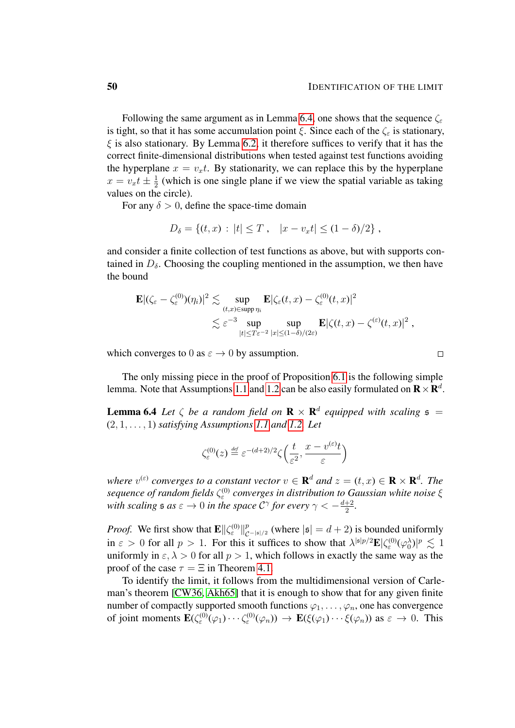$\Box$ 

Following the same argument as in Lemma [6.4,](#page-49-0) one shows that the sequence  $\zeta$ is tight, so that it has some accumulation point  $\xi$ . Since each of the  $\zeta$  is stationary,  $\xi$  is also stationary. By Lemma [6.2,](#page-48-1) it therefore suffices to verify that it has the correct finite-dimensional distributions when tested against test functions avoiding the hyperplane  $x = v_x t$ . By stationarity, we can replace this by the hyperplane  $x = v_x t \pm \frac{1}{2}$  $\frac{1}{2}$  (which is one single plane if we view the spatial variable as taking values on the circle).

For any  $\delta > 0$ , define the space-time domain

$$
D_{\delta} = \{(t, x) : |t| \leq T, \quad |x - v_x t| \leq (1 - \delta)/2 \},
$$

and consider a finite collection of test functions as above, but with supports contained in  $D_{\delta}$ . Choosing the coupling mentioned in the assumption, we then have the bound

$$
\mathbf{E} |(\zeta_{\varepsilon} - \zeta_{\varepsilon}^{(0)})(\eta_i)|^2 \lesssim \sup_{(t,x) \in \text{supp } \eta_i} \mathbf{E} |\zeta_{\varepsilon}(t,x) - \zeta_{\varepsilon}^{(0)}(t,x)|^2
$$
  

$$
\lesssim \varepsilon^{-3} \sup_{|t| \leq T\varepsilon^{-2}} \sup_{|x| \leq (1-\delta)/(2\varepsilon)} \mathbf{E} |\zeta(t,x) - \zeta^{(\varepsilon)}(t,x)|^2,
$$

which converges to 0 as  $\varepsilon \to 0$  by assumption.

The only missing piece in the proof of Proposition [6.1](#page-48-0) is the following simple lemma. Note that Assumptions [1.1](#page-2-0) and [1.2](#page-3-1) can be also easily formulated on  $\mathbf{R} \times \mathbf{R}^{d}$ .

<span id="page-49-0"></span>**Lemma 6.4** Let  $\zeta$  be a random field on  $\mathbf{R} \times \mathbf{R}^d$  equipped with scaling  $\mathfrak{s} =$ (2, 1, . . . , 1) *satisfying Assumptions [1.1](#page-2-0) and [1.2.](#page-3-1) Let*

$$
\zeta^{(0)}_{\varepsilon}(z) \stackrel{\text{\tiny def}}{=} \varepsilon^{-(d+2)/2} \zeta\left(\frac{t}{\varepsilon^2}, \frac{x - v^{(\varepsilon)}t}{\varepsilon}\right)
$$

where  $v^{(\varepsilon)}$  converges to a constant vector  $v \in \mathbf{R}^d$  and  $z = (t, x) \in \mathbf{R} \times \mathbf{R}^d$ . The *sequence of random fields* ζ (0) ε *converges in distribution to Gaussian white noise* ξ with scaling  $\mathfrak{s}$  as  $\varepsilon \to 0$  in the space  $\mathcal{C}^\gamma$  for every  $\gamma < -\frac{d+2}{2}$  $\frac{+2}{2}$ .

*Proof.* We first show that  $\mathbf{E} \|\zeta_{\varepsilon}^{(0)}\|_{\mathcal{C}}^p$  $_{\mathcal{C}^{-|s|/2}}^{p}$  (where  $|s| = d + 2$ ) is bounded uniformly in  $\varepsilon > 0$  for all  $p > 1$ . For this it suffices to show that  $\lambda^{|s|p/2} \mathbf{E} |\zeta_0^{(0)}(\varphi_0^{\lambda})|^p \lesssim 1$ uniformly in  $\varepsilon$ ,  $\lambda > 0$  for all  $p > 1$ , which follows in exactly the same way as the proof of the case  $\tau = \Xi$  in Theorem [4.1.](#page-18-1)

To identify the limit, it follows from the multidimensional version of Carleman's theorem [\[CW36,](#page-53-11) [Akh65\]](#page-52-3) that it is enough to show that for any given finite number of compactly supported smooth functions  $\varphi_1, \ldots, \varphi_n$ , one has convergence of joint moments  $\mathbf{E}(\zeta^{(0)}(\varphi_1)\cdots\zeta^{(0)}(\varphi_n)) \to \mathbf{E}(\xi(\varphi_1)\cdots\xi(\varphi_n))$  as  $\varepsilon \to 0$ . This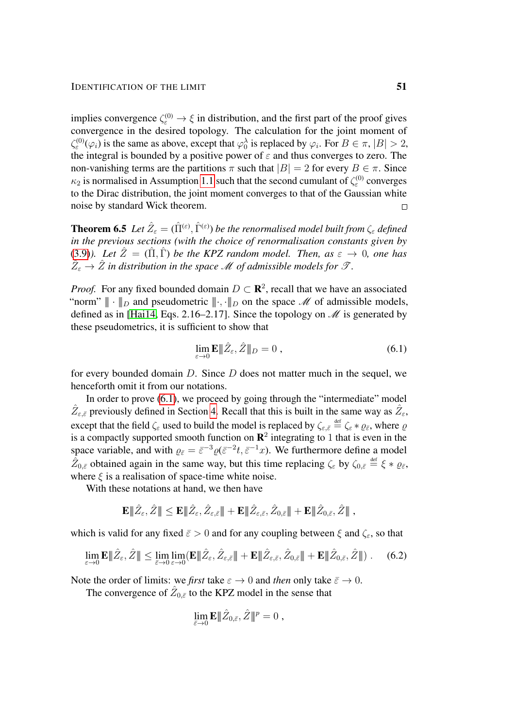implies convergence  $\zeta_{\varepsilon}^{(0)} \to \xi$  in distribution, and the first part of the proof gives convergence in the desired topology. The calculation for the joint moment of  $\zeta_{\varepsilon}^{(0)}(\varphi_i)$  is the same as above, except that  $\varphi_0^{\lambda}$  is replaced by  $\varphi_i$ . For  $B \in \pi$ ,  $|B| > 2$ , the integral is bounded by a positive power of  $\varepsilon$  and thus converges to zero. The non-vanishing terms are the partitions  $\pi$  such that  $|B| = 2$  for every  $B \in \pi$ . Since  $\kappa_2$  is normalised in Assumption [1.1](#page-2-0) such that the second cumulant of  $\zeta_{\varepsilon}^{(0)}$  converges to the Dirac distribution, the joint moment converges to that of the Gaussian white noise by standard Wick theorem.

<span id="page-50-0"></span>**Theorem 6.5** Let  $\hat{Z}_{\varepsilon} = (\hat{\Pi}^{(\varepsilon)}, \hat{\Gamma}^{(\varepsilon)})$  be the renormalised model built from  $\zeta_{\varepsilon}$  defined *in the previous sections (with the choice of renormalisation constants given by* [\(3.9\)](#page-17-0)*).* Let  $\hat{Z} = (\hat{\Pi}, \hat{\Gamma})$  be the KPZ random model. Then, as  $\varepsilon \to 0$ , one has  $\hat{Z}_{\varepsilon} \to \hat{Z}$  in distribution in the space  ${\mathscr M}$  of admissible models for  ${\mathscr T}$ .

*Proof.* For any fixed bounded domain  $D \subset \mathbb{R}^2$ , recall that we have an associated "norm"  $\|\cdot\|_D$  and pseudometric  $\|\cdot\|_D$  on the space M of admissible models, defined as in [\[Hai14,](#page-54-4) Eqs. 2.16–2.17]. Since the topology on  $\mathcal M$  is generated by these pseudometrics, it is sufficient to show that

<span id="page-50-1"></span>
$$
\lim_{\varepsilon \to 0} \mathbf{E} \|\hat{Z}_{\varepsilon}, \hat{Z} \|_{D} = 0 , \qquad (6.1)
$$

for every bounded domain  $D$ . Since  $D$  does not matter much in the sequel, we henceforth omit it from our notations.

In order to prove [\(6.1\)](#page-50-1), we proceed by going through the "intermediate" model  $\hat{Z}_{\varepsilon,\bar{\varepsilon}}$  previously defined in Section [4.](#page-18-0) Recall that this is built in the same way as  $\hat{Z}_{\varepsilon}$ , except that the field  $\zeta_{\varepsilon}$  used to build the model is replaced by  $\zeta_{\varepsilon,\bar{\varepsilon}} \stackrel{\text{def}}{=} \zeta_{\varepsilon} * \varrho_{\bar{\varepsilon}}$ , where  $\varrho$ is a compactly supported smooth function on  $\mathbb{R}^2$  integrating to 1 that is even in the space variable, and with  $\varrho_{\bar{\varepsilon}} = \bar{\varepsilon}^{-3} \varrho(\bar{\varepsilon}^{-2}t, \bar{\varepsilon}^{-1}x)$ . We furthermore define a model  $\hat{Z}_{0,\bar{\varepsilon}}$  obtained again in the same way, but this time replacing  $\zeta_{\varepsilon}$  by  $\zeta_{0,\bar{\varepsilon}} \stackrel{\text{def}}{=} \xi * \varrho_{\bar{\varepsilon}},$ where  $\xi$  is a realisation of space-time white noise.

With these notations at hand, we then have

$$
\mathbf{E}|\!|\!|\hat{Z}_{\varepsilon},\hat{Z}|\!|\!|\leq \mathbf{E}|\!|\!|\hat{Z}_{\varepsilon},\hat{Z}_{\varepsilon,\bar{\varepsilon}}|\!|\!|+\mathbf{E}|\!|\!|\hat{Z}_{\varepsilon,\bar{\varepsilon}},\hat{Z}_{0,\bar{\varepsilon}}|\!|\!|+\mathbf{E}|\!|\!|\hat{Z}_{0,\bar{\varepsilon}},\hat{Z}|\!|\!|\!|~,
$$

which is valid for any fixed  $\bar{\varepsilon} > 0$  and for any coupling between  $\xi$  and  $\zeta_{\varepsilon}$ , so that

$$
\lim_{\varepsilon \to 0} \mathbf{E} |\!|\!|\hat{Z}_{\varepsilon},\hat{Z}|\!|\!|\leq \lim_{\bar{\varepsilon} \to 0} \lim_{\varepsilon \to 0} (\mathbf{E} |\!|\!|\hat{Z}_{\varepsilon},\hat{Z}_{\varepsilon,\bar{\varepsilon}}|\!|\!| + \mathbf{E} |\!|\!|\hat{Z}_{\varepsilon,\bar{\varepsilon}},\hat{Z}_{0,\bar{\varepsilon}}|\!|\!| + \mathbf{E} |\!|\!|\hat{Z}_{0,\bar{\varepsilon}},\hat{Z}|\!|\!|).
$$
 (6.2)

Note the order of limits: we *first* take  $\varepsilon \to 0$  and *then* only take  $\bar{\varepsilon} \to 0$ .

The convergence of  $\hat{Z}_{0,\bar{\varepsilon}}$  to the KPZ model in the sense that

<span id="page-50-2"></span>
$$
\lim_{\bar{\varepsilon}\to 0} \mathbf{E} |\!|\!| \hat{Z}_{0,\bar{\varepsilon}}, \hat{Z} |\!|\!|^{p}=0,
$$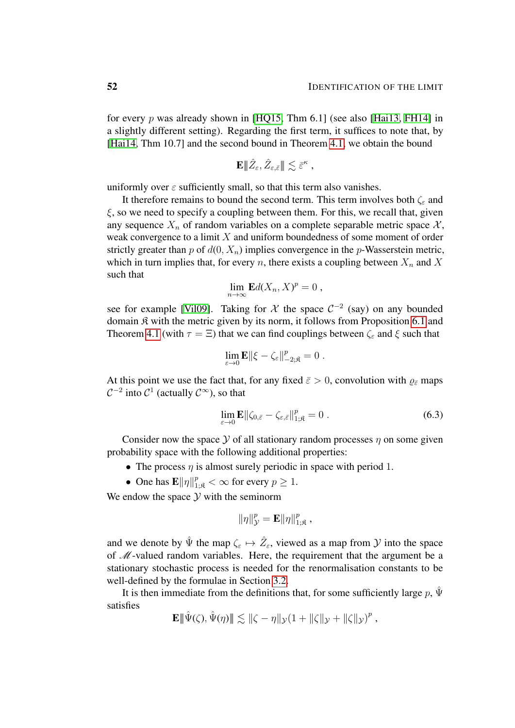for every p was already shown in [\[HQ15,](#page-54-8) Thm 6.1] (see also [\[Hai13,](#page-54-3) [FH14\]](#page-54-6) in a slightly different setting). Regarding the first term, it suffices to note that, by [\[Hai14,](#page-54-4) Thm 10.7] and the second bound in Theorem [4.1,](#page-18-1) we obtain the bound

$$
\mathbf{E}\|\hat{Z}_{\varepsilon},\hat{Z}_{\varepsilon,\bar{\varepsilon}}\|\lesssim \bar{\varepsilon}^{\kappa} ,
$$

uniformly over  $\varepsilon$  sufficiently small, so that this term also vanishes.

It therefore remains to bound the second term. This term involves both  $\zeta_{\varepsilon}$  and  $\xi$ , so we need to specify a coupling between them. For this, we recall that, given any sequence  $X_n$  of random variables on a complete separable metric space  $\mathcal{X}_n$ , weak convergence to a limit  $X$  and uniform boundedness of some moment of order strictly greater than p of  $d(0, X_n)$  implies convergence in the p-Wasserstein metric, which in turn implies that, for every n, there exists a coupling between  $X_n$  and X such that

$$
\lim_{n\to\infty} \mathbf{E} d(X_n,X)^p = 0 ,
$$

see for example [\[Vil09\]](#page-55-4). Taking for  $\mathcal X$  the space  $\mathcal C^{-2}$  (say) on any bounded domain K with the metric given by its norm, it follows from Proposition [6.1](#page-48-0) and Theorem [4.1](#page-18-1) (with  $\tau = \Xi$ ) that we can find couplings between  $\zeta_{\varepsilon}$  and  $\xi$  such that

$$
\lim_{\varepsilon\to 0}{\bf E}\|\xi-\zeta_\varepsilon\|^p_{-2;\mathfrak{K}}=0\;.
$$

At this point we use the fact that, for any fixed  $\bar{\varepsilon} > 0$ , convolution with  $\varrho_{\bar{\varepsilon}}$  maps  $C^{-2}$  into  $C^1$  (actually  $C^\infty$ ), so that

<span id="page-51-0"></span>
$$
\lim_{\varepsilon \to 0} \mathbf{E} \|\zeta_{0,\bar{\varepsilon}} - \zeta_{\varepsilon,\bar{\varepsilon}}\|_{1,\mathfrak{K}}^p = 0.
$$
\n(6.3)

Consider now the space  $Y$  of all stationary random processes  $\eta$  on some given probability space with the following additional properties:

- The process  $\eta$  is almost surely periodic in space with period 1.
- One has  $\mathbf{E} \|\eta\|_{1;\mathfrak{K}}^p < \infty$  for every  $p \geq 1$ .

We endow the space  $Y$  with the seminorm

$$
\|\eta\|_{\mathcal{Y}}^p = \mathbf{E}\|\eta\|_{1;\mathfrak{K}}^p,
$$

and we denote by  $\hat{\Psi}$  the map  $\zeta_{\varepsilon} \mapsto \hat{Z}_{\varepsilon}$ , viewed as a map from  $\mathcal Y$  into the space of M-valued random variables. Here, the requirement that the argument be a stationary stochastic process is needed for the renormalisation constants to be well-defined by the formulae in Section [3.2.](#page-14-0)

It is then immediate from the definitions that, for some sufficiently large p,  $\hat{\Psi}$ satisfies

$$
\mathbf{E} \|\hat{\Psi}(\zeta), \hat{\Psi}(\eta)\| \lesssim \|\zeta - \eta\|_{\mathcal{Y}} (1 + \|\zeta\|_{\mathcal{Y}} + \|\zeta\|_{\mathcal{Y}})^p,
$$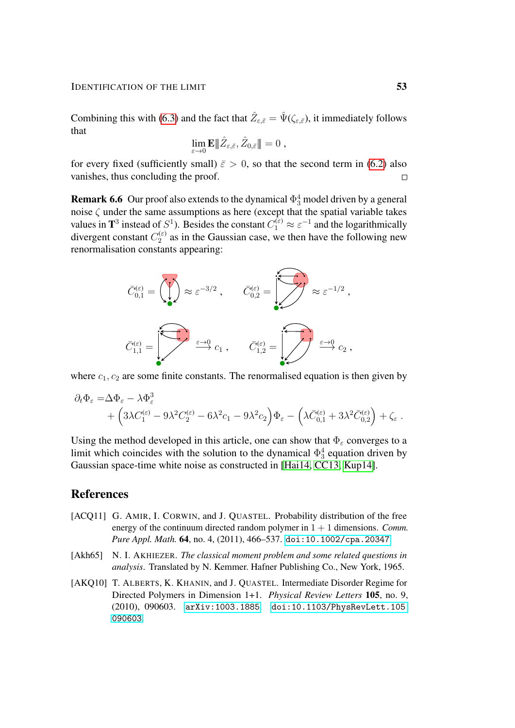Combining this with [\(6.3\)](#page-51-0) and the fact that  $\hat{Z}_{\varepsilon,\bar{\varepsilon}} = \hat{\Psi}(\zeta_{\varepsilon,\bar{\varepsilon}})$ , it immediately follows that

$$
\lim_{\varepsilon\to 0}{\mathbf E}\|\hat{Z}_{\varepsilon,\bar{\varepsilon}},\hat{Z}_{0,\bar{\varepsilon}}\|=0\;,
$$

for every fixed (sufficiently small)  $\bar{\varepsilon} > 0$ , so that the second term in [\(6.2\)](#page-50-2) also vanishes, thus concluding the proof.  $\Box$ 

<span id="page-52-2"></span>**Remark 6.6** Our proof also extends to the dynamical  $\Phi_3^4$  model driven by a general noise  $\zeta$  under the same assumptions as here (except that the spatial variable takes values in  $\mathbf{T}^3$  instead of  $S^1$ ). Besides the constant  $C_1^{(\varepsilon)} \approx \varepsilon^{-1}$  and the logarithmically divergent constant  $C_2^{(\varepsilon)}$  $2^{(ε)}$  as in the Gaussian case, we then have the following new renormalisation constants appearing:



where  $c_1, c_2$  are some finite constants. The renormalised equation is then given by

$$
\partial_t \Phi_{\varepsilon} = \Delta \Phi_{\varepsilon} - \lambda \Phi_{\varepsilon}^3 + \left(3\lambda C_1^{(\varepsilon)} - 9\lambda^2 C_2^{(\varepsilon)} - 6\lambda^2 c_1 - 9\lambda^2 c_2\right) \Phi_{\varepsilon} - \left(\lambda \bar{C}_{0,1}^{(\varepsilon)} + 3\lambda^2 \bar{C}_{0,2}^{(\varepsilon)}\right) + \zeta_{\varepsilon}.
$$

Using the method developed in this article, one can show that  $\Phi_{\varepsilon}$  converges to a limit which coincides with the solution to the dynamical  $\Phi_3^4$  equation driven by Gaussian space-time white noise as constructed in [\[Hai14,](#page-54-4) [CC13,](#page-53-12) [Kup14\]](#page-54-14).

## References

- <span id="page-52-0"></span>[ACO11] G. AMIR, I. CORWIN, and J. QUASTEL. Probability distribution of the free energy of the continuum directed random polymer in  $1 + 1$  dimensions. *Comm. Pure Appl. Math.* 64, no. 4, (2011), 466–537. [doi:10.1002/cpa.20347](http://dx.doi.org/10.1002/cpa.20347).
- <span id="page-52-3"></span>[Akh65] N. I. AKHIEZER. *The classical moment problem and some related questions in analysis*. Translated by N. Kemmer. Hafner Publishing Co., New York, 1965.
- <span id="page-52-1"></span>[AKQ10] T. ALBERTS, K. KHANIN, and J. QUASTEL. Intermediate Disorder Regime for Directed Polymers in Dimension 1+1. *Physical Review Letters* 105, no. 9, (2010), 090603. [arXiv:1003.1885](http://arxiv.org/abs/1003.1885). [doi:10.1103/PhysRevLett.105.](http://dx.doi.org/10.1103/PhysRevLett.105.090603) [090603](http://dx.doi.org/10.1103/PhysRevLett.105.090603).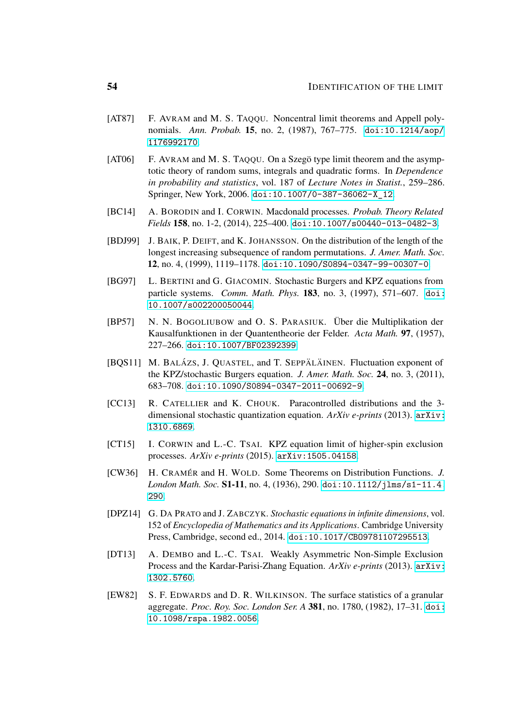- <span id="page-53-8"></span>[AT87] F. AVRAM and M. S. TAQQU. Noncentral limit theorems and Appell polynomials. *Ann. Probab.* 15, no. 2, (1987), 767–775. [doi:10.1214/aop/](http://dx.doi.org/10.1214/aop/1176992170) [1176992170](http://dx.doi.org/10.1214/aop/1176992170).
- <span id="page-53-9"></span> $[AT06]$  F. AVRAM and M. S. TAQQU. On a Szegö type limit theorem and the asymptotic theory of random sums, integrals and quadratic forms. In *Dependence in probability and statistics*, vol. 187 of *Lecture Notes in Statist.*, 259–286. Springer, New York, 2006. [doi:10.1007/0-387-36062-X\\_12](http://dx.doi.org/10.1007/0-387-36062-X_12).
- <span id="page-53-2"></span>[BC14] A. BORODIN and I. CORWIN. Macdonald processes. *Probab. Theory Related Fields* 158, no. 1-2, (2014), 225–400. [doi:10.1007/s00440-013-0482-3](http://dx.doi.org/10.1007/s00440-013-0482-3).
- <span id="page-53-0"></span>[BDJ99] J. BAIK, P. DEIFT, and K. JOHANSSON. On the distribution of the length of the longest increasing subsequence of random permutations. *J. Amer. Math. Soc.* 12, no. 4, (1999), 1119–1178. [doi:10.1090/S0894-0347-99-00307-0](http://dx.doi.org/10.1090/S0894-0347-99-00307-0).
- <span id="page-53-4"></span>[BG97] L. BERTINI and G. GIACOMIN. Stochastic Burgers and KPZ equations from particle systems. *Comm. Math. Phys.* 183, no. 3, (1997), 571–607. [doi:](http://dx.doi.org/10.1007/s002200050044) [10.1007/s002200050044](http://dx.doi.org/10.1007/s002200050044).
- <span id="page-53-10"></span>[BP57] N. N. BOGOLIUBOW and O. S. PARASIUK. Über die Multiplikation der Kausalfunktionen in der Quantentheorie der Felder. *Acta Math.* 97, (1957), 227–266. [doi:10.1007/BF02392399](http://dx.doi.org/10.1007/BF02392399).
- <span id="page-53-1"></span>[BQS11] M. BALÁZS, J. QUASTEL, and T. SEPPÄLÄINEN. Fluctuation exponent of the KPZ/stochastic Burgers equation. *J. Amer. Math. Soc.* 24, no. 3, (2011), 683–708. [doi:10.1090/S0894-0347-2011-00692-9](http://dx.doi.org/10.1090/S0894-0347-2011-00692-9).
- <span id="page-53-12"></span>[CC13] R. CATELLIER and K. CHOUK. Paracontrolled distributions and the 3dimensional stochastic quantization equation. *ArXiv e-prints* (2013). [arXiv:](http://arxiv.org/abs/1310.6869) [1310.6869](http://arxiv.org/abs/1310.6869).
- <span id="page-53-6"></span>[CT15] I. CORWIN and L.-C. TSAI. KPZ equation limit of higher-spin exclusion processes. *ArXiv e-prints* (2015). [arXiv:1505.04158](http://arxiv.org/abs/1505.04158).
- <span id="page-53-11"></span>[CW36] H. CRAMER´ and H. WOLD. Some Theorems on Distribution Functions. *J. London Math. Soc.* S1-11, no. 4, (1936), 290. [doi:10.1112/jlms/s1-11.4.](http://dx.doi.org/10.1112/jlms/s1-11.4.290) [290](http://dx.doi.org/10.1112/jlms/s1-11.4.290).
- <span id="page-53-7"></span>[DPZ14] G. DA PRATO and J. ZABCZYK. *Stochastic equations in infinite dimensions*, vol. 152 of *Encyclopedia of Mathematics and its Applications*. Cambridge University Press, Cambridge, second ed., 2014. [doi:10.1017/CBO9781107295513](http://dx.doi.org/10.1017/CBO9781107295513).
- <span id="page-53-5"></span>[DT13] A. DEMBO and L.-C. TSAI. Weakly Asymmetric Non-Simple Exclusion Process and the Kardar-Parisi-Zhang Equation. *ArXiv e-prints* (2013). [arXiv:](http://arxiv.org/abs/1302.5760) [1302.5760](http://arxiv.org/abs/1302.5760).
- <span id="page-53-3"></span>[EW82] S. F. EDWARDS and D. R. WILKINSON. The surface statistics of a granular aggregate. *Proc. Roy. Soc. London Ser. A* 381, no. 1780, (1982), 17–31. [doi:](http://dx.doi.org/10.1098/rspa.1982.0056) [10.1098/rspa.1982.0056](http://dx.doi.org/10.1098/rspa.1982.0056).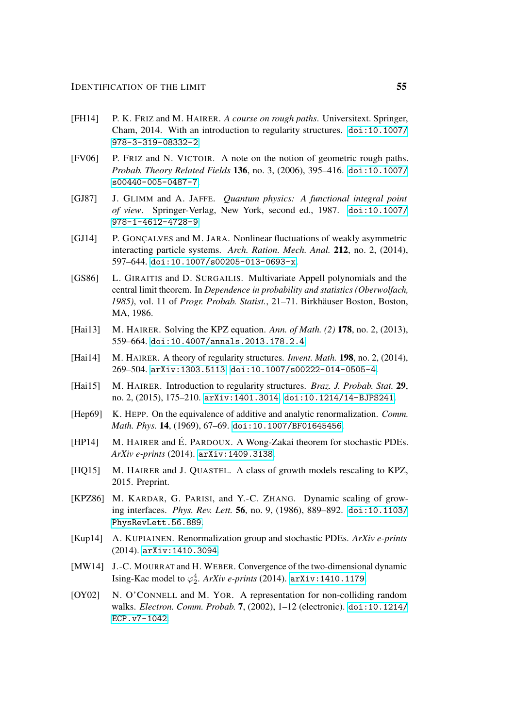- <span id="page-54-6"></span>[FH14] P. K. FRIZ and M. HAIRER. *A course on rough paths*. Universitext. Springer, Cham, 2014. With an introduction to regularity structures. [doi:10.1007/](http://dx.doi.org/10.1007/978-3-319-08332-2) [978-3-319-08332-2](http://dx.doi.org/10.1007/978-3-319-08332-2).
- <span id="page-54-10"></span>[FV06] P. FRIZ and N. VICTOIR. A note on the notion of geometric rough paths. *Probab. Theory Related Fields* 136, no. 3, (2006), 395–416. [doi:10.1007/](http://dx.doi.org/10.1007/s00440-005-0487-7) [s00440-005-0487-7](http://dx.doi.org/10.1007/s00440-005-0487-7).
- <span id="page-54-11"></span>[GJ87] J. GLIMM and A. JAFFE. *Quantum physics: A functional integral point of view*. Springer-Verlag, New York, second ed., 1987. [doi:10.1007/](http://dx.doi.org/10.1007/978-1-4612-4728-9) [978-1-4612-4728-9](http://dx.doi.org/10.1007/978-1-4612-4728-9).
- <span id="page-54-2"></span>[GJ14] P. GONCALVES and M. JARA. Nonlinear fluctuations of weakly asymmetric interacting particle systems. *Arch. Ration. Mech. Anal.* 212, no. 2, (2014), 597–644. [doi:10.1007/s00205-013-0693-x](http://dx.doi.org/10.1007/s00205-013-0693-x).
- <span id="page-54-12"></span>[GS86] L. GIRAITIS and D. SURGAILIS. Multivariate Appell polynomials and the central limit theorem. In *Dependence in probability and statistics (Oberwolfach,* 1985), vol. 11 of *Progr. Probab. Statist.*, 21–71. Birkhäuser Boston, Boston, MA, 1986.
- <span id="page-54-3"></span>[Hai13] M. HAIRER. Solving the KPZ equation. *Ann. of Math. (2)* 178, no. 2, (2013), 559–664. [doi:10.4007/annals.2013.178.2.4](http://dx.doi.org/10.4007/annals.2013.178.2.4).
- <span id="page-54-4"></span>[Hai14] M. HAIRER. A theory of regularity structures. *Invent. Math.* 198, no. 2, (2014), 269–504. [arXiv:1303.5113](http://arxiv.org/abs/1303.5113). [doi:10.1007/s00222-014-0505-4](http://dx.doi.org/10.1007/s00222-014-0505-4).
- <span id="page-54-5"></span>[Hai15] M. HAIRER. Introduction to regularity structures. *Braz. J. Probab. Stat.* 29, no. 2, (2015), 175–210. [arXiv:1401.3014](http://arxiv.org/abs/1401.3014). [doi:10.1214/14-BJPS241](http://dx.doi.org/10.1214/14-BJPS241).
- <span id="page-54-13"></span>[Hep69] K. HEPP. On the equivalence of additive and analytic renormalization. *Comm. Math. Phys.* 14, (1969), 67–69. [doi:10.1007/BF01645456](http://dx.doi.org/10.1007/BF01645456).
- <span id="page-54-7"></span>[HP14] M. HAIRER and É. PARDOUX. A Wong-Zakai theorem for stochastic PDEs. *ArXiv e-prints* (2014). [arXiv:1409.3138](http://arxiv.org/abs/1409.3138).
- <span id="page-54-8"></span>[HQ15] M. HAIRER and J. QUASTEL. A class of growth models rescaling to KPZ, 2015. Preprint.
- <span id="page-54-0"></span>[KPZ86] M. KARDAR, G. PARISI, and Y.-C. ZHANG. Dynamic scaling of growing interfaces. *Phys. Rev. Lett.* 56, no. 9, (1986), 889–892. [doi:10.1103/](http://dx.doi.org/10.1103/PhysRevLett.56.889) [PhysRevLett.56.889](http://dx.doi.org/10.1103/PhysRevLett.56.889).
- <span id="page-54-14"></span>[Kup14] A. KUPIAINEN. Renormalization group and stochastic PDEs. *ArXiv e-prints* (2014). [arXiv:1410.3094](http://arxiv.org/abs/1410.3094).
- <span id="page-54-9"></span>[MW14] J.-C. MOURRAT and H. WEBER. Convergence of the two-dimensional dynamic Ising-Kac model to  $\varphi_2^4$ . *ArXiv e-prints* (2014).  $arXiv:1410.1179$ .
- <span id="page-54-1"></span>[OY02] N. O'CONNELL and M. YOR. A representation for non-colliding random walks. *Electron. Comm. Probab.* 7, (2002), 1–12 (electronic). [doi:10.1214/](http://dx.doi.org/10.1214/ECP.v7-1042) [ECP.v7-1042](http://dx.doi.org/10.1214/ECP.v7-1042).